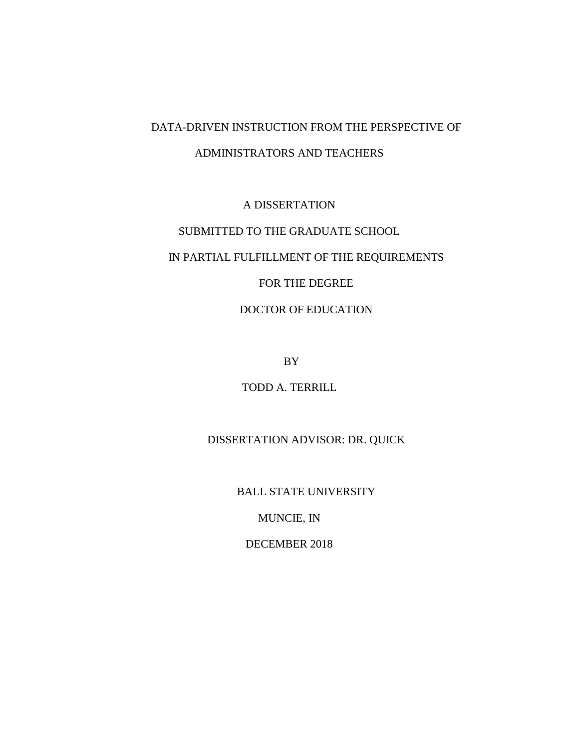# DATA-DRIVEN INSTRUCTION FROM THE PERSPECTIVE OF ADMINISTRATORS AND TEACHERS

A DISSERTATION

SUBMITTED TO THE GRADUATE SCHOOL

IN PARTIAL FULFILLMENT OF THE REQUIREMENTS

FOR THE DEGREE

DOCTOR OF EDUCATION

BY

TODD A. TERRILL

DISSERTATION ADVISOR: DR. QUICK

BALL STATE UNIVERSITY

MUNCIE, IN

DECEMBER 2018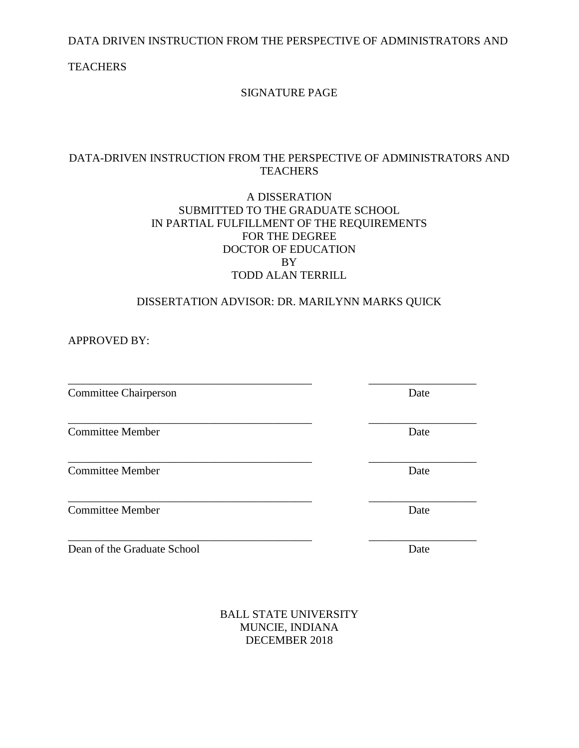DATA DRIVEN INSTRUCTION FROM THE PERSPECTIVE OF ADMINISTRATORS AND

**TEACHERS** 

# SIGNATURE PAGE

# DATA-DRIVEN INSTRUCTION FROM THE PERSPECTIVE OF ADMINISTRATORS AND **TEACHERS**

# A DISSERATION SUBMITTED TO THE GRADUATE SCHOOL IN PARTIAL FULFILLMENT OF THE REQUIREMENTS FOR THE DEGREE DOCTOR OF EDUCATION BY TODD ALAN TERRILL

# DISSERTATION ADVISOR: DR. MARILYNN MARKS QUICK

\_\_\_\_\_\_\_\_\_\_\_\_\_\_\_\_\_\_\_\_\_\_\_\_\_\_\_\_\_\_\_\_\_\_\_\_\_\_\_\_\_\_\_ \_\_\_\_\_\_\_\_\_\_\_\_\_\_\_\_\_\_\_

APPROVED BY:

Committee Chairperson Date

\_\_\_\_\_\_\_\_\_\_\_\_\_\_\_\_\_\_\_\_\_\_\_\_\_\_\_\_\_\_\_\_\_\_\_\_\_\_\_\_\_\_\_ \_\_\_\_\_\_\_\_\_\_\_\_\_\_\_\_\_\_\_ **Committee Member Date** 

\_\_\_\_\_\_\_\_\_\_\_\_\_\_\_\_\_\_\_\_\_\_\_\_\_\_\_\_\_\_\_\_\_\_\_\_\_\_\_\_\_\_\_ \_\_\_\_\_\_\_\_\_\_\_\_\_\_\_\_\_\_\_ **Committee Member Date** 

\_\_\_\_\_\_\_\_\_\_\_\_\_\_\_\_\_\_\_\_\_\_\_\_\_\_\_\_\_\_\_\_\_\_\_\_\_\_\_\_\_\_\_ \_\_\_\_\_\_\_\_\_\_\_\_\_\_\_\_\_\_\_ **Committee Member Date** 

Dean of the Graduate School Date

BALL STATE UNIVERSITY MUNCIE, INDIANA DECEMBER 2018

\_\_\_\_\_\_\_\_\_\_\_\_\_\_\_\_\_\_\_\_\_\_\_\_\_\_\_\_\_\_\_\_\_\_\_\_\_\_\_\_\_\_\_ \_\_\_\_\_\_\_\_\_\_\_\_\_\_\_\_\_\_\_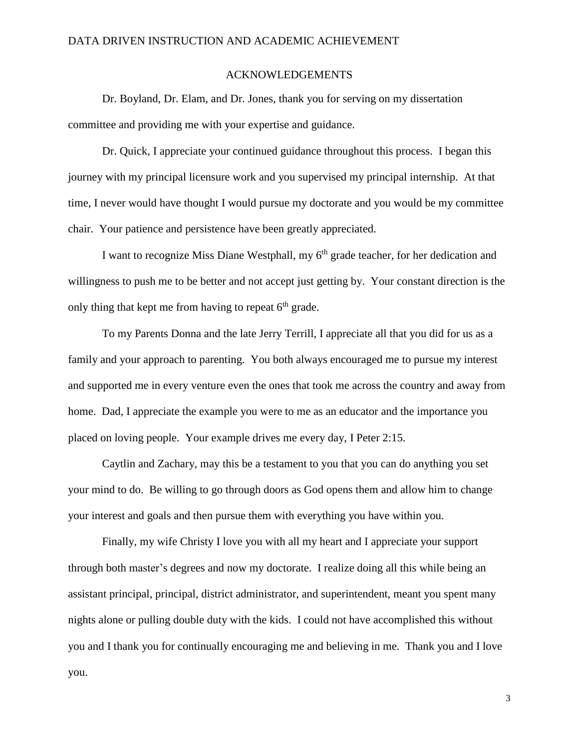# ACKNOWLEDGEMENTS

<span id="page-2-0"></span>Dr. Boyland, Dr. Elam, and Dr. Jones, thank you for serving on my dissertation committee and providing me with your expertise and guidance.

Dr. Quick, I appreciate your continued guidance throughout this process. I began this journey with my principal licensure work and you supervised my principal internship. At that time, I never would have thought I would pursue my doctorate and you would be my committee chair. Your patience and persistence have been greatly appreciated.

I want to recognize Miss Diane Westphall, my  $6<sup>th</sup>$  grade teacher, for her dedication and willingness to push me to be better and not accept just getting by. Your constant direction is the only thing that kept me from having to repeat  $6<sup>th</sup>$  grade.

To my Parents Donna and the late Jerry Terrill, I appreciate all that you did for us as a family and your approach to parenting. You both always encouraged me to pursue my interest and supported me in every venture even the ones that took me across the country and away from home. Dad, I appreciate the example you were to me as an educator and the importance you placed on loving people. Your example drives me every day, I Peter 2:15.

Caytlin and Zachary, may this be a testament to you that you can do anything you set your mind to do. Be willing to go through doors as God opens them and allow him to change your interest and goals and then pursue them with everything you have within you.

Finally, my wife Christy I love you with all my heart and I appreciate your support through both master's degrees and now my doctorate. I realize doing all this while being an assistant principal, principal, district administrator, and superintendent, meant you spent many nights alone or pulling double duty with the kids. I could not have accomplished this without you and I thank you for continually encouraging me and believing in me. Thank you and I love you.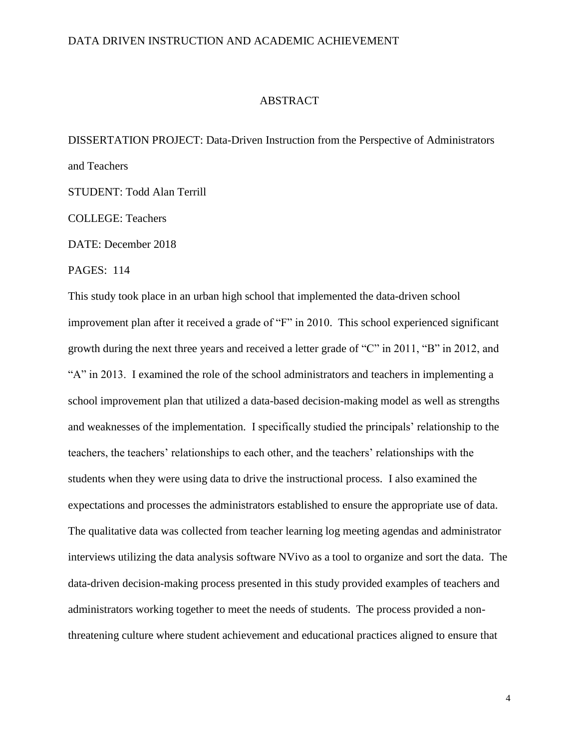#### ABSTRACT

DISSERTATION PROJECT: Data-Driven Instruction from the Perspective of Administrators and Teachers STUDENT: Todd Alan Terrill COLLEGE: Teachers

DATE: December 2018

PAGES: 114

This study took place in an urban high school that implemented the data-driven school improvement plan after it received a grade of "F" in 2010. This school experienced significant growth during the next three years and received a letter grade of "C" in 2011, "B" in 2012, and "A" in 2013. I examined the role of the school administrators and teachers in implementing a school improvement plan that utilized a data-based decision-making model as well as strengths and weaknesses of the implementation. I specifically studied the principals' relationship to the teachers, the teachers' relationships to each other, and the teachers' relationships with the students when they were using data to drive the instructional process. I also examined the expectations and processes the administrators established to ensure the appropriate use of data. The qualitative data was collected from teacher learning log meeting agendas and administrator interviews utilizing the data analysis software NVivo as a tool to organize and sort the data. The data-driven decision-making process presented in this study provided examples of teachers and administrators working together to meet the needs of students. The process provided a nonthreatening culture where student achievement and educational practices aligned to ensure that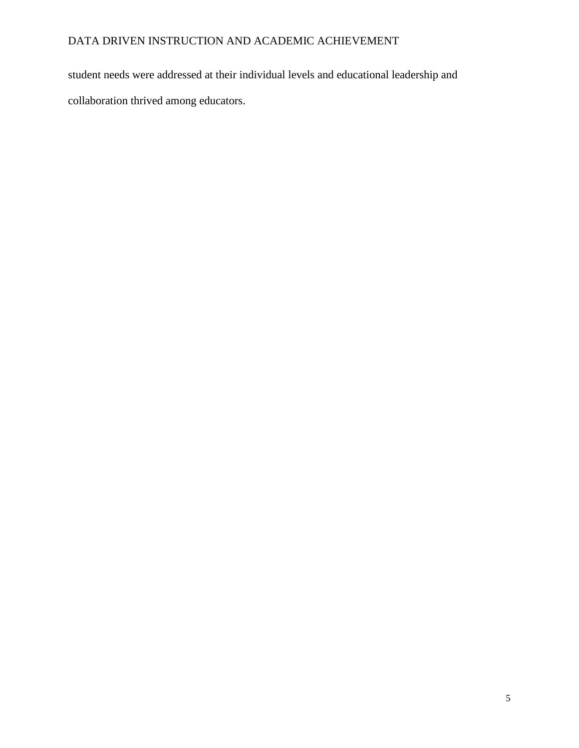student needs were addressed at their individual levels and educational leadership and collaboration thrived among educators.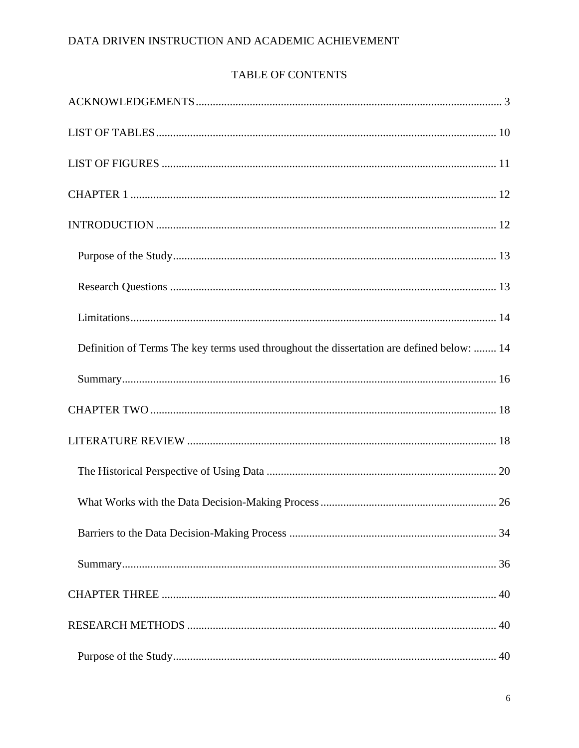# TABLE OF CONTENTS

| Definition of Terms The key terms used throughout the dissertation are defined below:  14 |
|-------------------------------------------------------------------------------------------|
|                                                                                           |
|                                                                                           |
|                                                                                           |
|                                                                                           |
|                                                                                           |
|                                                                                           |
|                                                                                           |
|                                                                                           |
|                                                                                           |
|                                                                                           |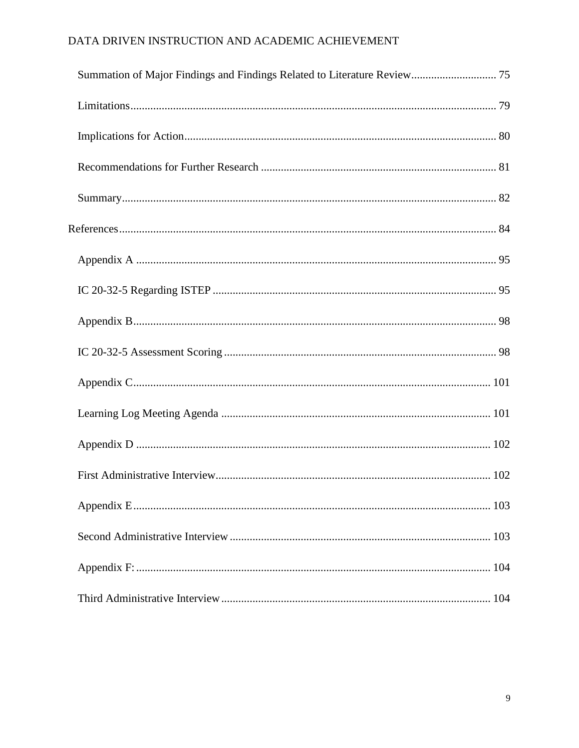| Summation of Major Findings and Findings Related to Literature Review 75 |  |
|--------------------------------------------------------------------------|--|
|                                                                          |  |
|                                                                          |  |
|                                                                          |  |
|                                                                          |  |
|                                                                          |  |
|                                                                          |  |
|                                                                          |  |
|                                                                          |  |
|                                                                          |  |
|                                                                          |  |
|                                                                          |  |
|                                                                          |  |
|                                                                          |  |
|                                                                          |  |
|                                                                          |  |
|                                                                          |  |
|                                                                          |  |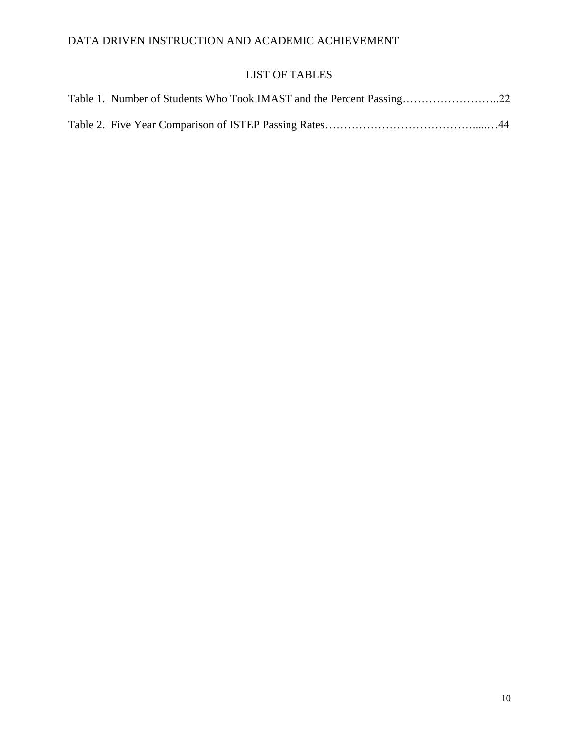# LIST OF TABLES

<span id="page-9-0"></span>

| Table 1. Number of Students Who Took IMAST and the Percent Passing22 |  |
|----------------------------------------------------------------------|--|
|                                                                      |  |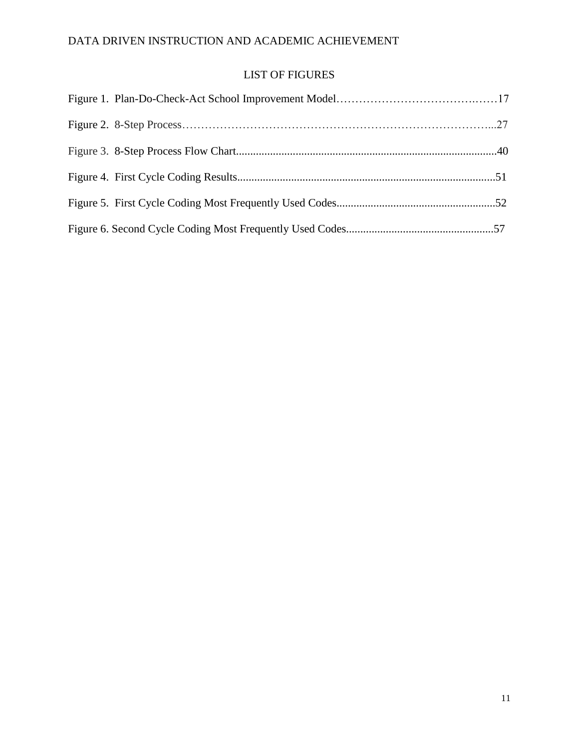# LIST OF FIGURES

<span id="page-10-0"></span>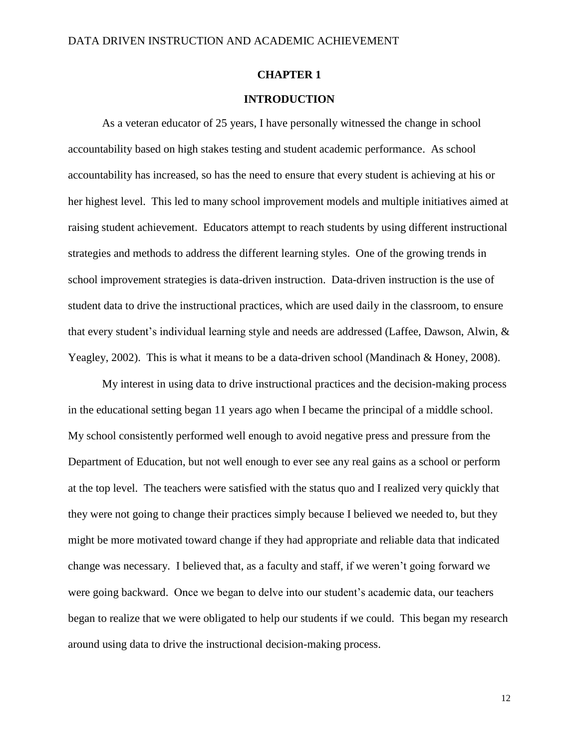# **CHAPTER 1**

# **INTRODUCTION**

<span id="page-11-1"></span><span id="page-11-0"></span>As a veteran educator of 25 years, I have personally witnessed the change in school accountability based on high stakes testing and student academic performance. As school accountability has increased, so has the need to ensure that every student is achieving at his or her highest level. This led to many school improvement models and multiple initiatives aimed at raising student achievement. Educators attempt to reach students by using different instructional strategies and methods to address the different learning styles. One of the growing trends in school improvement strategies is data-driven instruction. Data-driven instruction is the use of student data to drive the instructional practices, which are used daily in the classroom, to ensure that every student's individual learning style and needs are addressed (Laffee, Dawson, Alwin, & Yeagley, 2002). This is what it means to be a data-driven school (Mandinach & Honey, 2008).

My interest in using data to drive instructional practices and the decision-making process in the educational setting began 11 years ago when I became the principal of a middle school. My school consistently performed well enough to avoid negative press and pressure from the Department of Education, but not well enough to ever see any real gains as a school or perform at the top level. The teachers were satisfied with the status quo and I realized very quickly that they were not going to change their practices simply because I believed we needed to, but they might be more motivated toward change if they had appropriate and reliable data that indicated change was necessary. I believed that, as a faculty and staff, if we weren't going forward we were going backward. Once we began to delve into our student's academic data, our teachers began to realize that we were obligated to help our students if we could. This began my research around using data to drive the instructional decision-making process.

12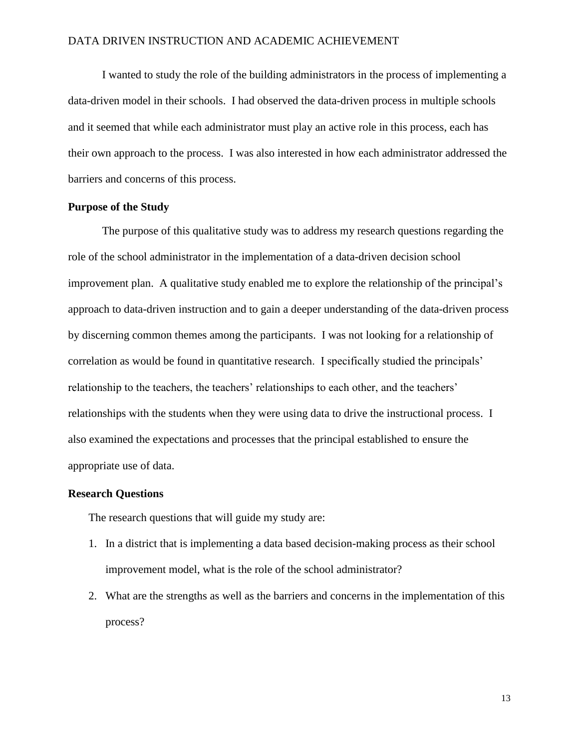I wanted to study the role of the building administrators in the process of implementing a data-driven model in their schools. I had observed the data-driven process in multiple schools and it seemed that while each administrator must play an active role in this process, each has their own approach to the process. I was also interested in how each administrator addressed the barriers and concerns of this process.

### <span id="page-12-0"></span>**Purpose of the Study**

The purpose of this qualitative study was to address my research questions regarding the role of the school administrator in the implementation of a data-driven decision school improvement plan. A qualitative study enabled me to explore the relationship of the principal's approach to data-driven instruction and to gain a deeper understanding of the data-driven process by discerning common themes among the participants. I was not looking for a relationship of correlation as would be found in quantitative research. I specifically studied the principals' relationship to the teachers, the teachers' relationships to each other, and the teachers' relationships with the students when they were using data to drive the instructional process. I also examined the expectations and processes that the principal established to ensure the appropriate use of data.

## <span id="page-12-1"></span>**Research Questions**

The research questions that will guide my study are:

- 1. In a district that is implementing a data based decision-making process as their school improvement model, what is the role of the school administrator?
- 2. What are the strengths as well as the barriers and concerns in the implementation of this process?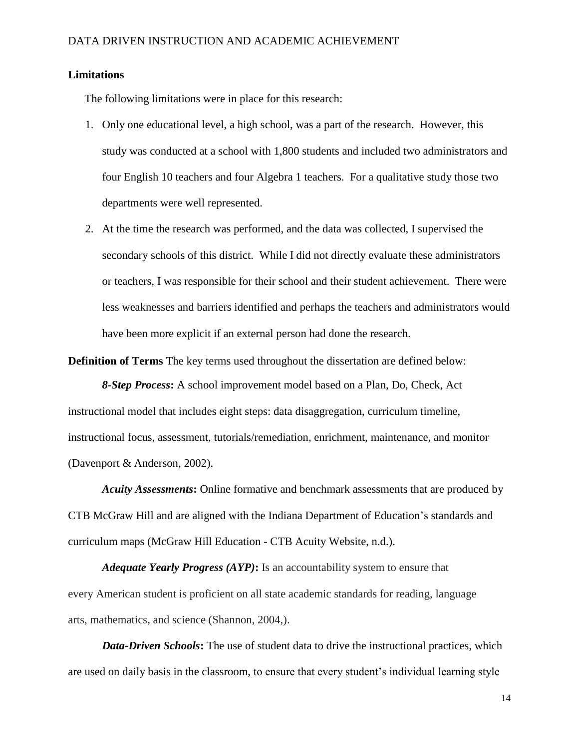# <span id="page-13-0"></span>**Limitations**

The following limitations were in place for this research:

- 1. Only one educational level, a high school, was a part of the research. However, this study was conducted at a school with 1,800 students and included two administrators and four English 10 teachers and four Algebra 1 teachers. For a qualitative study those two departments were well represented.
- 2. At the time the research was performed, and the data was collected, I supervised the secondary schools of this district. While I did not directly evaluate these administrators or teachers, I was responsible for their school and their student achievement. There were less weaknesses and barriers identified and perhaps the teachers and administrators would have been more explicit if an external person had done the research.

<span id="page-13-1"></span>**Definition of Terms** The key terms used throughout the dissertation are defined below:

*8-Step Process***:** A school improvement model based on a Plan, Do, Check, Act instructional model that includes eight steps: data disaggregation, curriculum timeline, instructional focus, assessment, tutorials/remediation, enrichment, maintenance, and monitor (Davenport & Anderson, 2002).

*Acuity Assessments***:** Online formative and benchmark assessments that are produced by CTB McGraw Hill and are aligned with the Indiana Department of Education's standards and curriculum maps (McGraw Hill Education - CTB Acuity Website, n.d.).

*Adequate Yearly Progress (AYP)***:** Is an accountability system to ensure that every American student is proficient on all state academic standards for reading, language arts, mathematics, and science (Shannon, 2004,).

*Data-Driven Schools*: The use of student data to drive the instructional practices, which are used on daily basis in the classroom, to ensure that every student's individual learning style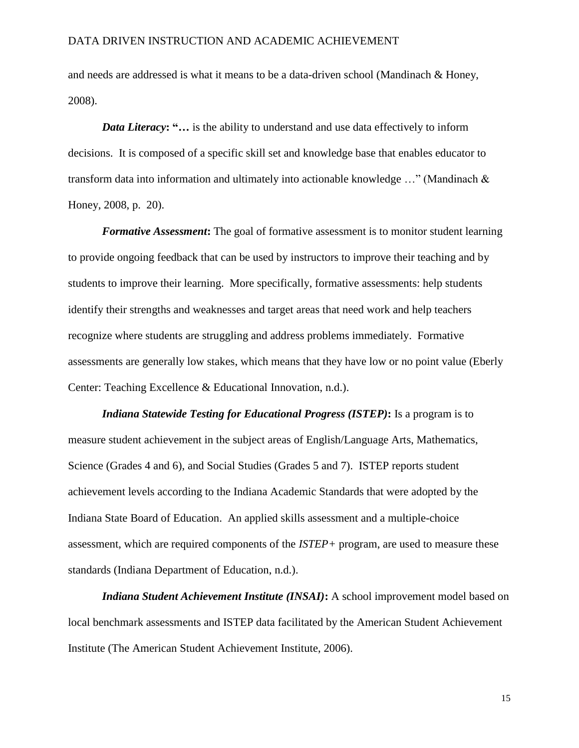and needs are addressed is what it means to be a data-driven school (Mandinach  $\&$  Honey, 2008).

*Data Literacy***: "…** is the ability to understand and use data effectively to inform decisions. It is composed of a specific skill set and knowledge base that enables educator to transform data into information and ultimately into actionable knowledge …" (Mandinach & Honey, 2008, p. 20).

*Formative Assessment***:** The goal of formative assessment is to monitor student learning to provide ongoing feedback that can be used by instructors to improve their teaching and by students to improve their learning. More specifically, formative assessments: help students identify their strengths and weaknesses and target areas that need work and help teachers recognize where students are struggling and address problems immediately. Formative assessments are generally low stakes, which means that they have low or no point value (Eberly Center: Teaching Excellence & Educational Innovation, n.d.).

*Indiana Statewide Testing for Educational Progress (ISTEP)***:** Is a program is to measure student achievement in the subject areas of English/Language Arts, Mathematics, Science (Grades 4 and 6), and Social Studies (Grades 5 and 7). ISTEP reports student achievement levels according to the Indiana Academic Standards that were adopted by the Indiana State Board of Education. An applied skills assessment and a multiple-choice assessment, which are required components of the *ISTEP+* program, are used to measure these standards (Indiana Department of Education, n.d.).

*Indiana Student Achievement Institute (INSAI)***:** A school improvement model based on local benchmark assessments and ISTEP data facilitated by the American Student Achievement Institute (The American Student Achievement Institute, 2006).

15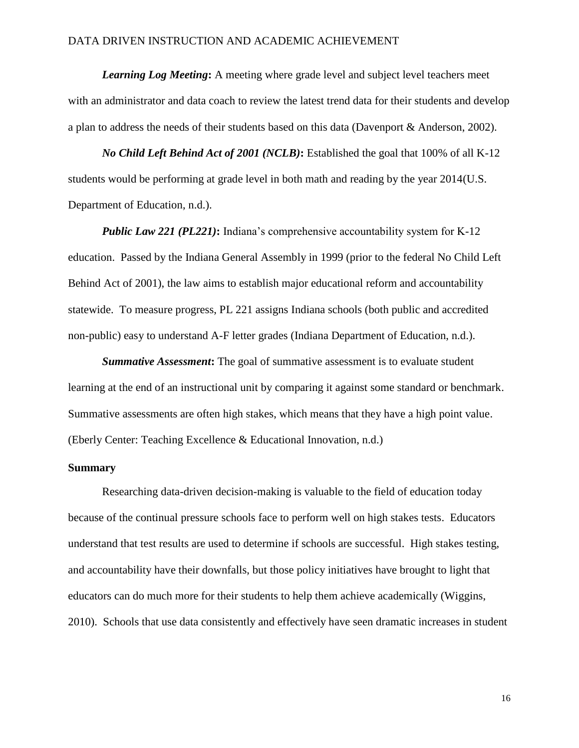*Learning Log Meeting*: A meeting where grade level and subject level teachers meet with an administrator and data coach to review the latest trend data for their students and develop a plan to address the needs of their students based on this data (Davenport & Anderson, 2002).

*No Child Left Behind Act of 2001 (NCLB)***:** Established the goal that 100% of all K-12 students would be performing at grade level in both math and reading by the year 2014(U.S. Department of Education, n.d.).

*Public Law 221 (PL221)***:** Indiana's comprehensive accountability system for K-12 education. Passed by the Indiana General Assembly in 1999 (prior to the federal No Child Left Behind Act of 2001), the law aims to establish major educational reform and accountability statewide. To measure progress, PL 221 assigns Indiana schools (both public and accredited non-public) easy to understand A-F letter grades (Indiana Department of Education, n.d.).

*Summative Assessment***:** The goal of summative assessment is to evaluate student learning at the end of an instructional unit by comparing it against some standard or benchmark. Summative assessments are often high stakes, which means that they have a high point value. (Eberly Center: Teaching Excellence & Educational Innovation, n.d.)

# <span id="page-15-0"></span>**Summary**

Researching data-driven decision-making is valuable to the field of education today because of the continual pressure schools face to perform well on high stakes tests. Educators understand that test results are used to determine if schools are successful. High stakes testing, and accountability have their downfalls, but those policy initiatives have brought to light that educators can do much more for their students to help them achieve academically (Wiggins, 2010). Schools that use data consistently and effectively have seen dramatic increases in student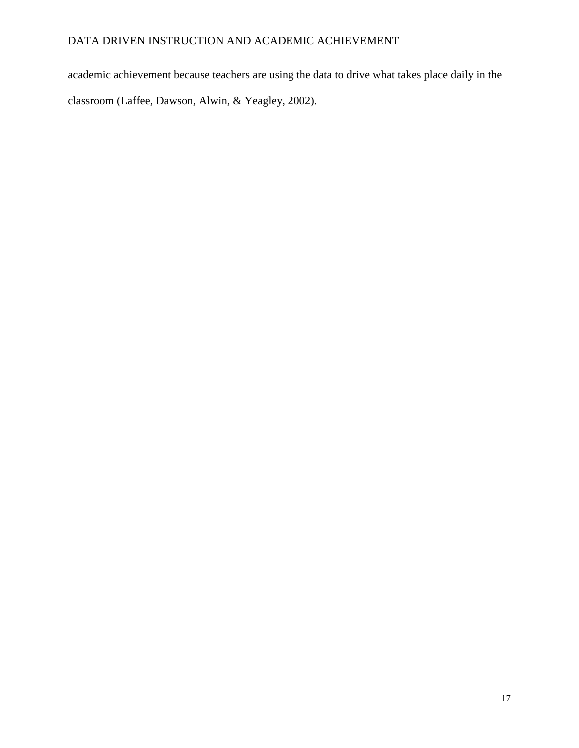academic achievement because teachers are using the data to drive what takes place daily in the classroom (Laffee, Dawson, Alwin, & Yeagley, 2002).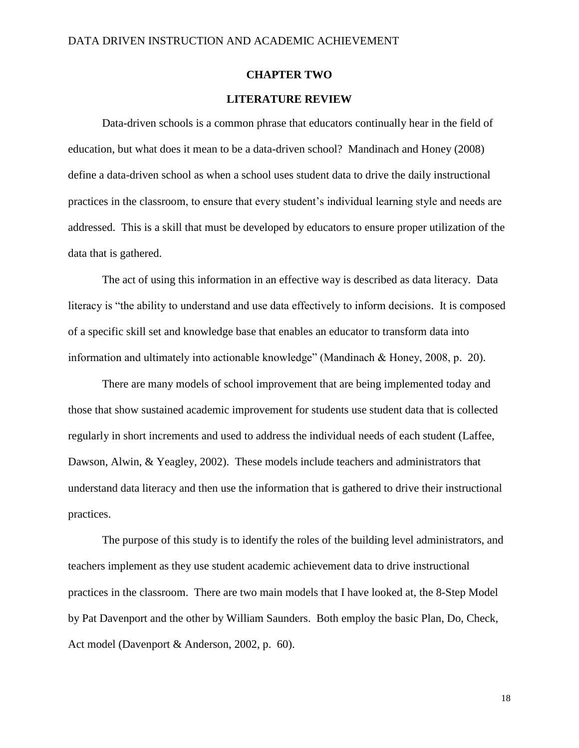# **CHAPTER TWO**

### **LITERATURE REVIEW**

<span id="page-17-1"></span><span id="page-17-0"></span>Data-driven schools is a common phrase that educators continually hear in the field of education, but what does it mean to be a data-driven school? Mandinach and Honey (2008) define a data-driven school as when a school uses student data to drive the daily instructional practices in the classroom, to ensure that every student's individual learning style and needs are addressed. This is a skill that must be developed by educators to ensure proper utilization of the data that is gathered.

The act of using this information in an effective way is described as data literacy. Data literacy is "the ability to understand and use data effectively to inform decisions. It is composed of a specific skill set and knowledge base that enables an educator to transform data into information and ultimately into actionable knowledge" (Mandinach & Honey, 2008, p. 20).

There are many models of school improvement that are being implemented today and those that show sustained academic improvement for students use student data that is collected regularly in short increments and used to address the individual needs of each student (Laffee, Dawson, Alwin, & Yeagley, 2002). These models include teachers and administrators that understand data literacy and then use the information that is gathered to drive their instructional practices.

The purpose of this study is to identify the roles of the building level administrators, and teachers implement as they use student academic achievement data to drive instructional practices in the classroom. There are two main models that I have looked at, the 8-Step Model by Pat Davenport and the other by William Saunders. Both employ the basic Plan, Do, Check, Act model (Davenport & Anderson, 2002, p. 60).

18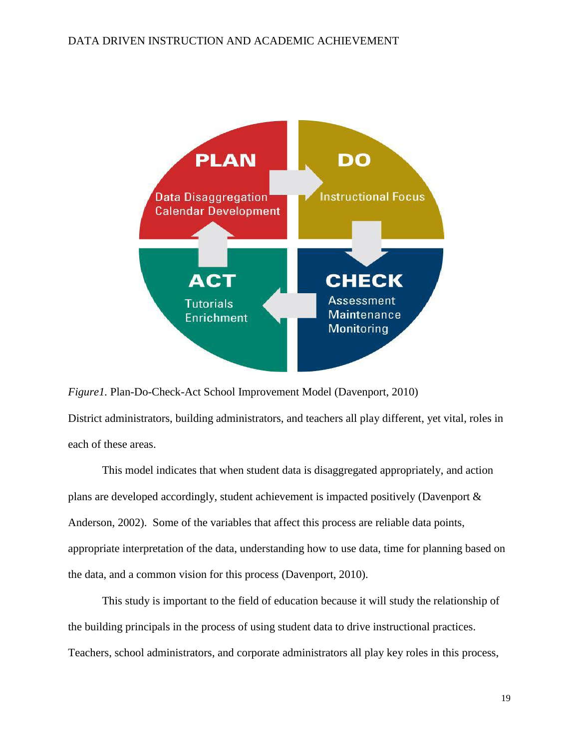

*Figure1.* Plan-Do-Check-Act School Improvement Model (Davenport, 2010) District administrators, building administrators, and teachers all play different, yet vital, roles in each of these areas.

This model indicates that when student data is disaggregated appropriately, and action plans are developed accordingly, student achievement is impacted positively (Davenport & Anderson, 2002). Some of the variables that affect this process are reliable data points, appropriate interpretation of the data, understanding how to use data, time for planning based on the data, and a common vision for this process (Davenport, 2010).

This study is important to the field of education because it will study the relationship of the building principals in the process of using student data to drive instructional practices. Teachers, school administrators, and corporate administrators all play key roles in this process,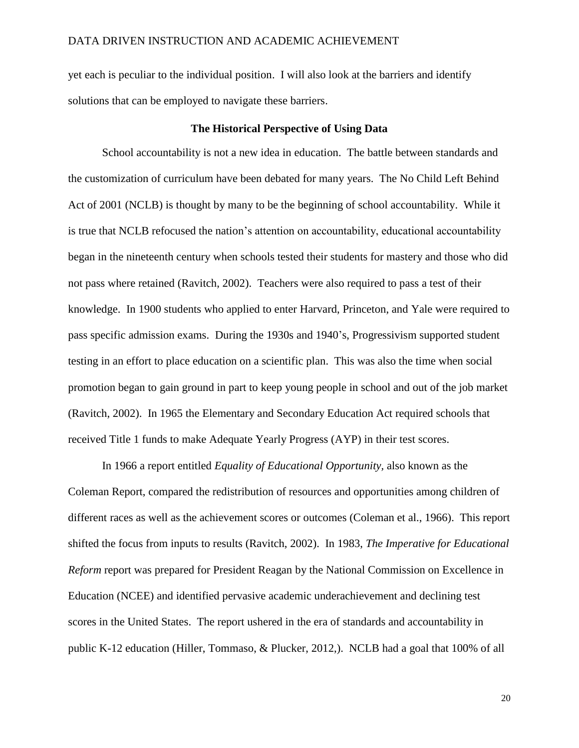yet each is peculiar to the individual position. I will also look at the barriers and identify solutions that can be employed to navigate these barriers.

#### **The Historical Perspective of Using Data**

<span id="page-19-0"></span>School accountability is not a new idea in education. The battle between standards and the customization of curriculum have been debated for many years. The No Child Left Behind Act of 2001 (NCLB) is thought by many to be the beginning of school accountability. While it is true that NCLB refocused the nation's attention on accountability, educational accountability began in the nineteenth century when schools tested their students for mastery and those who did not pass where retained (Ravitch, 2002). Teachers were also required to pass a test of their knowledge. In 1900 students who applied to enter Harvard, Princeton, and Yale were required to pass specific admission exams. During the 1930s and 1940's, Progressivism supported student testing in an effort to place education on a scientific plan. This was also the time when social promotion began to gain ground in part to keep young people in school and out of the job market (Ravitch, 2002). In 1965 the Elementary and Secondary Education Act required schools that received Title 1 funds to make Adequate Yearly Progress (AYP) in their test scores.

In 1966 a report entitled *Equality of Educational Opportunity,* also known as the Coleman Report, compared the redistribution of resources and opportunities among children of different races as well as the achievement scores or outcomes (Coleman et al., 1966). This report shifted the focus from inputs to results (Ravitch, 2002). In 1983, *The Imperative for Educational Reform* report was prepared for President Reagan by the National Commission on Excellence in Education (NCEE) and identified pervasive academic underachievement and declining test scores in the United States. The report ushered in the era of standards and accountability in public K-12 education (Hiller, Tommaso, & Plucker, 2012,). NCLB had a goal that 100% of all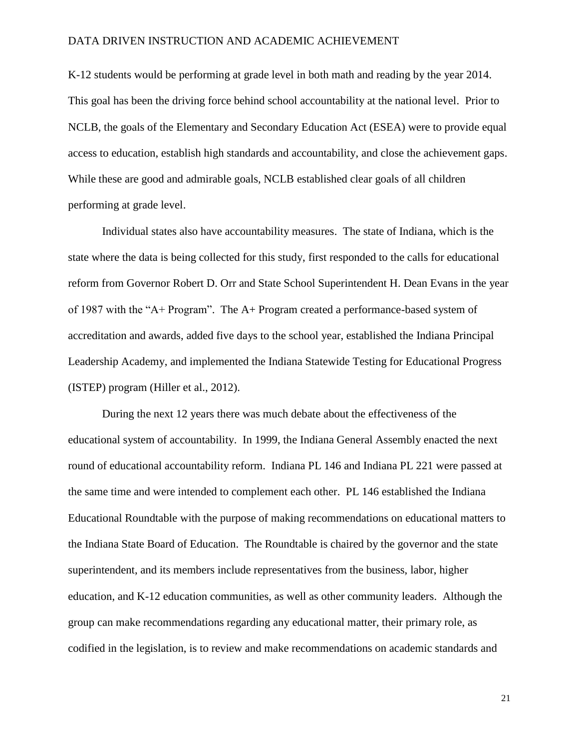K-12 students would be performing at grade level in both math and reading by the year 2014. This goal has been the driving force behind school accountability at the national level. Prior to NCLB, the goals of the Elementary and Secondary Education Act (ESEA) were to provide equal access to education, establish high standards and accountability, and close the achievement gaps. While these are good and admirable goals, NCLB established clear goals of all children performing at grade level.

Individual states also have accountability measures. The state of Indiana, which is the state where the data is being collected for this study, first responded to the calls for educational reform from Governor Robert D. Orr and State School Superintendent H. Dean Evans in the year of 1987 with the "A+ Program". The A+ Program created a performance-based system of accreditation and awards, added five days to the school year, established the Indiana Principal Leadership Academy, and implemented the Indiana Statewide Testing for Educational Progress (ISTEP) program (Hiller et al., 2012).

During the next 12 years there was much debate about the effectiveness of the educational system of accountability. In 1999, the Indiana General Assembly enacted the next round of educational accountability reform. Indiana PL 146 and Indiana PL 221 were passed at the same time and were intended to complement each other. PL 146 established the Indiana Educational Roundtable with the purpose of making recommendations on educational matters to the Indiana State Board of Education. The Roundtable is chaired by the governor and the state superintendent, and its members include representatives from the business, labor, higher education, and K-12 education communities, as well as other community leaders. Although the group can make recommendations regarding any educational matter, their primary role, as codified in the legislation, is to review and make recommendations on academic standards and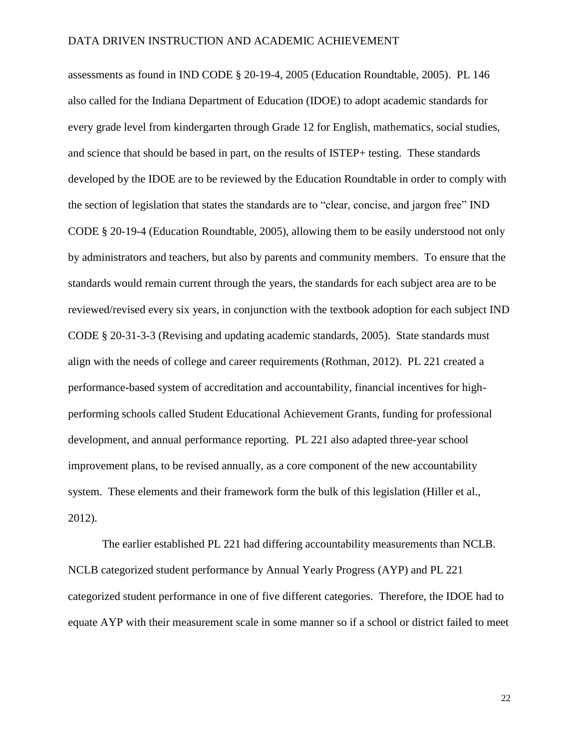assessments as found in IND CODE § 20-19-4, 2005 (Education Roundtable, 2005). PL 146 also called for the Indiana Department of Education (IDOE) to adopt academic standards for every grade level from kindergarten through Grade 12 for English, mathematics, social studies, and science that should be based in part, on the results of ISTEP+ testing. These standards developed by the IDOE are to be reviewed by the Education Roundtable in order to comply with the section of legislation that states the standards are to "clear, concise, and jargon free" IND CODE § 20-19-4 (Education Roundtable, 2005), allowing them to be easily understood not only by administrators and teachers, but also by parents and community members. To ensure that the standards would remain current through the years, the standards for each subject area are to be reviewed/revised every six years, in conjunction with the textbook adoption for each subject IND CODE § 20-31-3-3 (Revising and updating academic standards, 2005). State standards must align with the needs of college and career requirements (Rothman, 2012). PL 221 created a performance-based system of accreditation and accountability, financial incentives for highperforming schools called Student Educational Achievement Grants, funding for professional development, and annual performance reporting. PL 221 also adapted three-year school improvement plans, to be revised annually, as a core component of the new accountability system. These elements and their framework form the bulk of this legislation (Hiller et al., 2012).

The earlier established PL 221 had differing accountability measurements than NCLB. NCLB categorized student performance by Annual Yearly Progress (AYP) and PL 221 categorized student performance in one of five different categories. Therefore, the IDOE had to equate AYP with their measurement scale in some manner so if a school or district failed to meet

22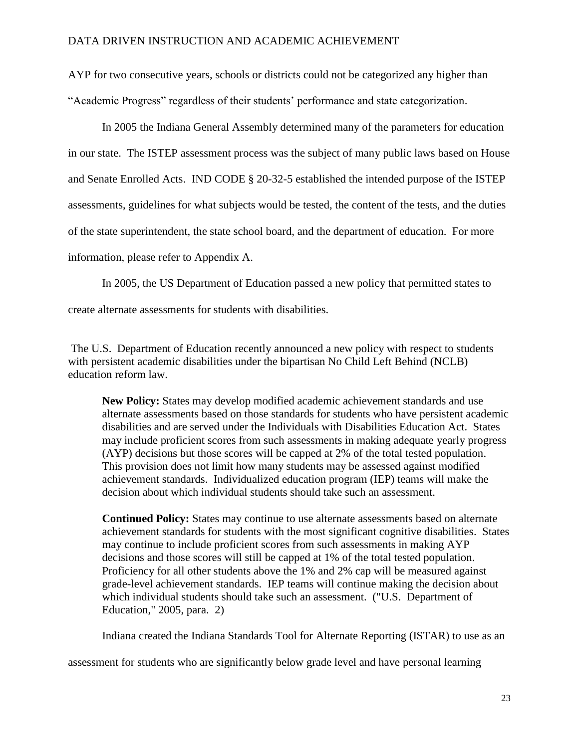AYP for two consecutive years, schools or districts could not be categorized any higher than "Academic Progress" regardless of their students' performance and state categorization.

In 2005 the Indiana General Assembly determined many of the parameters for education in our state. The ISTEP assessment process was the subject of many public laws based on House and Senate Enrolled Acts. IND CODE § 20-32-5 established the intended purpose of the ISTEP assessments, guidelines for what subjects would be tested, the content of the tests, and the duties of the state superintendent, the state school board, and the department of education. For more information, please refer to Appendix A.

In 2005, the US Department of Education passed a new policy that permitted states to create alternate assessments for students with disabilities.

The U.S. Department of Education recently announced a new policy with respect to students with persistent academic disabilities under the bipartisan No Child Left Behind (NCLB) education reform law.

**New Policy:** States may develop modified academic achievement standards and use alternate assessments based on those standards for students who have persistent academic disabilities and are served under the Individuals with Disabilities Education Act. States may include proficient scores from such assessments in making adequate yearly progress (AYP) decisions but those scores will be capped at 2% of the total tested population. This provision does not limit how many students may be assessed against modified achievement standards. Individualized education program (IEP) teams will make the decision about which individual students should take such an assessment.

**Continued Policy:** States may continue to use alternate assessments based on alternate achievement standards for students with the most significant cognitive disabilities. States may continue to include proficient scores from such assessments in making AYP decisions and those scores will still be capped at 1% of the total tested population. Proficiency for all other students above the 1% and 2% cap will be measured against grade-level achievement standards. IEP teams will continue making the decision about which individual students should take such an assessment. ("U.S. Department of Education," 2005, para. 2)

Indiana created the Indiana Standards Tool for Alternate Reporting (ISTAR) to use as an

assessment for students who are significantly below grade level and have personal learning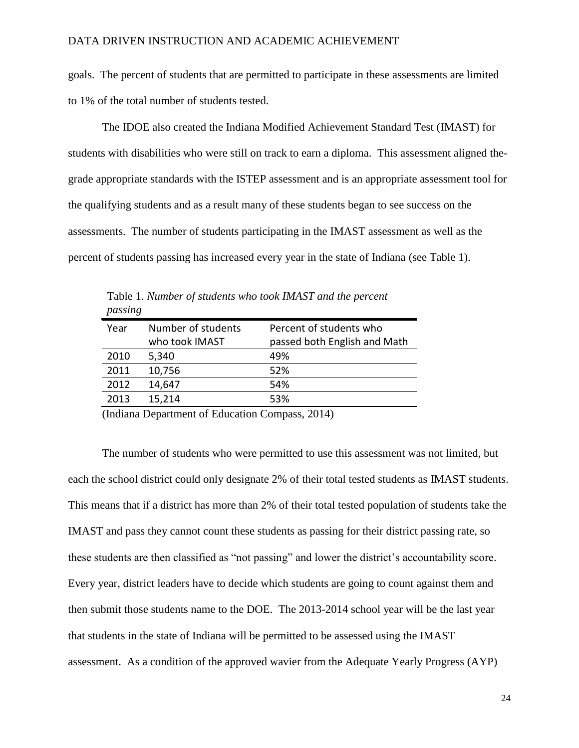goals. The percent of students that are permitted to participate in these assessments are limited to 1% of the total number of students tested.

The IDOE also created the Indiana Modified Achievement Standard Test (IMAST) for students with disabilities who were still on track to earn a diploma. This assessment aligned thegrade appropriate standards with the ISTEP assessment and is an appropriate assessment tool for the qualifying students and as a result many of these students began to see success on the assessments. The number of students participating in the IMAST assessment as well as the percent of students passing has increased every year in the state of Indiana (see Table 1).

| passing |                                                               |                                |
|---------|---------------------------------------------------------------|--------------------------------|
| Year    | Number of students                                            | Percent of students who        |
|         | who took IMAST                                                | passed both English and Math   |
| 2010    | 5,340                                                         | 49%                            |
| 2011    | 10,756                                                        | 52%                            |
| 2012    | 14,647                                                        | 54%                            |
| 2013    | 15,214                                                        | 53%                            |
| $ -$    | $\sim$ $\sim$ $\sim$<br>$\bullet$<br>$\overline{\phantom{a}}$ | $\sim$<br>$\sim$ $\sim$ $\sim$ |

Table 1. *Number of students who took IMAST and the percent passing*

(Indiana Department of Education Compass, 2014)

The number of students who were permitted to use this assessment was not limited, but each the school district could only designate 2% of their total tested students as IMAST students. This means that if a district has more than 2% of their total tested population of students take the IMAST and pass they cannot count these students as passing for their district passing rate, so these students are then classified as "not passing" and lower the district's accountability score. Every year, district leaders have to decide which students are going to count against them and then submit those students name to the DOE. The 2013-2014 school year will be the last year that students in the state of Indiana will be permitted to be assessed using the IMAST assessment. As a condition of the approved wavier from the Adequate Yearly Progress (AYP)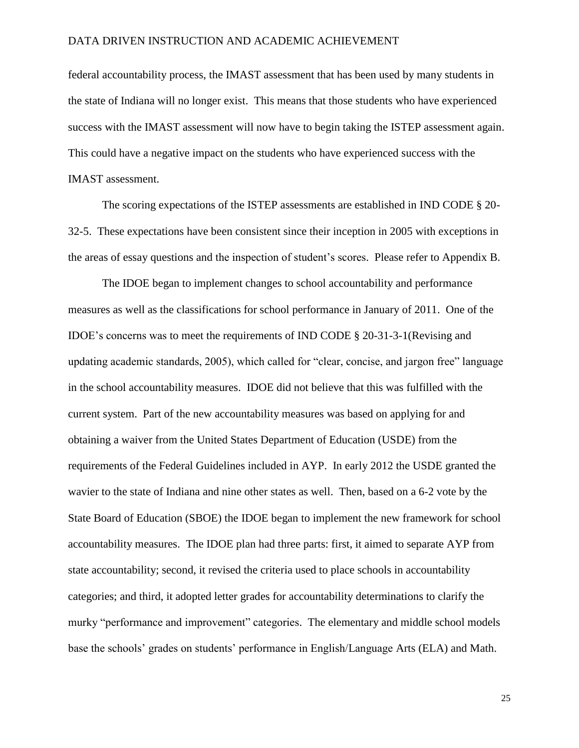federal accountability process, the IMAST assessment that has been used by many students in the state of Indiana will no longer exist. This means that those students who have experienced success with the IMAST assessment will now have to begin taking the ISTEP assessment again. This could have a negative impact on the students who have experienced success with the IMAST assessment.

The scoring expectations of the ISTEP assessments are established in IND CODE § 20- 32-5. These expectations have been consistent since their inception in 2005 with exceptions in the areas of essay questions and the inspection of student's scores. Please refer to Appendix B.

The IDOE began to implement changes to school accountability and performance measures as well as the classifications for school performance in January of 2011. One of the IDOE's concerns was to meet the requirements of IND CODE § 20-31-3-1(Revising and updating academic standards, 2005), which called for "clear, concise, and jargon free" language in the school accountability measures. IDOE did not believe that this was fulfilled with the current system. Part of the new accountability measures was based on applying for and obtaining a waiver from the United States Department of Education (USDE) from the requirements of the Federal Guidelines included in AYP. In early 2012 the USDE granted the wavier to the state of Indiana and nine other states as well. Then, based on a 6-2 vote by the State Board of Education (SBOE) the IDOE began to implement the new framework for school accountability measures. The IDOE plan had three parts: first, it aimed to separate AYP from state accountability; second, it revised the criteria used to place schools in accountability categories; and third, it adopted letter grades for accountability determinations to clarify the murky "performance and improvement" categories. The elementary and middle school models base the schools' grades on students' performance in English/Language Arts (ELA) and Math.

25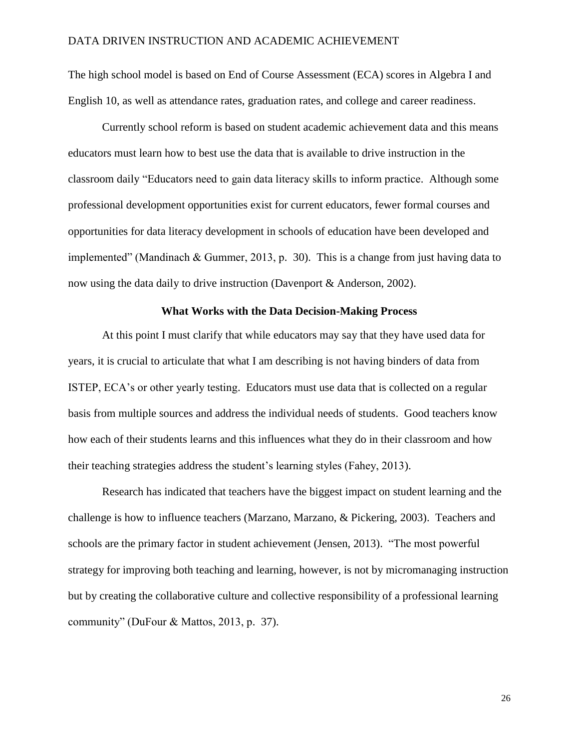The high school model is based on End of Course Assessment (ECA) scores in Algebra I and English 10, as well as attendance rates, graduation rates, and college and career readiness.

Currently school reform is based on student academic achievement data and this means educators must learn how to best use the data that is available to drive instruction in the classroom daily "Educators need to gain data literacy skills to inform practice. Although some professional development opportunities exist for current educators, fewer formal courses and opportunities for data literacy development in schools of education have been developed and implemented" (Mandinach & Gummer, 2013, p. 30). This is a change from just having data to now using the data daily to drive instruction (Davenport & Anderson, 2002).

# **What Works with the Data Decision-Making Process**

<span id="page-25-0"></span>At this point I must clarify that while educators may say that they have used data for years, it is crucial to articulate that what I am describing is not having binders of data from ISTEP, ECA's or other yearly testing. Educators must use data that is collected on a regular basis from multiple sources and address the individual needs of students. Good teachers know how each of their students learns and this influences what they do in their classroom and how their teaching strategies address the student's learning styles (Fahey, 2013).

Research has indicated that teachers have the biggest impact on student learning and the challenge is how to influence teachers (Marzano, Marzano, & Pickering, 2003). Teachers and schools are the primary factor in student achievement (Jensen, 2013). "The most powerful strategy for improving both teaching and learning, however, is not by micromanaging instruction but by creating the collaborative culture and collective responsibility of a professional learning community" (DuFour & Mattos, 2013, p. 37).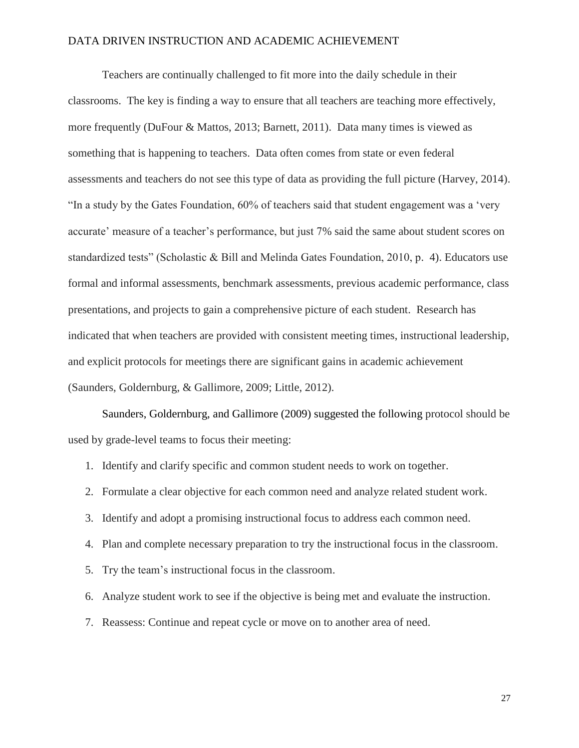Teachers are continually challenged to fit more into the daily schedule in their classrooms. The key is finding a way to ensure that all teachers are teaching more effectively, more frequently (DuFour & Mattos, 2013; Barnett, 2011). Data many times is viewed as something that is happening to teachers. Data often comes from state or even federal assessments and teachers do not see this type of data as providing the full picture (Harvey, 2014). "In a study by the Gates Foundation, 60% of teachers said that student engagement was a 'very accurate' measure of a teacher's performance, but just 7% said the same about student scores on standardized tests" (Scholastic & Bill and Melinda Gates Foundation, 2010, p. 4). Educators use formal and informal assessments, benchmark assessments, previous academic performance, class presentations, and projects to gain a comprehensive picture of each student. Research has indicated that when teachers are provided with consistent meeting times, instructional leadership, and explicit protocols for meetings there are significant gains in academic achievement (Saunders, Goldernburg, & Gallimore, 2009; Little, 2012).

Saunders, Goldernburg, and Gallimore (2009) suggested the following protocol should be used by grade-level teams to focus their meeting:

- 1. Identify and clarify specific and common student needs to work on together.
- 2. Formulate a clear objective for each common need and analyze related student work.
- 3. Identify and adopt a promising instructional focus to address each common need.
- 4. Plan and complete necessary preparation to try the instructional focus in the classroom.
- 5. Try the team's instructional focus in the classroom.
- 6. Analyze student work to see if the objective is being met and evaluate the instruction.
- 7. Reassess: Continue and repeat cycle or move on to another area of need.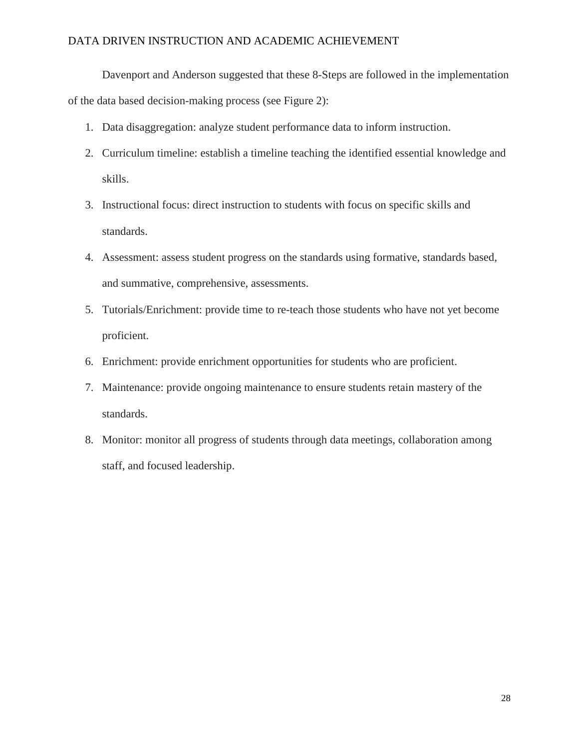Davenport and Anderson suggested that these 8-Steps are followed in the implementation of the data based decision-making process (see Figure 2):

- 1. Data disaggregation: analyze student performance data to inform instruction.
- 2. Curriculum timeline: establish a timeline teaching the identified essential knowledge and skills.
- 3. Instructional focus: direct instruction to students with focus on specific skills and standards.
- 4. Assessment: assess student progress on the standards using formative, standards based, and summative, comprehensive, assessments.
- 5. Tutorials/Enrichment: provide time to re-teach those students who have not yet become proficient.
- 6. Enrichment: provide enrichment opportunities for students who are proficient.
- 7. Maintenance: provide ongoing maintenance to ensure students retain mastery of the standards.
- 8. Monitor: monitor all progress of students through data meetings, collaboration among staff, and focused leadership.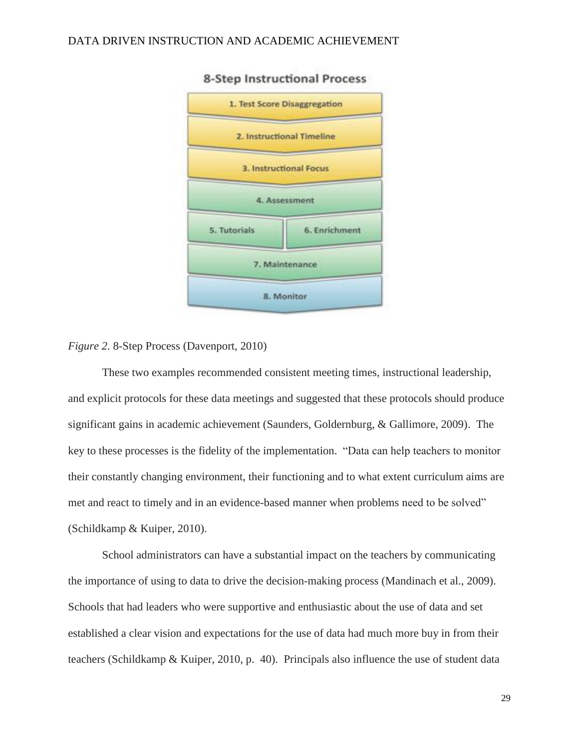

**8-Step Instructional Process** 

*Figure 2.* 8-Step Process (Davenport, 2010)

These two examples recommended consistent meeting times, instructional leadership, and explicit protocols for these data meetings and suggested that these protocols should produce significant gains in academic achievement (Saunders, Goldernburg, & Gallimore, 2009). The key to these processes is the fidelity of the implementation. "Data can help teachers to monitor their constantly changing environment, their functioning and to what extent curriculum aims are met and react to timely and in an evidence-based manner when problems need to be solved" (Schildkamp & Kuiper, 2010).

School administrators can have a substantial impact on the teachers by communicating the importance of using to data to drive the decision-making process (Mandinach et al., 2009). Schools that had leaders who were supportive and enthusiastic about the use of data and set established a clear vision and expectations for the use of data had much more buy in from their teachers (Schildkamp & Kuiper, 2010, p. 40). Principals also influence the use of student data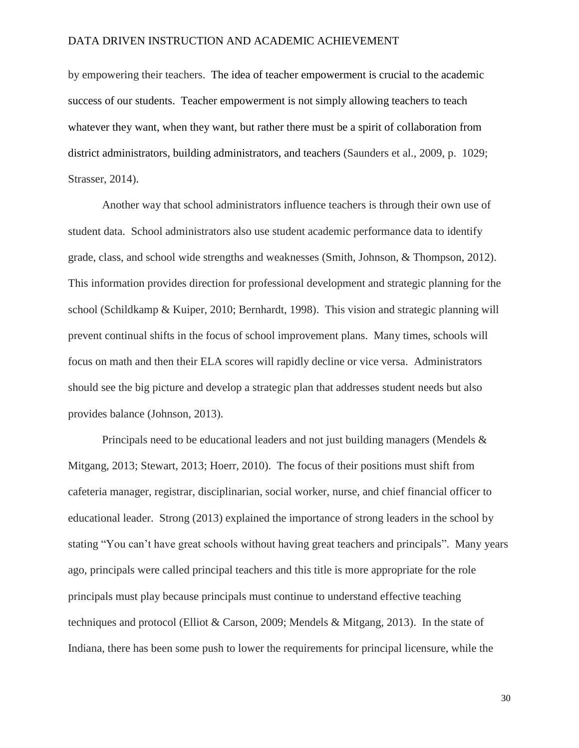by empowering their teachers. The idea of teacher empowerment is crucial to the academic success of our students. Teacher empowerment is not simply allowing teachers to teach whatever they want, when they want, but rather there must be a spirit of collaboration from district administrators, building administrators, and teachers (Saunders et al., 2009, p. 1029; Strasser, 2014).

Another way that school administrators influence teachers is through their own use of student data. School administrators also use student academic performance data to identify grade, class, and school wide strengths and weaknesses (Smith, Johnson, & Thompson, 2012). This information provides direction for professional development and strategic planning for the school (Schildkamp & Kuiper, 2010; Bernhardt, 1998). This vision and strategic planning will prevent continual shifts in the focus of school improvement plans. Many times, schools will focus on math and then their ELA scores will rapidly decline or vice versa. Administrators should see the big picture and develop a strategic plan that addresses student needs but also provides balance (Johnson, 2013).

Principals need to be educational leaders and not just building managers (Mendels & Mitgang, 2013; Stewart, 2013; Hoerr, 2010). The focus of their positions must shift from cafeteria manager, registrar, disciplinarian, social worker, nurse, and chief financial officer to educational leader. Strong (2013) explained the importance of strong leaders in the school by stating "You can't have great schools without having great teachers and principals". Many years ago, principals were called principal teachers and this title is more appropriate for the role principals must play because principals must continue to understand effective teaching techniques and protocol (Elliot & Carson, 2009; Mendels & Mitgang, 2013). In the state of Indiana, there has been some push to lower the requirements for principal licensure, while the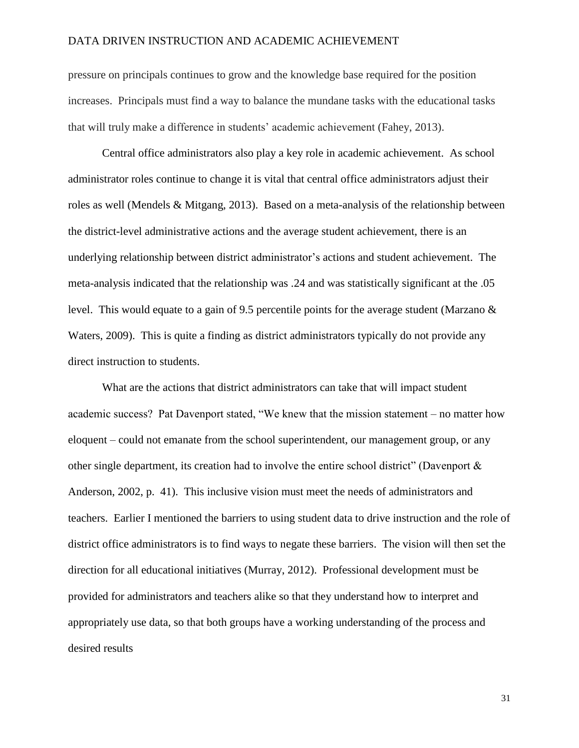pressure on principals continues to grow and the knowledge base required for the position increases. Principals must find a way to balance the mundane tasks with the educational tasks that will truly make a difference in students' academic achievement (Fahey, 2013).

Central office administrators also play a key role in academic achievement. As school administrator roles continue to change it is vital that central office administrators adjust their roles as well (Mendels & Mitgang, 2013). Based on a meta-analysis of the relationship between the district-level administrative actions and the average student achievement, there is an underlying relationship between district administrator's actions and student achievement. The meta-analysis indicated that the relationship was .24 and was statistically significant at the .05 level. This would equate to a gain of 9.5 percentile points for the average student (Marzano & Waters, 2009). This is quite a finding as district administrators typically do not provide any direct instruction to students.

What are the actions that district administrators can take that will impact student academic success? Pat Davenport stated, "We knew that the mission statement – no matter how eloquent – could not emanate from the school superintendent, our management group, or any other single department, its creation had to involve the entire school district" (Davenport  $\&$ Anderson, 2002, p. 41). This inclusive vision must meet the needs of administrators and teachers. Earlier I mentioned the barriers to using student data to drive instruction and the role of district office administrators is to find ways to negate these barriers. The vision will then set the direction for all educational initiatives (Murray, 2012). Professional development must be provided for administrators and teachers alike so that they understand how to interpret and appropriately use data, so that both groups have a working understanding of the process and desired results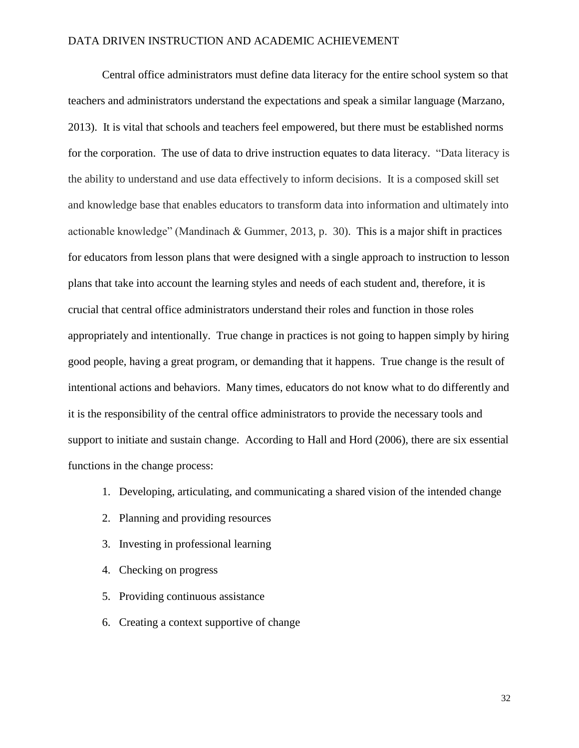Central office administrators must define data literacy for the entire school system so that teachers and administrators understand the expectations and speak a similar language (Marzano, 2013). It is vital that schools and teachers feel empowered, but there must be established norms for the corporation. The use of data to drive instruction equates to data literacy. "Data literacy is the ability to understand and use data effectively to inform decisions. It is a composed skill set and knowledge base that enables educators to transform data into information and ultimately into actionable knowledge" (Mandinach & Gummer, 2013, p. 30). This is a major shift in practices for educators from lesson plans that were designed with a single approach to instruction to lesson plans that take into account the learning styles and needs of each student and, therefore, it is crucial that central office administrators understand their roles and function in those roles appropriately and intentionally. True change in practices is not going to happen simply by hiring good people, having a great program, or demanding that it happens. True change is the result of intentional actions and behaviors. Many times, educators do not know what to do differently and it is the responsibility of the central office administrators to provide the necessary tools and support to initiate and sustain change. According to Hall and Hord (2006), there are six essential functions in the change process:

- 1. Developing, articulating, and communicating a shared vision of the intended change
- 2. Planning and providing resources
- 3. Investing in professional learning
- 4. Checking on progress
- 5. Providing continuous assistance
- 6. Creating a context supportive of change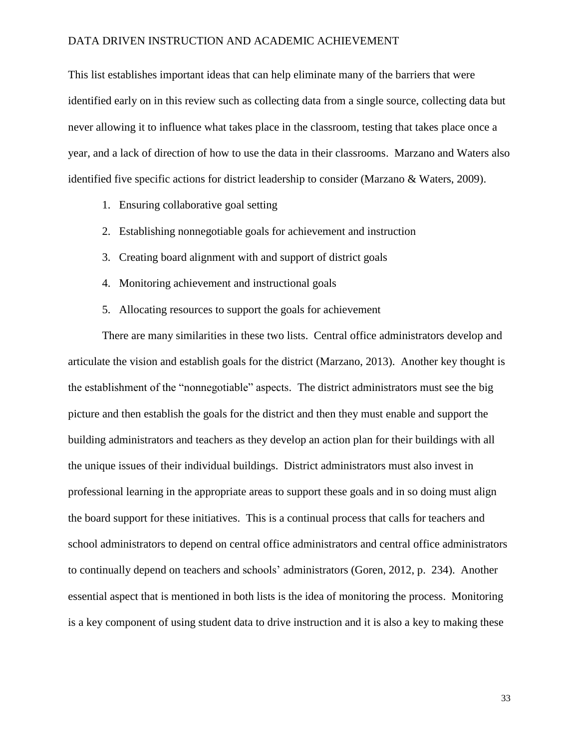This list establishes important ideas that can help eliminate many of the barriers that were identified early on in this review such as collecting data from a single source, collecting data but never allowing it to influence what takes place in the classroom, testing that takes place once a year, and a lack of direction of how to use the data in their classrooms. Marzano and Waters also identified five specific actions for district leadership to consider (Marzano & Waters, 2009).

- 1. Ensuring collaborative goal setting
- 2. Establishing nonnegotiable goals for achievement and instruction
- 3. Creating board alignment with and support of district goals
- 4. Monitoring achievement and instructional goals
- 5. Allocating resources to support the goals for achievement

There are many similarities in these two lists. Central office administrators develop and articulate the vision and establish goals for the district (Marzano, 2013). Another key thought is the establishment of the "nonnegotiable" aspects. The district administrators must see the big picture and then establish the goals for the district and then they must enable and support the building administrators and teachers as they develop an action plan for their buildings with all the unique issues of their individual buildings. District administrators must also invest in professional learning in the appropriate areas to support these goals and in so doing must align the board support for these initiatives. This is a continual process that calls for teachers and school administrators to depend on central office administrators and central office administrators to continually depend on teachers and schools' administrators (Goren, 2012, p. 234). Another essential aspect that is mentioned in both lists is the idea of monitoring the process. Monitoring is a key component of using student data to drive instruction and it is also a key to making these

33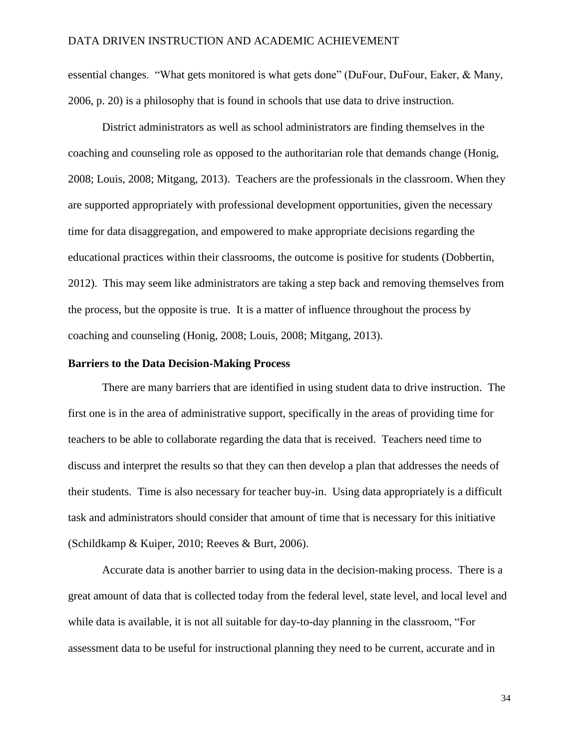essential changes. "What gets monitored is what gets done" (DuFour, DuFour, Eaker, & Many, 2006, p. 20) is a philosophy that is found in schools that use data to drive instruction.

District administrators as well as school administrators are finding themselves in the coaching and counseling role as opposed to the authoritarian role that demands change (Honig, 2008; Louis, 2008; Mitgang, 2013). Teachers are the professionals in the classroom. When they are supported appropriately with professional development opportunities, given the necessary time for data disaggregation, and empowered to make appropriate decisions regarding the educational practices within their classrooms, the outcome is positive for students (Dobbertin, 2012). This may seem like administrators are taking a step back and removing themselves from the process, but the opposite is true. It is a matter of influence throughout the process by coaching and counseling (Honig, 2008; Louis, 2008; Mitgang, 2013).

#### <span id="page-33-0"></span>**Barriers to the Data Decision-Making Process**

There are many barriers that are identified in using student data to drive instruction. The first one is in the area of administrative support, specifically in the areas of providing time for teachers to be able to collaborate regarding the data that is received. Teachers need time to discuss and interpret the results so that they can then develop a plan that addresses the needs of their students. Time is also necessary for teacher buy-in. Using data appropriately is a difficult task and administrators should consider that amount of time that is necessary for this initiative (Schildkamp & Kuiper, 2010; Reeves & Burt, 2006).

Accurate data is another barrier to using data in the decision-making process. There is a great amount of data that is collected today from the federal level, state level, and local level and while data is available, it is not all suitable for day-to-day planning in the classroom, "For assessment data to be useful for instructional planning they need to be current, accurate and in

34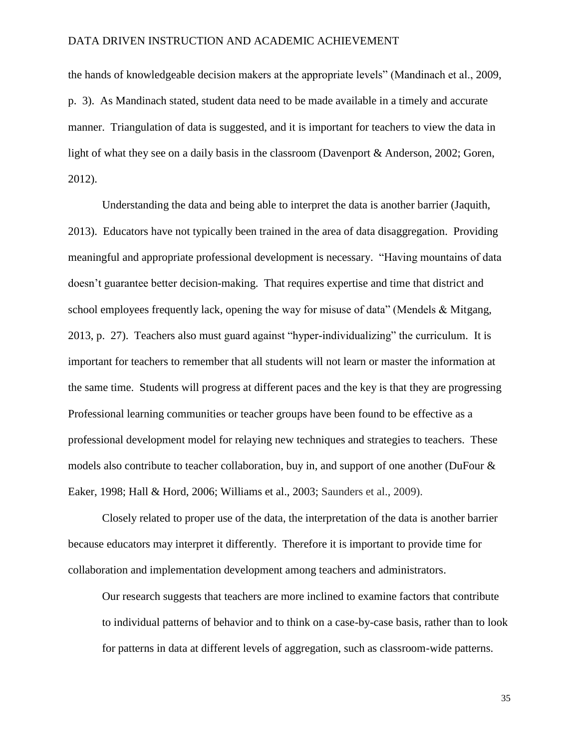the hands of knowledgeable decision makers at the appropriate levels" (Mandinach et al., 2009, p. 3). As Mandinach stated, student data need to be made available in a timely and accurate manner. Triangulation of data is suggested, and it is important for teachers to view the data in light of what they see on a daily basis in the classroom (Davenport & Anderson, 2002; Goren, 2012).

Understanding the data and being able to interpret the data is another barrier (Jaquith, 2013). Educators have not typically been trained in the area of data disaggregation. Providing meaningful and appropriate professional development is necessary. "Having mountains of data doesn't guarantee better decision-making. That requires expertise and time that district and school employees frequently lack, opening the way for misuse of data" (Mendels & Mitgang, 2013, p. 27). Teachers also must guard against "hyper-individualizing" the curriculum. It is important for teachers to remember that all students will not learn or master the information at the same time. Students will progress at different paces and the key is that they are progressing Professional learning communities or teacher groups have been found to be effective as a professional development model for relaying new techniques and strategies to teachers. These models also contribute to teacher collaboration, buy in, and support of one another (DuFour & Eaker, 1998; Hall & Hord, 2006; Williams et al., 2003; Saunders et al., 2009).

Closely related to proper use of the data, the interpretation of the data is another barrier because educators may interpret it differently. Therefore it is important to provide time for collaboration and implementation development among teachers and administrators.

Our research suggests that teachers are more inclined to examine factors that contribute to individual patterns of behavior and to think on a case-by-case basis, rather than to look for patterns in data at different levels of aggregation, such as classroom-wide patterns.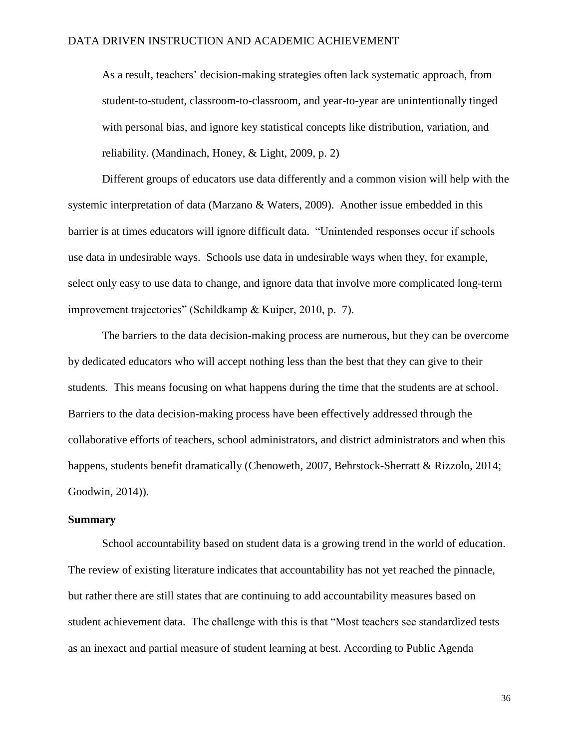As a result, teachers' decision-making strategies often lack systematic approach, from student-to-student, classroom-to-classroom, and year-to-year are unintentionally tinged with personal bias, and ignore key statistical concepts like distribution, variation, and reliability. (Mandinach, Honey, & Light, 2009, p. 2)

Different groups of educators use data differently and a common vision will help with the systemic interpretation of data (Marzano & Waters, 2009). Another issue embedded in this barrier is at times educators will ignore difficult data. "Unintended responses occur if schools use data in undesirable ways. Schools use data in undesirable ways when they, for example, select only easy to use data to change, and ignore data that involve more complicated long-term improvement trajectories" (Schildkamp & Kuiper, 2010, p. 7).

The barriers to the data decision-making process are numerous, but they can be overcome by dedicated educators who will accept nothing less than the best that they can give to their students. This means focusing on what happens during the time that the students are at school. Barriers to the data decision-making process have been effectively addressed through the collaborative efforts of teachers, school administrators, and district administrators and when this happens, students benefit dramatically (Chenoweth, 2007, Behrstock-Sherratt & Rizzolo, 2014; Goodwin, 2014)).

# <span id="page-35-0"></span>**Summary**

School accountability based on student data is a growing trend in the world of education. The review of existing literature indicates that accountability has not yet reached the pinnacle, but rather there are still states that are continuing to add accountability measures based on student achievement data. The challenge with this is that "Most teachers see standardized tests as an inexact and partial measure of student learning at best. According to Public Agenda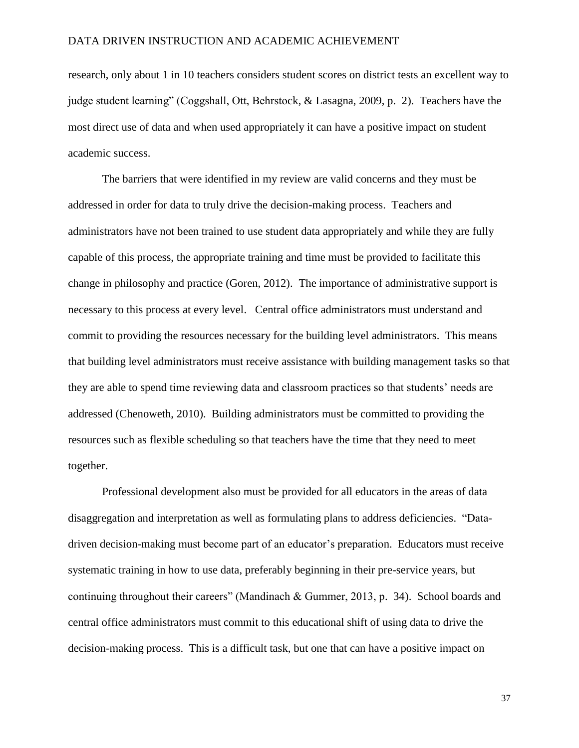research, only about 1 in 10 teachers considers student scores on district tests an excellent way to judge student learning" (Coggshall, Ott, Behrstock, & Lasagna, 2009, p. 2). Teachers have the most direct use of data and when used appropriately it can have a positive impact on student academic success.

The barriers that were identified in my review are valid concerns and they must be addressed in order for data to truly drive the decision-making process. Teachers and administrators have not been trained to use student data appropriately and while they are fully capable of this process, the appropriate training and time must be provided to facilitate this change in philosophy and practice (Goren, 2012). The importance of administrative support is necessary to this process at every level. Central office administrators must understand and commit to providing the resources necessary for the building level administrators. This means that building level administrators must receive assistance with building management tasks so that they are able to spend time reviewing data and classroom practices so that students' needs are addressed (Chenoweth, 2010). Building administrators must be committed to providing the resources such as flexible scheduling so that teachers have the time that they need to meet together.

Professional development also must be provided for all educators in the areas of data disaggregation and interpretation as well as formulating plans to address deficiencies. "Datadriven decision-making must become part of an educator's preparation. Educators must receive systematic training in how to use data, preferably beginning in their pre-service years, but continuing throughout their careers" (Mandinach & Gummer, 2013, p. 34). School boards and central office administrators must commit to this educational shift of using data to drive the decision-making process. This is a difficult task, but one that can have a positive impact on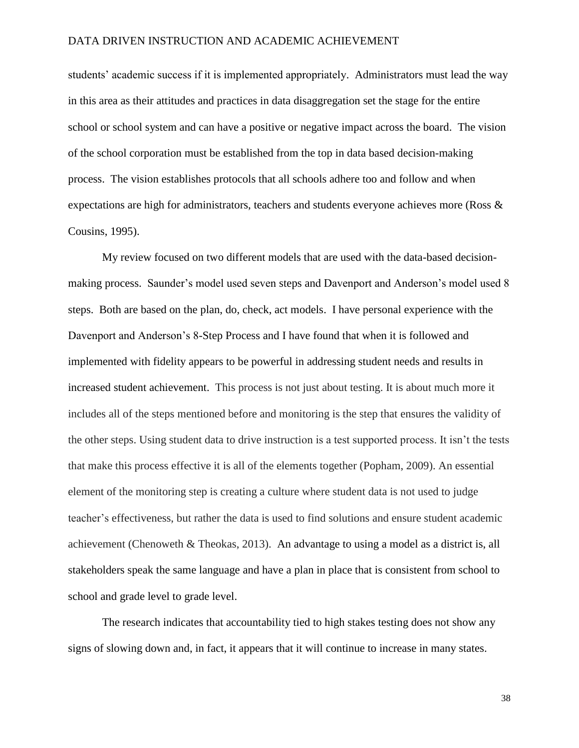students' academic success if it is implemented appropriately. Administrators must lead the way in this area as their attitudes and practices in data disaggregation set the stage for the entire school or school system and can have a positive or negative impact across the board. The vision of the school corporation must be established from the top in data based decision-making process. The vision establishes protocols that all schools adhere too and follow and when expectations are high for administrators, teachers and students everyone achieves more (Ross & Cousins, 1995).

My review focused on two different models that are used with the data-based decisionmaking process. Saunder's model used seven steps and Davenport and Anderson's model used 8 steps. Both are based on the plan, do, check, act models. I have personal experience with the Davenport and Anderson's 8-Step Process and I have found that when it is followed and implemented with fidelity appears to be powerful in addressing student needs and results in increased student achievement. This process is not just about testing. It is about much more it includes all of the steps mentioned before and monitoring is the step that ensures the validity of the other steps. Using student data to drive instruction is a test supported process. It isn't the tests that make this process effective it is all of the elements together (Popham, 2009). An essential element of the monitoring step is creating a culture where student data is not used to judge teacher's effectiveness, but rather the data is used to find solutions and ensure student academic achievement (Chenoweth & Theokas, 2013). An advantage to using a model as a district is, all stakeholders speak the same language and have a plan in place that is consistent from school to school and grade level to grade level.

The research indicates that accountability tied to high stakes testing does not show any signs of slowing down and, in fact, it appears that it will continue to increase in many states.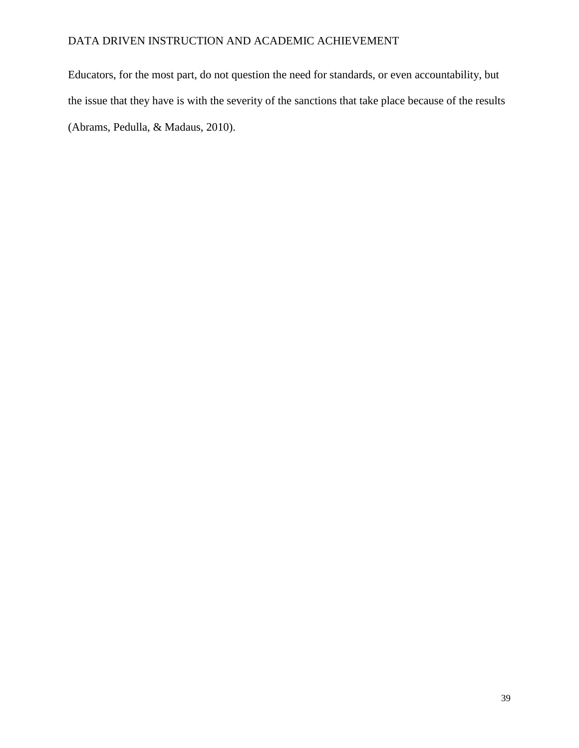Educators, for the most part, do not question the need for standards, or even accountability, but the issue that they have is with the severity of the sanctions that take place because of the results (Abrams, Pedulla, & Madaus, 2010).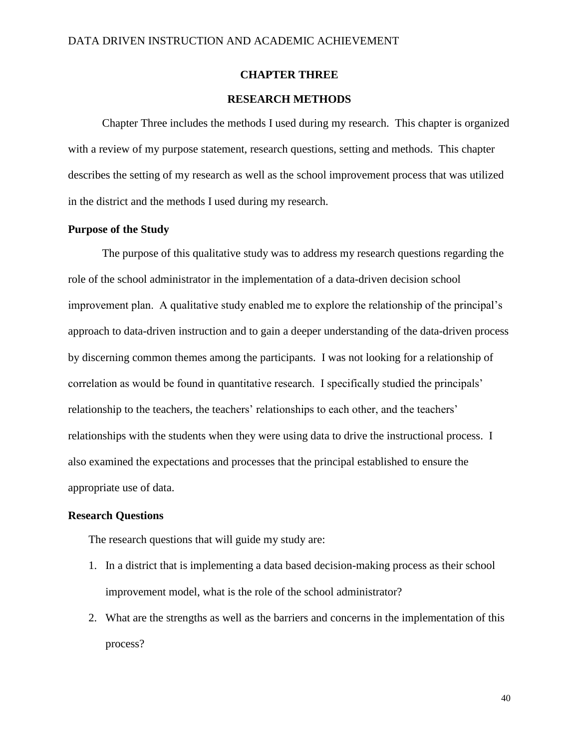# **CHAPTER THREE**

# **RESEARCH METHODS**

Chapter Three includes the methods I used during my research. This chapter is organized with a review of my purpose statement, research questions, setting and methods. This chapter describes the setting of my research as well as the school improvement process that was utilized in the district and the methods I used during my research.

## **Purpose of the Study**

The purpose of this qualitative study was to address my research questions regarding the role of the school administrator in the implementation of a data-driven decision school improvement plan. A qualitative study enabled me to explore the relationship of the principal's approach to data-driven instruction and to gain a deeper understanding of the data-driven process by discerning common themes among the participants. I was not looking for a relationship of correlation as would be found in quantitative research. I specifically studied the principals' relationship to the teachers, the teachers' relationships to each other, and the teachers' relationships with the students when they were using data to drive the instructional process. I also examined the expectations and processes that the principal established to ensure the appropriate use of data.

#### **Research Questions**

The research questions that will guide my study are:

- 1. In a district that is implementing a data based decision-making process as their school improvement model, what is the role of the school administrator?
- 2. What are the strengths as well as the barriers and concerns in the implementation of this process?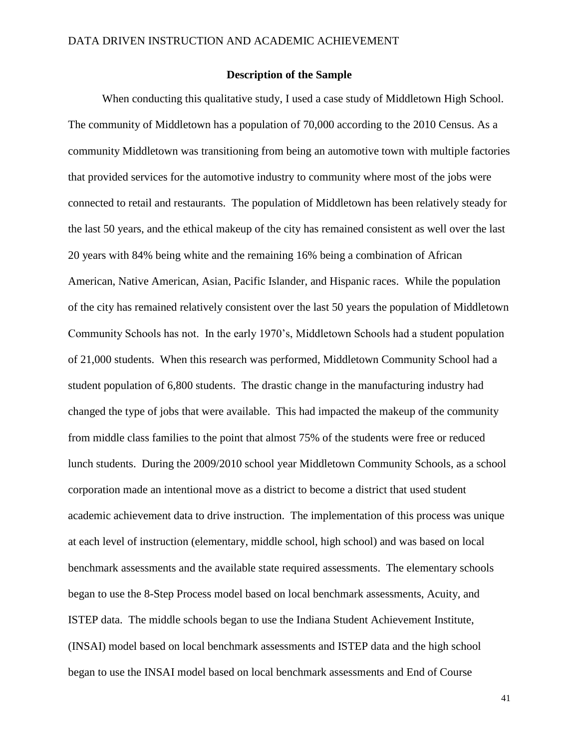# **Description of the Sample**

When conducting this qualitative study, I used a case study of Middletown High School. The community of Middletown has a population of 70,000 according to the 2010 Census. As a community Middletown was transitioning from being an automotive town with multiple factories that provided services for the automotive industry to community where most of the jobs were connected to retail and restaurants. The population of Middletown has been relatively steady for the last 50 years, and the ethical makeup of the city has remained consistent as well over the last 20 years with 84% being white and the remaining 16% being a combination of African American, Native American, Asian, Pacific Islander, and Hispanic races. While the population of the city has remained relatively consistent over the last 50 years the population of Middletown Community Schools has not. In the early 1970's, Middletown Schools had a student population of 21,000 students. When this research was performed, Middletown Community School had a student population of 6,800 students. The drastic change in the manufacturing industry had changed the type of jobs that were available. This had impacted the makeup of the community from middle class families to the point that almost 75% of the students were free or reduced lunch students. During the 2009/2010 school year Middletown Community Schools, as a school corporation made an intentional move as a district to become a district that used student academic achievement data to drive instruction. The implementation of this process was unique at each level of instruction (elementary, middle school, high school) and was based on local benchmark assessments and the available state required assessments. The elementary schools began to use the 8-Step Process model based on local benchmark assessments, Acuity, and ISTEP data. The middle schools began to use the Indiana Student Achievement Institute, (INSAI) model based on local benchmark assessments and ISTEP data and the high school began to use the INSAI model based on local benchmark assessments and End of Course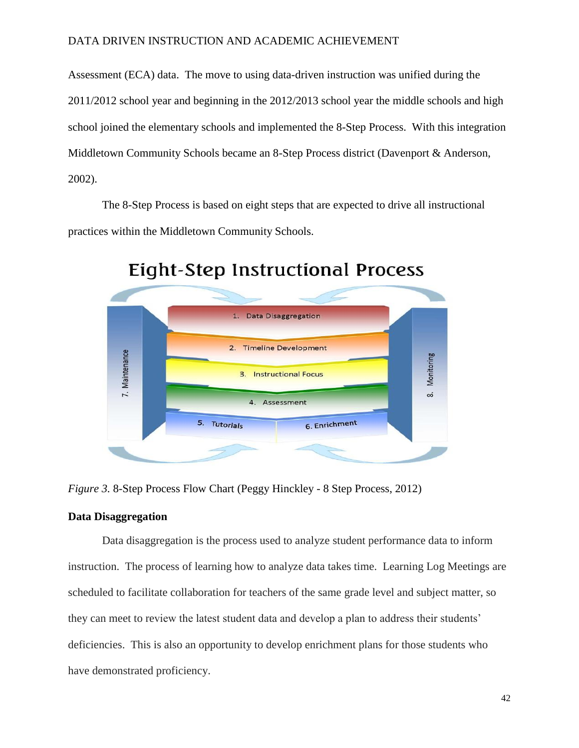Assessment (ECA) data. The move to using data-driven instruction was unified during the 2011/2012 school year and beginning in the 2012/2013 school year the middle schools and high school joined the elementary schools and implemented the 8-Step Process. With this integration Middletown Community Schools became an 8-Step Process district (Davenport & Anderson, 2002).

The 8-Step Process is based on eight steps that are expected to drive all instructional practices within the Middletown Community Schools.



# Eight-Step Instructional Process

*Figure 3.* 8-Step Process Flow Chart (Peggy Hinckley - 8 Step Process, 2012)

# **Data Disaggregation**

Data disaggregation is the process used to analyze student performance data to inform instruction. The process of learning how to analyze data takes time. Learning Log Meetings are scheduled to facilitate collaboration for teachers of the same grade level and subject matter, so they can meet to review the latest student data and develop a plan to address their students' deficiencies. This is also an opportunity to develop enrichment plans for those students who have demonstrated proficiency.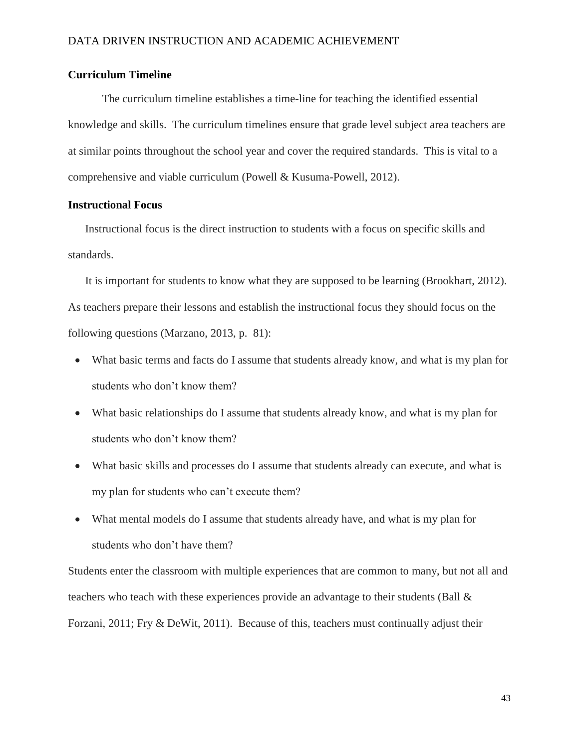# **Curriculum Timeline**

The curriculum timeline establishes a time-line for teaching the identified essential knowledge and skills. The curriculum timelines ensure that grade level subject area teachers are at similar points throughout the school year and cover the required standards. This is vital to a comprehensive and viable curriculum (Powell & Kusuma-Powell, 2012).

# **Instructional Focus**

Instructional focus is the direct instruction to students with a focus on specific skills and standards.

It is important for students to know what they are supposed to be learning (Brookhart, 2012). As teachers prepare their lessons and establish the instructional focus they should focus on the following questions (Marzano, 2013, p. 81):

- What basic terms and facts do I assume that students already know, and what is my plan for students who don't know them?
- What basic relationships do I assume that students already know, and what is my plan for students who don't know them?
- What basic skills and processes do I assume that students already can execute, and what is my plan for students who can't execute them?
- What mental models do I assume that students already have, and what is my plan for students who don't have them?

Students enter the classroom with multiple experiences that are common to many, but not all and teachers who teach with these experiences provide an advantage to their students (Ball & Forzani, 2011; Fry & DeWit, 2011). Because of this, teachers must continually adjust their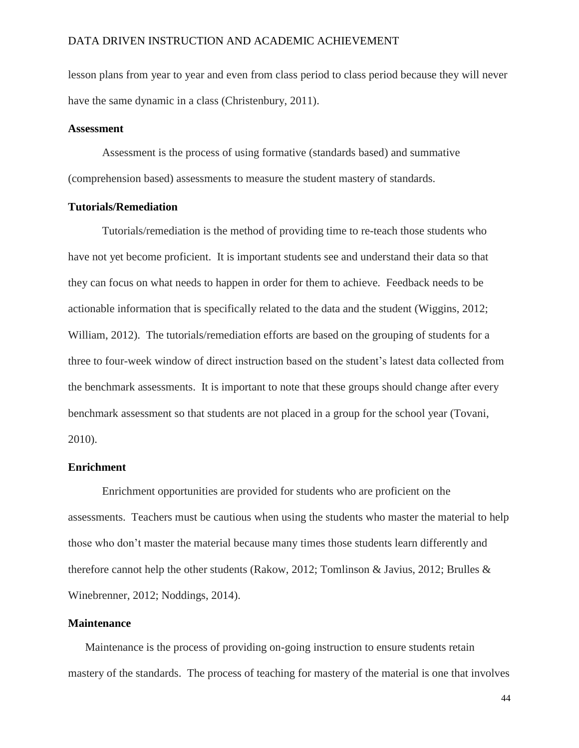lesson plans from year to year and even from class period to class period because they will never have the same dynamic in a class (Christenbury, 2011).

#### **Assessment**

Assessment is the process of using formative (standards based) and summative (comprehension based) assessments to measure the student mastery of standards.

# **Tutorials/Remediation**

Tutorials/remediation is the method of providing time to re-teach those students who have not yet become proficient. It is important students see and understand their data so that they can focus on what needs to happen in order for them to achieve. Feedback needs to be actionable information that is specifically related to the data and the student (Wiggins, 2012; William, 2012). The tutorials/remediation efforts are based on the grouping of students for a three to four-week window of direct instruction based on the student's latest data collected from the benchmark assessments. It is important to note that these groups should change after every benchmark assessment so that students are not placed in a group for the school year (Tovani, 2010).

#### **Enrichment**

Enrichment opportunities are provided for students who are proficient on the assessments. Teachers must be cautious when using the students who master the material to help those who don't master the material because many times those students learn differently and therefore cannot help the other students (Rakow, 2012; Tomlinson & Javius, 2012; Brulles & Winebrenner, 2012; Noddings, 2014).

# **Maintenance**

Maintenance is the process of providing on-going instruction to ensure students retain mastery of the standards. The process of teaching for mastery of the material is one that involves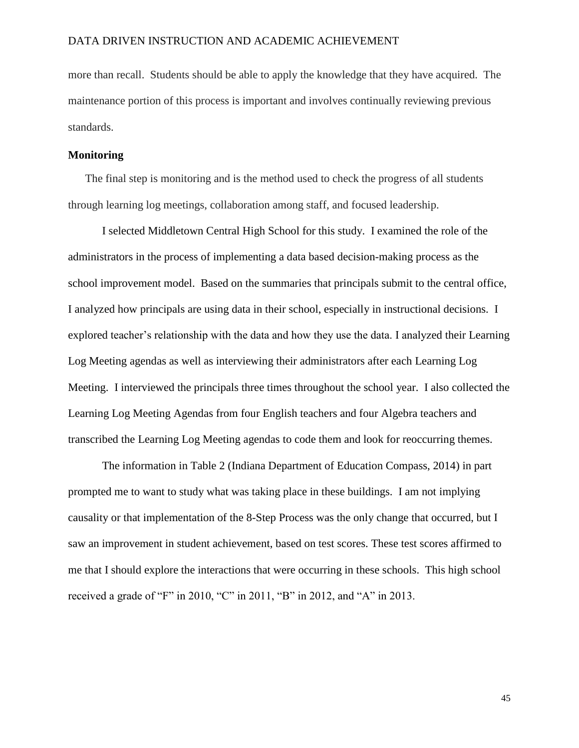more than recall. Students should be able to apply the knowledge that they have acquired. The maintenance portion of this process is important and involves continually reviewing previous standards.

#### **Monitoring**

The final step is monitoring and is the method used to check the progress of all students through learning log meetings, collaboration among staff, and focused leadership.

I selected Middletown Central High School for this study. I examined the role of the administrators in the process of implementing a data based decision-making process as the school improvement model. Based on the summaries that principals submit to the central office, I analyzed how principals are using data in their school, especially in instructional decisions. I explored teacher's relationship with the data and how they use the data. I analyzed their Learning Log Meeting agendas as well as interviewing their administrators after each Learning Log Meeting. I interviewed the principals three times throughout the school year. I also collected the Learning Log Meeting Agendas from four English teachers and four Algebra teachers and transcribed the Learning Log Meeting agendas to code them and look for reoccurring themes.

The information in Table 2 (Indiana Department of Education Compass, 2014) in part prompted me to want to study what was taking place in these buildings. I am not implying causality or that implementation of the 8-Step Process was the only change that occurred, but I saw an improvement in student achievement, based on test scores. These test scores affirmed to me that I should explore the interactions that were occurring in these schools. This high school received a grade of "F" in 2010, "C" in 2011, "B" in 2012, and "A" in 2013.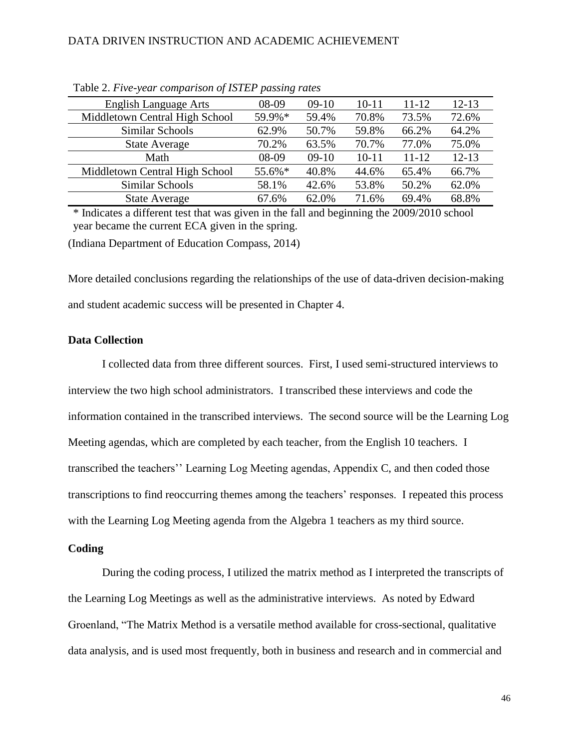| <b>English Language Arts</b>   | 08-09  | $09-10$ | $10 - 11$ | $11 - 12$ | $12 - 13$ |  |
|--------------------------------|--------|---------|-----------|-----------|-----------|--|
| Middletown Central High School | 59.9%* | 59.4%   | 70.8%     | 73.5%     | 72.6%     |  |
| Similar Schools                | 62.9%  | 50.7%   | 59.8%     | 66.2%     | 64.2%     |  |
| <b>State Average</b>           | 70.2%  | 63.5%   | 70.7%     | 77.0%     | 75.0%     |  |
| Math                           | 08-09  | $09-10$ | $10 - 11$ | $11 - 12$ | $12 - 13$ |  |
| Middletown Central High School | 55.6%* | 40.8%   | 44.6%     | 65.4%     | 66.7%     |  |
| Similar Schools                | 58.1%  | 42.6%   | 53.8%     | 50.2%     | 62.0%     |  |
| <b>State Average</b>           | 67.6%  | 62.0%   | 71.6%     | 69.4%     | 68.8%     |  |

Table 2. *Five-year comparison of ISTEP passing rates* 

\* Indicates a different test that was given in the fall and beginning the 2009/2010 school year became the current ECA given in the spring.

(Indiana Department of Education Compass, 2014)

More detailed conclusions regarding the relationships of the use of data-driven decision-making and student academic success will be presented in Chapter 4.

## **Data Collection**

I collected data from three different sources. First, I used semi-structured interviews to interview the two high school administrators. I transcribed these interviews and code the information contained in the transcribed interviews. The second source will be the Learning Log Meeting agendas, which are completed by each teacher, from the English 10 teachers. I transcribed the teachers'' Learning Log Meeting agendas, Appendix C, and then coded those transcriptions to find reoccurring themes among the teachers' responses. I repeated this process with the Learning Log Meeting agenda from the Algebra 1 teachers as my third source.

# **Coding**

During the coding process, I utilized the matrix method as I interpreted the transcripts of the Learning Log Meetings as well as the administrative interviews. As noted by Edward Groenland, "The Matrix Method is a versatile method available for cross-sectional, qualitative data analysis, and is used most frequently, both in business and research and in commercial and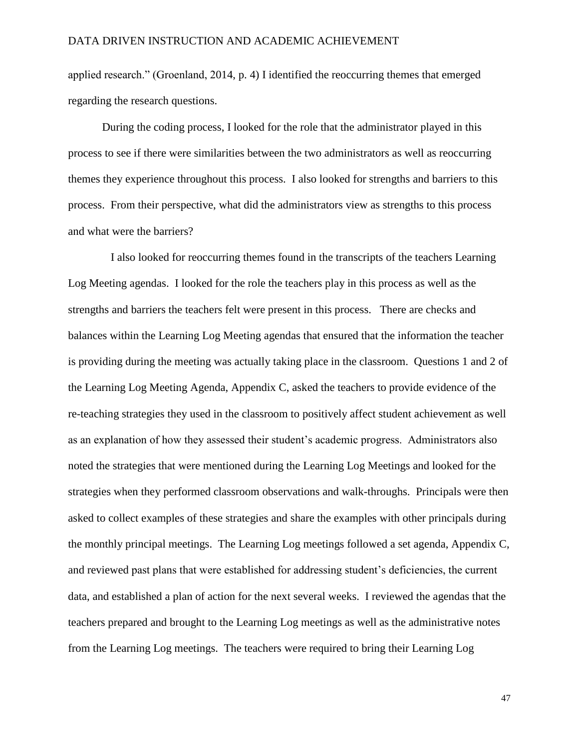applied research." (Groenland, 2014, p. 4) I identified the reoccurring themes that emerged regarding the research questions.

During the coding process, I looked for the role that the administrator played in this process to see if there were similarities between the two administrators as well as reoccurring themes they experience throughout this process. I also looked for strengths and barriers to this process. From their perspective, what did the administrators view as strengths to this process and what were the barriers?

 I also looked for reoccurring themes found in the transcripts of the teachers Learning Log Meeting agendas. I looked for the role the teachers play in this process as well as the strengths and barriers the teachers felt were present in this process. There are checks and balances within the Learning Log Meeting agendas that ensured that the information the teacher is providing during the meeting was actually taking place in the classroom. Questions 1 and 2 of the Learning Log Meeting Agenda, Appendix C, asked the teachers to provide evidence of the re-teaching strategies they used in the classroom to positively affect student achievement as well as an explanation of how they assessed their student's academic progress. Administrators also noted the strategies that were mentioned during the Learning Log Meetings and looked for the strategies when they performed classroom observations and walk-throughs. Principals were then asked to collect examples of these strategies and share the examples with other principals during the monthly principal meetings. The Learning Log meetings followed a set agenda, Appendix C, and reviewed past plans that were established for addressing student's deficiencies, the current data, and established a plan of action for the next several weeks. I reviewed the agendas that the teachers prepared and brought to the Learning Log meetings as well as the administrative notes from the Learning Log meetings. The teachers were required to bring their Learning Log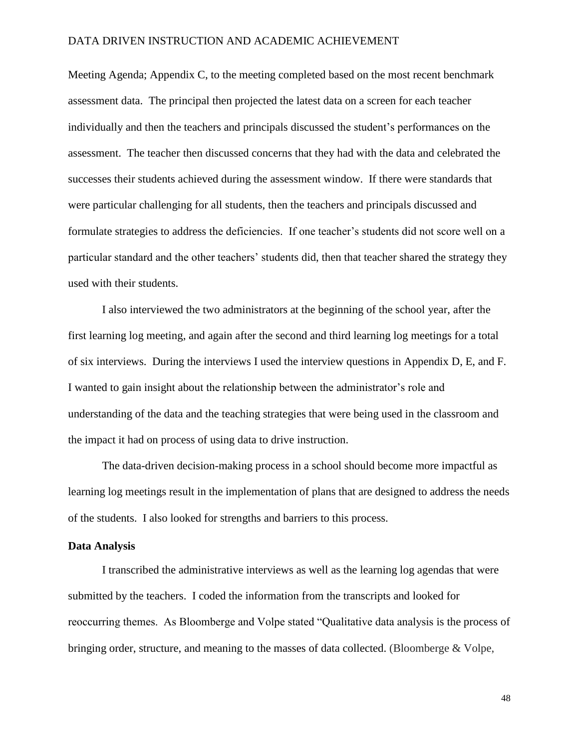Meeting Agenda; Appendix C, to the meeting completed based on the most recent benchmark assessment data. The principal then projected the latest data on a screen for each teacher individually and then the teachers and principals discussed the student's performances on the assessment. The teacher then discussed concerns that they had with the data and celebrated the successes their students achieved during the assessment window. If there were standards that were particular challenging for all students, then the teachers and principals discussed and formulate strategies to address the deficiencies. If one teacher's students did not score well on a particular standard and the other teachers' students did, then that teacher shared the strategy they used with their students.

I also interviewed the two administrators at the beginning of the school year, after the first learning log meeting, and again after the second and third learning log meetings for a total of six interviews. During the interviews I used the interview questions in Appendix D, E, and F. I wanted to gain insight about the relationship between the administrator's role and understanding of the data and the teaching strategies that were being used in the classroom and the impact it had on process of using data to drive instruction.

The data-driven decision-making process in a school should become more impactful as learning log meetings result in the implementation of plans that are designed to address the needs of the students. I also looked for strengths and barriers to this process.

# **Data Analysis**

I transcribed the administrative interviews as well as the learning log agendas that were submitted by the teachers. I coded the information from the transcripts and looked for reoccurring themes. As Bloomberge and Volpe stated "Qualitative data analysis is the process of bringing order, structure, and meaning to the masses of data collected. (Bloomberge & Volpe,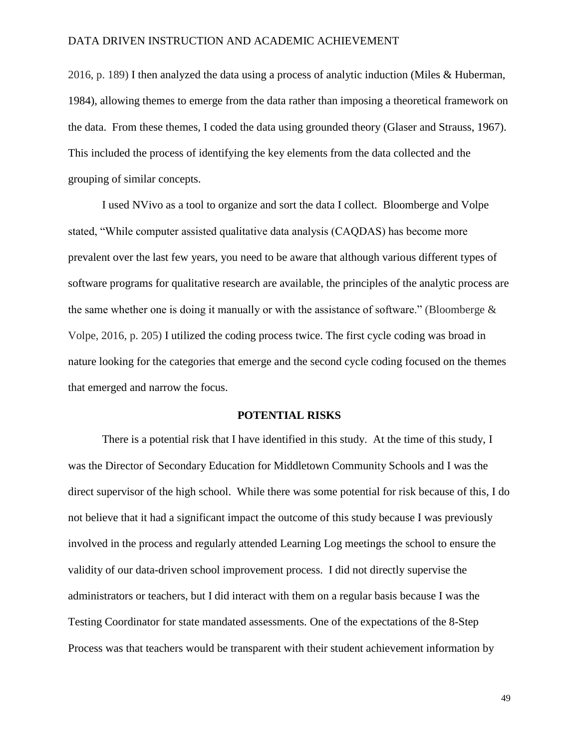2016, p. 189) I then analyzed the data using a process of analytic induction (Miles & Huberman, 1984), allowing themes to emerge from the data rather than imposing a theoretical framework on the data. From these themes, I coded the data using grounded theory (Glaser and Strauss, 1967). This included the process of identifying the key elements from the data collected and the grouping of similar concepts.

I used NVivo as a tool to organize and sort the data I collect. Bloomberge and Volpe stated, "While computer assisted qualitative data analysis (CAQDAS) has become more prevalent over the last few years, you need to be aware that although various different types of software programs for qualitative research are available, the principles of the analytic process are the same whether one is doing it manually or with the assistance of software." (Bloomberge  $\&$ Volpe, 2016, p. 205) I utilized the coding process twice. The first cycle coding was broad in nature looking for the categories that emerge and the second cycle coding focused on the themes that emerged and narrow the focus.

#### **POTENTIAL RISKS**

There is a potential risk that I have identified in this study. At the time of this study, I was the Director of Secondary Education for Middletown Community Schools and I was the direct supervisor of the high school. While there was some potential for risk because of this, I do not believe that it had a significant impact the outcome of this study because I was previously involved in the process and regularly attended Learning Log meetings the school to ensure the validity of our data-driven school improvement process. I did not directly supervise the administrators or teachers, but I did interact with them on a regular basis because I was the Testing Coordinator for state mandated assessments. One of the expectations of the 8-Step Process was that teachers would be transparent with their student achievement information by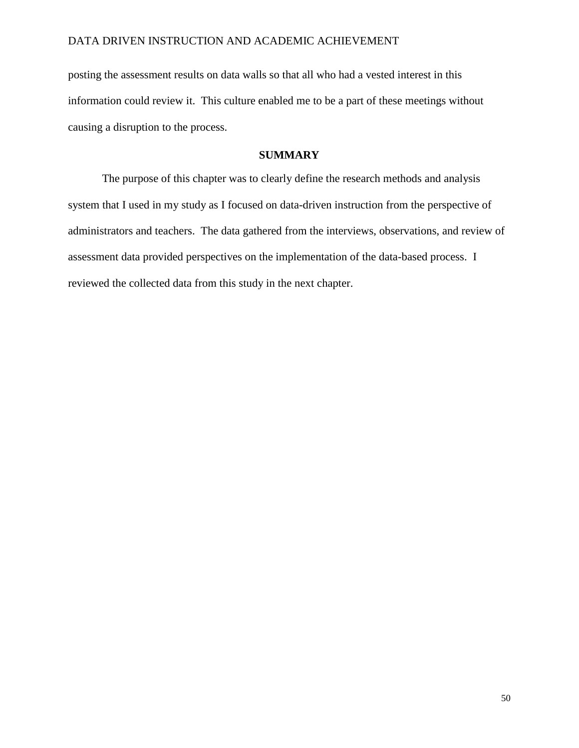posting the assessment results on data walls so that all who had a vested interest in this information could review it. This culture enabled me to be a part of these meetings without causing a disruption to the process.

#### **SUMMARY**

The purpose of this chapter was to clearly define the research methods and analysis system that I used in my study as I focused on data-driven instruction from the perspective of administrators and teachers. The data gathered from the interviews, observations, and review of assessment data provided perspectives on the implementation of the data-based process. I reviewed the collected data from this study in the next chapter.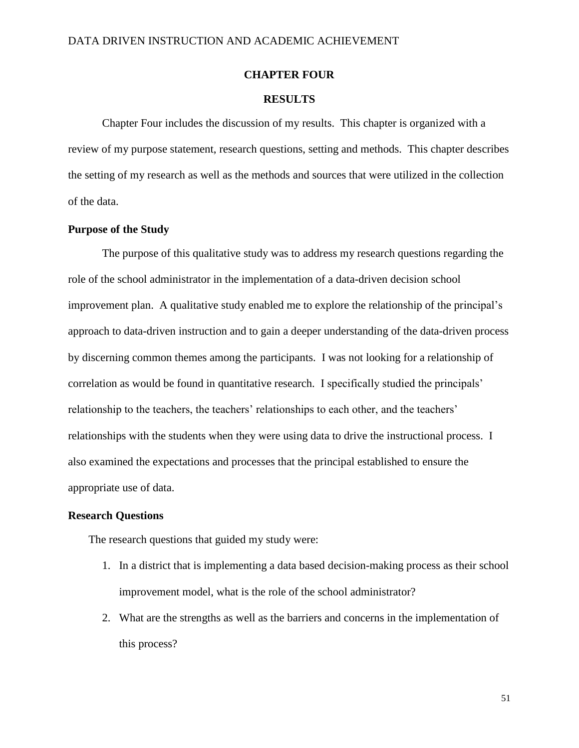# **CHAPTER FOUR**

# **RESULTS**

Chapter Four includes the discussion of my results. This chapter is organized with a review of my purpose statement, research questions, setting and methods. This chapter describes the setting of my research as well as the methods and sources that were utilized in the collection of the data.

#### **Purpose of the Study**

The purpose of this qualitative study was to address my research questions regarding the role of the school administrator in the implementation of a data-driven decision school improvement plan. A qualitative study enabled me to explore the relationship of the principal's approach to data-driven instruction and to gain a deeper understanding of the data-driven process by discerning common themes among the participants. I was not looking for a relationship of correlation as would be found in quantitative research. I specifically studied the principals' relationship to the teachers, the teachers' relationships to each other, and the teachers' relationships with the students when they were using data to drive the instructional process. I also examined the expectations and processes that the principal established to ensure the appropriate use of data.

#### **Research Questions**

The research questions that guided my study were:

- 1. In a district that is implementing a data based decision-making process as their school improvement model, what is the role of the school administrator?
- 2. What are the strengths as well as the barriers and concerns in the implementation of this process?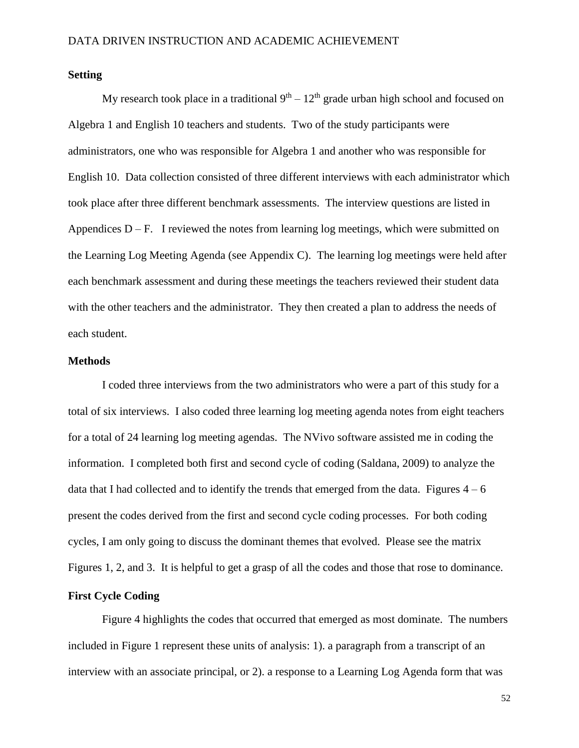# **Setting**

My research took place in a traditional  $9<sup>th</sup> - 12<sup>th</sup>$  grade urban high school and focused on Algebra 1 and English 10 teachers and students. Two of the study participants were administrators, one who was responsible for Algebra 1 and another who was responsible for English 10. Data collection consisted of three different interviews with each administrator which took place after three different benchmark assessments. The interview questions are listed in Appendices  $D - F$ . I reviewed the notes from learning log meetings, which were submitted on the Learning Log Meeting Agenda (see Appendix C). The learning log meetings were held after each benchmark assessment and during these meetings the teachers reviewed their student data with the other teachers and the administrator. They then created a plan to address the needs of each student.

# **Methods**

I coded three interviews from the two administrators who were a part of this study for a total of six interviews. I also coded three learning log meeting agenda notes from eight teachers for a total of 24 learning log meeting agendas. The NVivo software assisted me in coding the information. I completed both first and second cycle of coding (Saldana, 2009) to analyze the data that I had collected and to identify the trends that emerged from the data. Figures  $4 - 6$ present the codes derived from the first and second cycle coding processes. For both coding cycles, I am only going to discuss the dominant themes that evolved. Please see the matrix Figures 1, 2, and 3. It is helpful to get a grasp of all the codes and those that rose to dominance.

# **First Cycle Coding**

Figure 4 highlights the codes that occurred that emerged as most dominate. The numbers included in Figure 1 represent these units of analysis: 1). a paragraph from a transcript of an interview with an associate principal, or 2). a response to a Learning Log Agenda form that was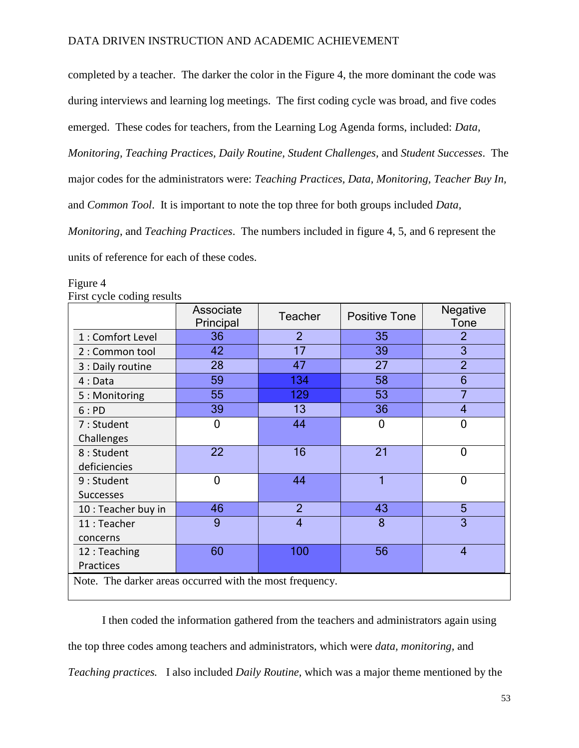completed by a teacher. The darker the color in the Figure 4, the more dominant the code was during interviews and learning log meetings. The first coding cycle was broad, and five codes emerged. These codes for teachers, from the Learning Log Agenda forms, included: *Data, Monitoring, Teaching Practices, Daily Routine, Student Challenges,* and *Student Successes*. The major codes for the administrators were: *Teaching Practices, Data, Monitoring, Teacher Buy In,* and *Common Tool*. It is important to note the top three for both groups included *Data, Monitoring*, and *Teaching Practices*. The numbers included in figure 4, 5, and 6 represent the units of reference for each of these codes.

| r noe cycle county results                               | Associate<br>Principal | <b>Teacher</b> | <b>Positive Tone</b> | Negative<br>Tone |
|----------------------------------------------------------|------------------------|----------------|----------------------|------------------|
| 1 : Comfort Level                                        | 36                     | $\overline{2}$ | 35                   | $\overline{2}$   |
| 2: Common tool                                           | 42                     | 17             | 39                   | 3                |
| 3 : Daily routine                                        | 28                     | 47             | 27                   | $\overline{2}$   |
| 4: Data                                                  | 59                     | 134            | 58                   | 6                |
| 5: Monitoring                                            | 55                     | 129            | 53                   | 7                |
| 6:PD                                                     | 39                     | 13             | 36                   | $\overline{4}$   |
| 7 : Student                                              | 0                      | 44             | 0                    | $\Omega$         |
| Challenges                                               |                        |                |                      |                  |
| 8 : Student                                              | 22                     | 16             | 21                   | $\Omega$         |
| deficiencies                                             |                        |                |                      |                  |
| 9 : Student                                              | $\overline{0}$         | 44             |                      | $\overline{0}$   |
| <b>Successes</b>                                         |                        |                |                      |                  |
| 10 : Teacher buy in                                      | 46                     | $\overline{2}$ | 43                   | 5                |
| 11: Teacher                                              | 9                      | $\overline{4}$ | 8                    | 3                |
| concerns                                                 |                        |                |                      |                  |
| 12: Teaching                                             | 60                     | 100            | 56                   | $\overline{4}$   |
| Practices                                                |                        |                |                      |                  |
| Note. The darker areas occurred with the most frequency. |                        |                |                      |                  |

Figure 4 First cycle coding results

I then coded the information gathered from the teachers and administrators again using the top three codes among teachers and administrators, which were *data, monitoring,* and *Teaching practices.* I also included *Daily Routine,* which was a major theme mentioned by the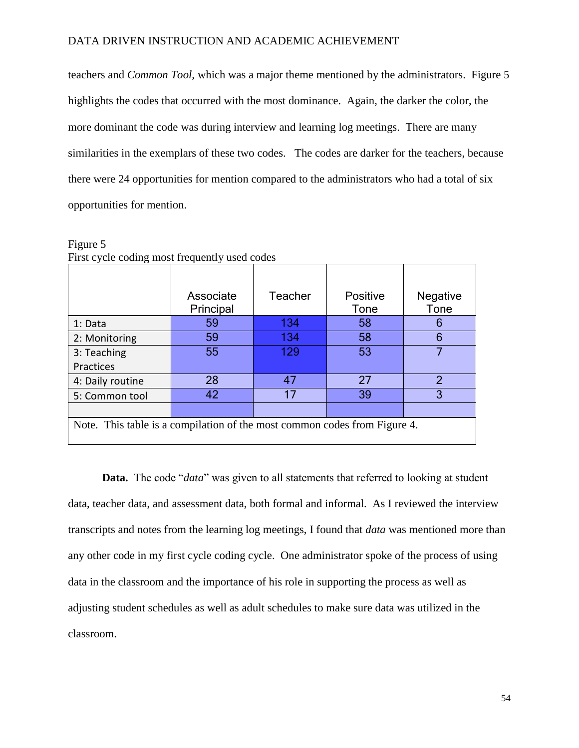teachers and *Common Tool,* which was a major theme mentioned by the administrators. Figure 5 highlights the codes that occurred with the most dominance. Again, the darker the color, the more dominant the code was during interview and learning log meetings. There are many similarities in the exemplars of these two codes. The codes are darker for the teachers, because there were 24 opportunities for mention compared to the administrators who had a total of six opportunities for mention.

|                                                                           | Associate<br>Principal | Teacher | Positive<br>Tone | <b>Negative</b><br>Tone |
|---------------------------------------------------------------------------|------------------------|---------|------------------|-------------------------|
| 1: Data                                                                   | 59                     | 134     | 58               | 6                       |
| 2: Monitoring                                                             | 59                     | 134     | 58               | 6                       |
| 3: Teaching                                                               | 55                     | 129     | 53               | 7                       |
| Practices                                                                 |                        |         |                  |                         |
| 4: Daily routine                                                          | 28                     | 47      | 27               | 2                       |
| 5: Common tool                                                            | 42                     | 17      | 39               | 3                       |
|                                                                           |                        |         |                  |                         |
| Note. This table is a compilation of the most common codes from Figure 4. |                        |         |                  |                         |

Figure 5 First cycle coding most frequently used codes

**Data.** The code "*data*" was given to all statements that referred to looking at student data, teacher data, and assessment data, both formal and informal. As I reviewed the interview transcripts and notes from the learning log meetings, I found that *data* was mentioned more than any other code in my first cycle coding cycle. One administrator spoke of the process of using data in the classroom and the importance of his role in supporting the process as well as adjusting student schedules as well as adult schedules to make sure data was utilized in the classroom.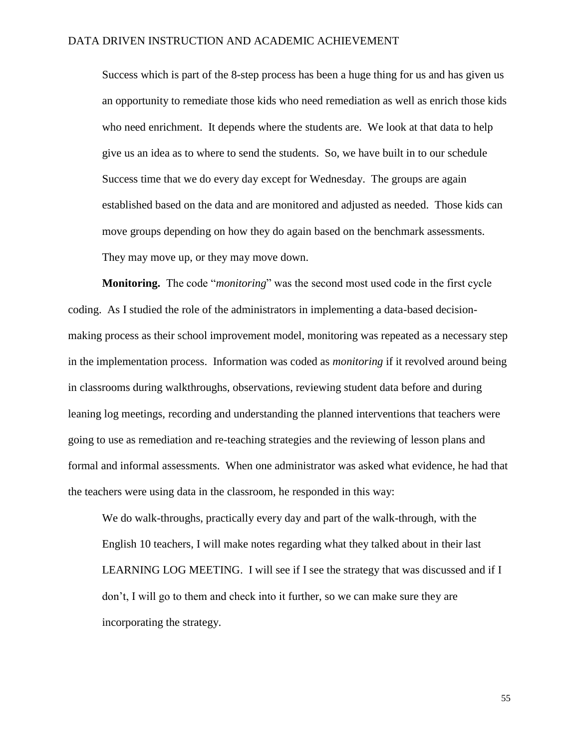Success which is part of the 8-step process has been a huge thing for us and has given us an opportunity to remediate those kids who need remediation as well as enrich those kids who need enrichment. It depends where the students are. We look at that data to help give us an idea as to where to send the students. So, we have built in to our schedule Success time that we do every day except for Wednesday. The groups are again established based on the data and are monitored and adjusted as needed. Those kids can move groups depending on how they do again based on the benchmark assessments. They may move up, or they may move down.

**Monitoring.** The code "*monitoring*" was the second most used code in the first cycle coding. As I studied the role of the administrators in implementing a data-based decisionmaking process as their school improvement model, monitoring was repeated as a necessary step in the implementation process. Information was coded as *monitoring* if it revolved around being in classrooms during walkthroughs, observations, reviewing student data before and during leaning log meetings, recording and understanding the planned interventions that teachers were going to use as remediation and re-teaching strategies and the reviewing of lesson plans and formal and informal assessments. When one administrator was asked what evidence, he had that the teachers were using data in the classroom, he responded in this way:

We do walk-throughs, practically every day and part of the walk-through, with the English 10 teachers, I will make notes regarding what they talked about in their last LEARNING LOG MEETING. I will see if I see the strategy that was discussed and if I don't, I will go to them and check into it further, so we can make sure they are incorporating the strategy.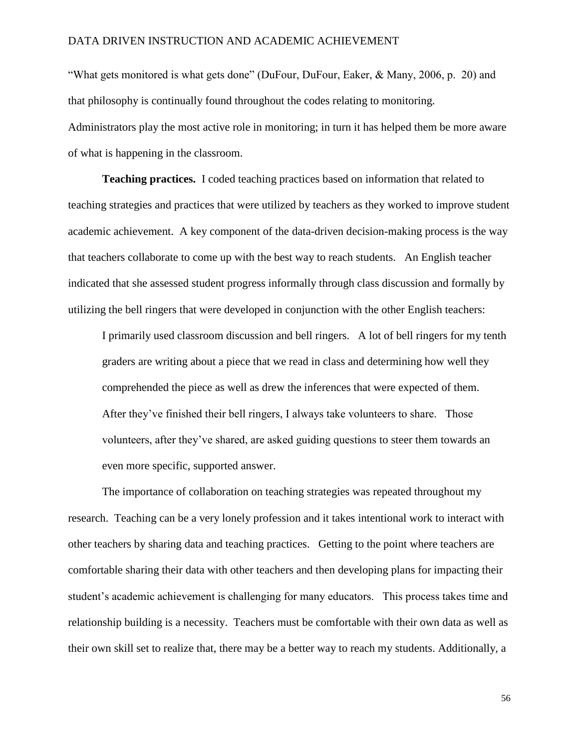"What gets monitored is what gets done" (DuFour, DuFour, Eaker, & Many, 2006, p. 20) and that philosophy is continually found throughout the codes relating to monitoring. Administrators play the most active role in monitoring; in turn it has helped them be more aware of what is happening in the classroom.

**Teaching practices.** I coded teaching practices based on information that related to teaching strategies and practices that were utilized by teachers as they worked to improve student academic achievement. A key component of the data-driven decision-making process is the way that teachers collaborate to come up with the best way to reach students. An English teacher indicated that she assessed student progress informally through class discussion and formally by utilizing the bell ringers that were developed in conjunction with the other English teachers:

I primarily used classroom discussion and bell ringers. A lot of bell ringers for my tenth graders are writing about a piece that we read in class and determining how well they comprehended the piece as well as drew the inferences that were expected of them. After they've finished their bell ringers, I always take volunteers to share. Those volunteers, after they've shared, are asked guiding questions to steer them towards an even more specific, supported answer.

The importance of collaboration on teaching strategies was repeated throughout my research. Teaching can be a very lonely profession and it takes intentional work to interact with other teachers by sharing data and teaching practices. Getting to the point where teachers are comfortable sharing their data with other teachers and then developing plans for impacting their student's academic achievement is challenging for many educators. This process takes time and relationship building is a necessity. Teachers must be comfortable with their own data as well as their own skill set to realize that, there may be a better way to reach my students. Additionally, a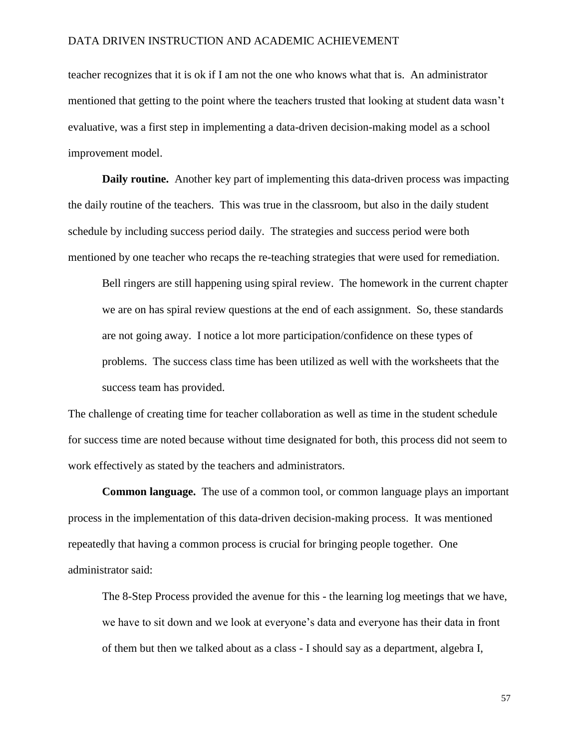teacher recognizes that it is ok if I am not the one who knows what that is. An administrator mentioned that getting to the point where the teachers trusted that looking at student data wasn't evaluative, was a first step in implementing a data-driven decision-making model as a school improvement model.

**Daily routine.** Another key part of implementing this data-driven process was impacting the daily routine of the teachers. This was true in the classroom, but also in the daily student schedule by including success period daily. The strategies and success period were both mentioned by one teacher who recaps the re-teaching strategies that were used for remediation.

Bell ringers are still happening using spiral review. The homework in the current chapter we are on has spiral review questions at the end of each assignment. So, these standards are not going away. I notice a lot more participation/confidence on these types of problems. The success class time has been utilized as well with the worksheets that the success team has provided.

The challenge of creating time for teacher collaboration as well as time in the student schedule for success time are noted because without time designated for both, this process did not seem to work effectively as stated by the teachers and administrators.

**Common language.** The use of a common tool, or common language plays an important process in the implementation of this data-driven decision-making process. It was mentioned repeatedly that having a common process is crucial for bringing people together. One administrator said:

The 8-Step Process provided the avenue for this - the learning log meetings that we have, we have to sit down and we look at everyone's data and everyone has their data in front of them but then we talked about as a class - I should say as a department, algebra I,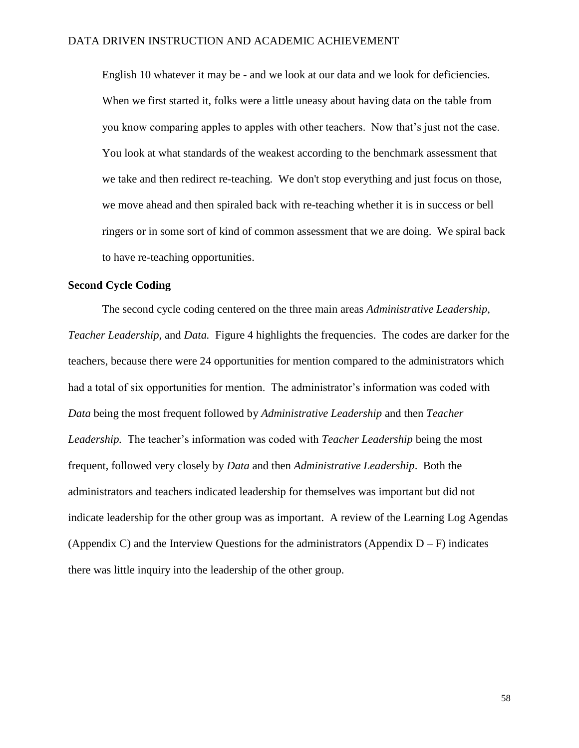English 10 whatever it may be - and we look at our data and we look for deficiencies. When we first started it, folks were a little uneasy about having data on the table from you know comparing apples to apples with other teachers. Now that's just not the case. You look at what standards of the weakest according to the benchmark assessment that we take and then redirect re-teaching. We don't stop everything and just focus on those, we move ahead and then spiraled back with re-teaching whether it is in success or bell ringers or in some sort of kind of common assessment that we are doing. We spiral back to have re-teaching opportunities.

#### **Second Cycle Coding**

The second cycle coding centered on the three main areas *Administrative Leadership, Teacher Leadership*, and *Data.* Figure 4 highlights the frequencies. The codes are darker for the teachers, because there were 24 opportunities for mention compared to the administrators which had a total of six opportunities for mention. The administrator's information was coded with *Data* being the most frequent followed by *Administrative Leadership* and then *Teacher Leadership.* The teacher's information was coded with *Teacher Leadership* being the most frequent, followed very closely by *Data* and then *Administrative Leadership*. Both the administrators and teachers indicated leadership for themselves was important but did not indicate leadership for the other group was as important. A review of the Learning Log Agendas (Appendix C) and the Interview Questions for the administrators (Appendix  $D - F$ ) indicates there was little inquiry into the leadership of the other group.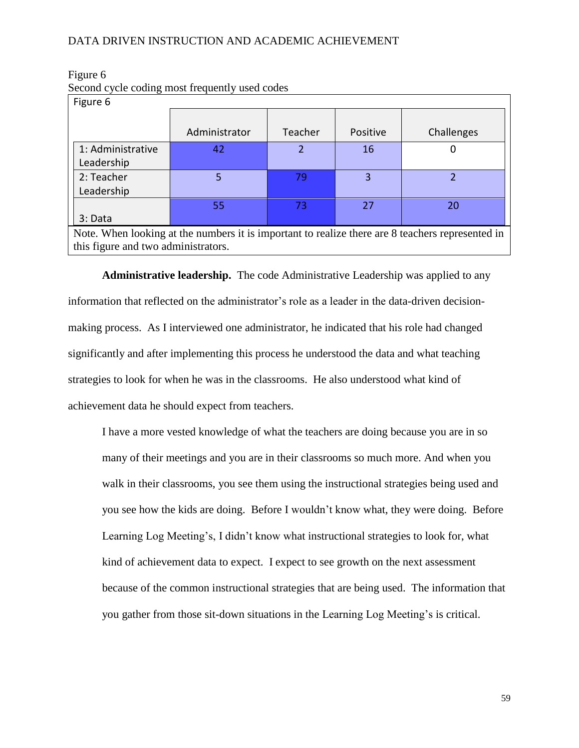Figure 6 Second cycle coding most frequently used codes

| Figure 6                                                                                         |               |         |          |            |
|--------------------------------------------------------------------------------------------------|---------------|---------|----------|------------|
|                                                                                                  |               |         |          |            |
|                                                                                                  | Administrator | Teacher | Positive | Challenges |
| 1: Administrative                                                                                | 42            | 2       | 16       |            |
| Leadership                                                                                       |               |         |          |            |
| 2: Teacher                                                                                       | 5             | 79      | 3        |            |
| Leadership                                                                                       |               |         |          |            |
|                                                                                                  | 55            | 73      | 27       | 20         |
| 3: Data                                                                                          |               |         |          |            |
| Note. When looking at the numbers it is important to realize there are 8 teachers represented in |               |         |          |            |
| this figure and two administrators.                                                              |               |         |          |            |

**Administrative leadership.** The code Administrative Leadership was applied to any information that reflected on the administrator's role as a leader in the data-driven decisionmaking process. As I interviewed one administrator, he indicated that his role had changed significantly and after implementing this process he understood the data and what teaching strategies to look for when he was in the classrooms. He also understood what kind of achievement data he should expect from teachers.

I have a more vested knowledge of what the teachers are doing because you are in so many of their meetings and you are in their classrooms so much more. And when you walk in their classrooms, you see them using the instructional strategies being used and you see how the kids are doing. Before I wouldn't know what, they were doing. Before Learning Log Meeting's, I didn't know what instructional strategies to look for, what kind of achievement data to expect. I expect to see growth on the next assessment because of the common instructional strategies that are being used. The information that you gather from those sit-down situations in the Learning Log Meeting's is critical.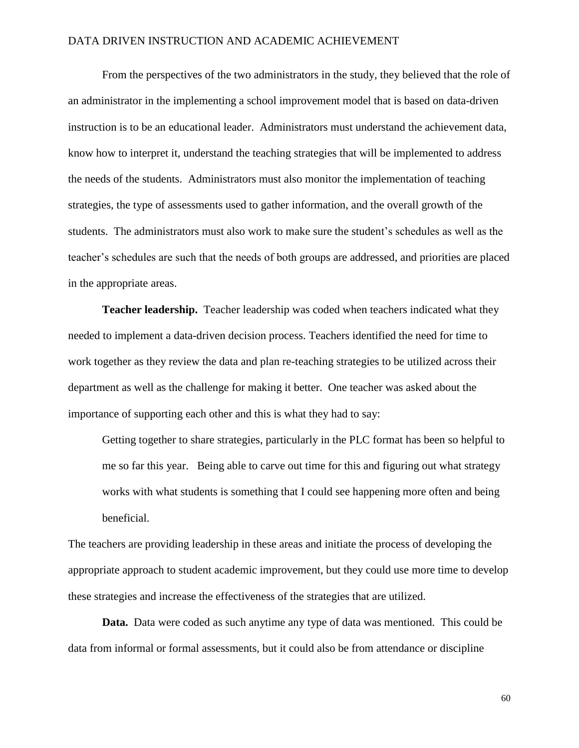From the perspectives of the two administrators in the study, they believed that the role of an administrator in the implementing a school improvement model that is based on data-driven instruction is to be an educational leader. Administrators must understand the achievement data, know how to interpret it, understand the teaching strategies that will be implemented to address the needs of the students. Administrators must also monitor the implementation of teaching strategies, the type of assessments used to gather information, and the overall growth of the students. The administrators must also work to make sure the student's schedules as well as the teacher's schedules are such that the needs of both groups are addressed, and priorities are placed in the appropriate areas.

**Teacher leadership.** Teacher leadership was coded when teachers indicated what they needed to implement a data-driven decision process. Teachers identified the need for time to work together as they review the data and plan re-teaching strategies to be utilized across their department as well as the challenge for making it better. One teacher was asked about the importance of supporting each other and this is what they had to say:

Getting together to share strategies, particularly in the PLC format has been so helpful to me so far this year. Being able to carve out time for this and figuring out what strategy works with what students is something that I could see happening more often and being beneficial.

The teachers are providing leadership in these areas and initiate the process of developing the appropriate approach to student academic improvement, but they could use more time to develop these strategies and increase the effectiveness of the strategies that are utilized.

**Data.** Data were coded as such anytime any type of data was mentioned. This could be data from informal or formal assessments, but it could also be from attendance or discipline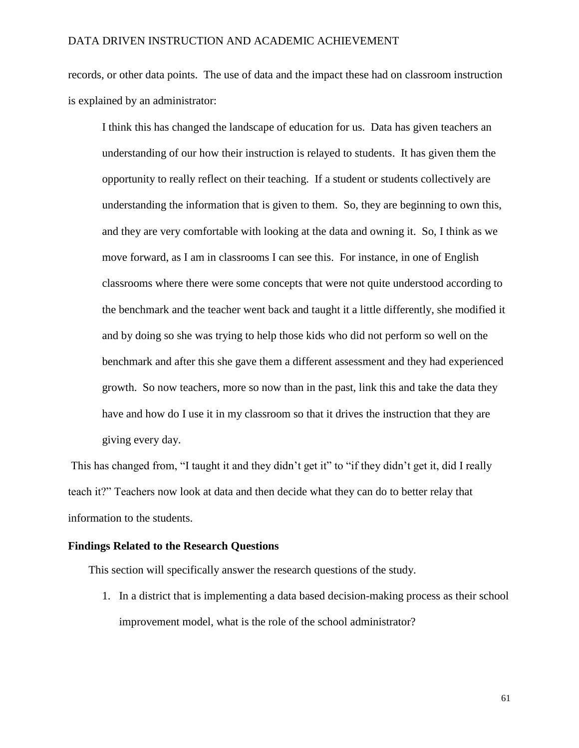records, or other data points. The use of data and the impact these had on classroom instruction is explained by an administrator:

I think this has changed the landscape of education for us. Data has given teachers an understanding of our how their instruction is relayed to students. It has given them the opportunity to really reflect on their teaching. If a student or students collectively are understanding the information that is given to them. So, they are beginning to own this, and they are very comfortable with looking at the data and owning it. So, I think as we move forward, as I am in classrooms I can see this. For instance, in one of English classrooms where there were some concepts that were not quite understood according to the benchmark and the teacher went back and taught it a little differently, she modified it and by doing so she was trying to help those kids who did not perform so well on the benchmark and after this she gave them a different assessment and they had experienced growth. So now teachers, more so now than in the past, link this and take the data they have and how do I use it in my classroom so that it drives the instruction that they are giving every day.

This has changed from, "I taught it and they didn't get it" to "if they didn't get it, did I really teach it?" Teachers now look at data and then decide what they can do to better relay that information to the students.

#### **Findings Related to the Research Questions**

This section will specifically answer the research questions of the study.

1. In a district that is implementing a data based decision-making process as their school improvement model, what is the role of the school administrator?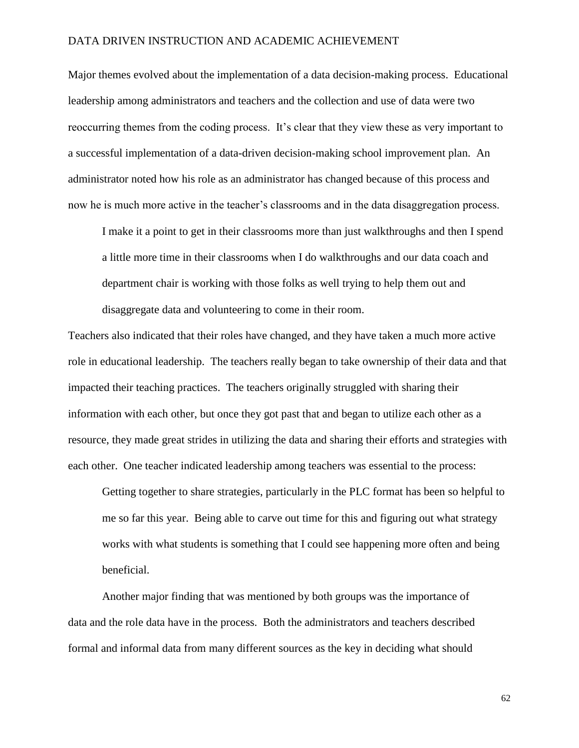Major themes evolved about the implementation of a data decision-making process. Educational leadership among administrators and teachers and the collection and use of data were two reoccurring themes from the coding process. It's clear that they view these as very important to a successful implementation of a data-driven decision-making school improvement plan. An administrator noted how his role as an administrator has changed because of this process and now he is much more active in the teacher's classrooms and in the data disaggregation process.

I make it a point to get in their classrooms more than just walkthroughs and then I spend a little more time in their classrooms when I do walkthroughs and our data coach and department chair is working with those folks as well trying to help them out and disaggregate data and volunteering to come in their room.

Teachers also indicated that their roles have changed, and they have taken a much more active role in educational leadership. The teachers really began to take ownership of their data and that impacted their teaching practices. The teachers originally struggled with sharing their information with each other, but once they got past that and began to utilize each other as a resource, they made great strides in utilizing the data and sharing their efforts and strategies with each other. One teacher indicated leadership among teachers was essential to the process:

Getting together to share strategies, particularly in the PLC format has been so helpful to me so far this year. Being able to carve out time for this and figuring out what strategy works with what students is something that I could see happening more often and being beneficial.

Another major finding that was mentioned by both groups was the importance of data and the role data have in the process. Both the administrators and teachers described formal and informal data from many different sources as the key in deciding what should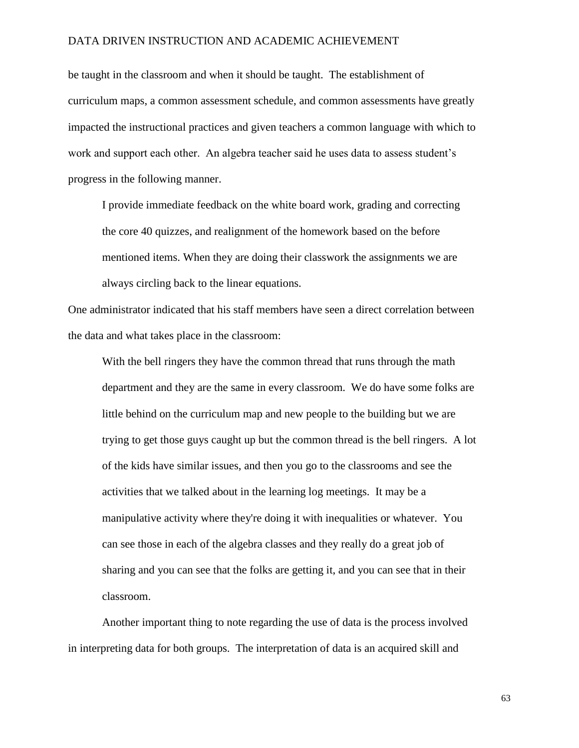be taught in the classroom and when it should be taught. The establishment of curriculum maps, a common assessment schedule, and common assessments have greatly impacted the instructional practices and given teachers a common language with which to work and support each other. An algebra teacher said he uses data to assess student's progress in the following manner.

I provide immediate feedback on the white board work, grading and correcting the core 40 quizzes, and realignment of the homework based on the before mentioned items. When they are doing their classwork the assignments we are always circling back to the linear equations.

One administrator indicated that his staff members have seen a direct correlation between the data and what takes place in the classroom:

With the bell ringers they have the common thread that runs through the math department and they are the same in every classroom. We do have some folks are little behind on the curriculum map and new people to the building but we are trying to get those guys caught up but the common thread is the bell ringers. A lot of the kids have similar issues, and then you go to the classrooms and see the activities that we talked about in the learning log meetings. It may be a manipulative activity where they're doing it with inequalities or whatever. You can see those in each of the algebra classes and they really do a great job of sharing and you can see that the folks are getting it, and you can see that in their classroom.

Another important thing to note regarding the use of data is the process involved in interpreting data for both groups. The interpretation of data is an acquired skill and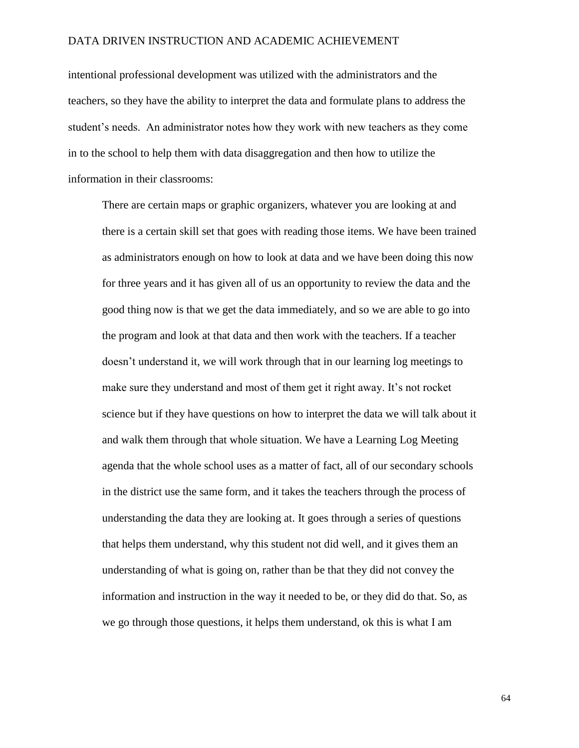intentional professional development was utilized with the administrators and the teachers, so they have the ability to interpret the data and formulate plans to address the student's needs. An administrator notes how they work with new teachers as they come in to the school to help them with data disaggregation and then how to utilize the information in their classrooms:

There are certain maps or graphic organizers, whatever you are looking at and there is a certain skill set that goes with reading those items. We have been trained as administrators enough on how to look at data and we have been doing this now for three years and it has given all of us an opportunity to review the data and the good thing now is that we get the data immediately, and so we are able to go into the program and look at that data and then work with the teachers. If a teacher doesn't understand it, we will work through that in our learning log meetings to make sure they understand and most of them get it right away. It's not rocket science but if they have questions on how to interpret the data we will talk about it and walk them through that whole situation. We have a Learning Log Meeting agenda that the whole school uses as a matter of fact, all of our secondary schools in the district use the same form, and it takes the teachers through the process of understanding the data they are looking at. It goes through a series of questions that helps them understand, why this student not did well, and it gives them an understanding of what is going on, rather than be that they did not convey the information and instruction in the way it needed to be, or they did do that. So, as we go through those questions, it helps them understand, ok this is what I am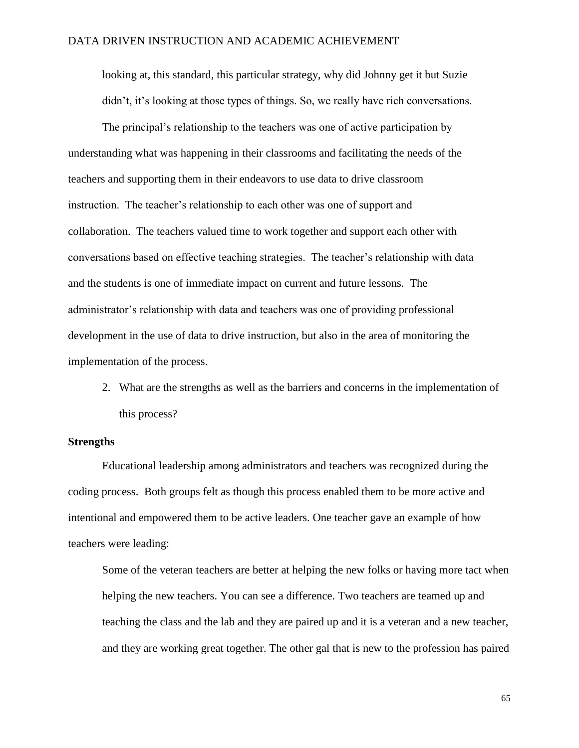looking at, this standard, this particular strategy, why did Johnny get it but Suzie didn't, it's looking at those types of things. So, we really have rich conversations.

The principal's relationship to the teachers was one of active participation by understanding what was happening in their classrooms and facilitating the needs of the teachers and supporting them in their endeavors to use data to drive classroom instruction. The teacher's relationship to each other was one of support and collaboration. The teachers valued time to work together and support each other with conversations based on effective teaching strategies. The teacher's relationship with data and the students is one of immediate impact on current and future lessons. The administrator's relationship with data and teachers was one of providing professional development in the use of data to drive instruction, but also in the area of monitoring the implementation of the process.

2. What are the strengths as well as the barriers and concerns in the implementation of this process?

# **Strengths**

Educational leadership among administrators and teachers was recognized during the coding process. Both groups felt as though this process enabled them to be more active and intentional and empowered them to be active leaders. One teacher gave an example of how teachers were leading:

Some of the veteran teachers are better at helping the new folks or having more tact when helping the new teachers. You can see a difference. Two teachers are teamed up and teaching the class and the lab and they are paired up and it is a veteran and a new teacher, and they are working great together. The other gal that is new to the profession has paired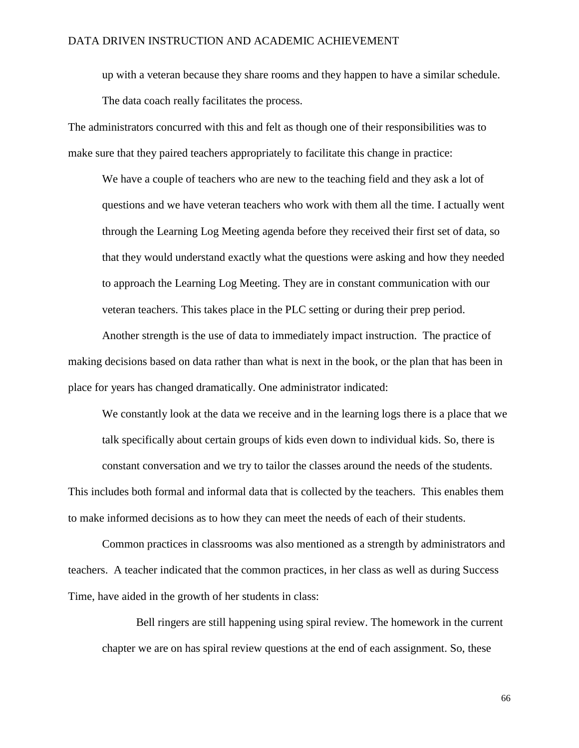up with a veteran because they share rooms and they happen to have a similar schedule. The data coach really facilitates the process.

The administrators concurred with this and felt as though one of their responsibilities was to make sure that they paired teachers appropriately to facilitate this change in practice:

We have a couple of teachers who are new to the teaching field and they ask a lot of questions and we have veteran teachers who work with them all the time. I actually went through the Learning Log Meeting agenda before they received their first set of data, so that they would understand exactly what the questions were asking and how they needed to approach the Learning Log Meeting. They are in constant communication with our veteran teachers. This takes place in the PLC setting or during their prep period.

Another strength is the use of data to immediately impact instruction. The practice of making decisions based on data rather than what is next in the book, or the plan that has been in place for years has changed dramatically. One administrator indicated:

We constantly look at the data we receive and in the learning logs there is a place that we talk specifically about certain groups of kids even down to individual kids. So, there is constant conversation and we try to tailor the classes around the needs of the students. This includes both formal and informal data that is collected by the teachers. This enables them

to make informed decisions as to how they can meet the needs of each of their students.

Common practices in classrooms was also mentioned as a strength by administrators and teachers. A teacher indicated that the common practices, in her class as well as during Success Time, have aided in the growth of her students in class:

Bell ringers are still happening using spiral review. The homework in the current chapter we are on has spiral review questions at the end of each assignment. So, these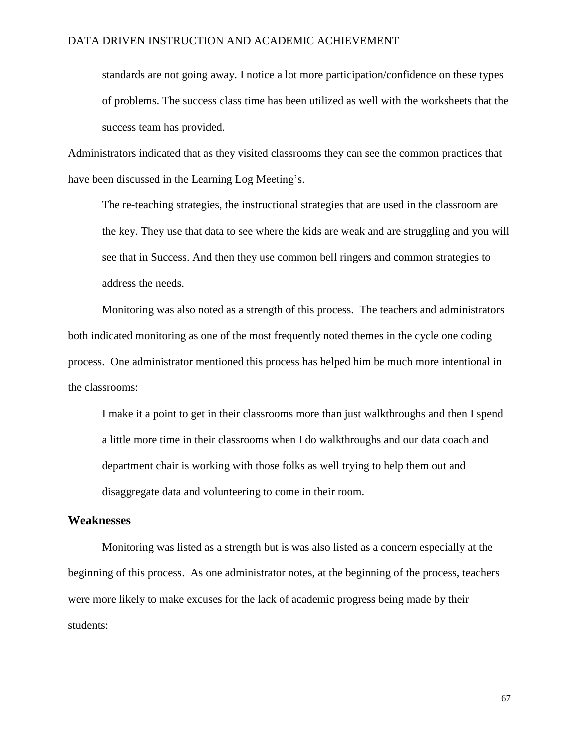standards are not going away. I notice a lot more participation/confidence on these types of problems. The success class time has been utilized as well with the worksheets that the success team has provided.

Administrators indicated that as they visited classrooms they can see the common practices that have been discussed in the Learning Log Meeting's.

The re-teaching strategies, the instructional strategies that are used in the classroom are the key. They use that data to see where the kids are weak and are struggling and you will see that in Success. And then they use common bell ringers and common strategies to address the needs.

Monitoring was also noted as a strength of this process. The teachers and administrators both indicated monitoring as one of the most frequently noted themes in the cycle one coding process. One administrator mentioned this process has helped him be much more intentional in the classrooms:

I make it a point to get in their classrooms more than just walkthroughs and then I spend a little more time in their classrooms when I do walkthroughs and our data coach and department chair is working with those folks as well trying to help them out and disaggregate data and volunteering to come in their room.

#### **Weaknesses**

Monitoring was listed as a strength but is was also listed as a concern especially at the beginning of this process. As one administrator notes, at the beginning of the process, teachers were more likely to make excuses for the lack of academic progress being made by their students: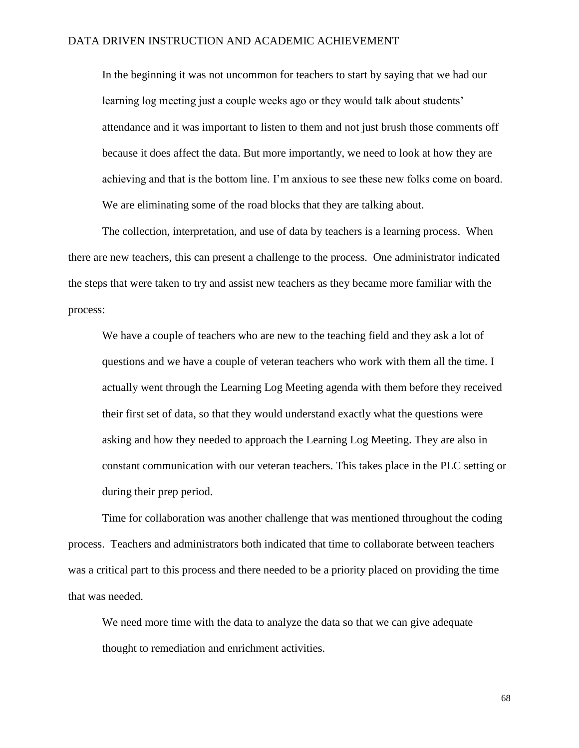In the beginning it was not uncommon for teachers to start by saying that we had our learning log meeting just a couple weeks ago or they would talk about students' attendance and it was important to listen to them and not just brush those comments off because it does affect the data. But more importantly, we need to look at how they are achieving and that is the bottom line. I'm anxious to see these new folks come on board. We are eliminating some of the road blocks that they are talking about.

The collection, interpretation, and use of data by teachers is a learning process. When there are new teachers, this can present a challenge to the process. One administrator indicated the steps that were taken to try and assist new teachers as they became more familiar with the process:

We have a couple of teachers who are new to the teaching field and they ask a lot of questions and we have a couple of veteran teachers who work with them all the time. I actually went through the Learning Log Meeting agenda with them before they received their first set of data, so that they would understand exactly what the questions were asking and how they needed to approach the Learning Log Meeting. They are also in constant communication with our veteran teachers. This takes place in the PLC setting or during their prep period.

Time for collaboration was another challenge that was mentioned throughout the coding process. Teachers and administrators both indicated that time to collaborate between teachers was a critical part to this process and there needed to be a priority placed on providing the time that was needed.

We need more time with the data to analyze the data so that we can give adequate thought to remediation and enrichment activities.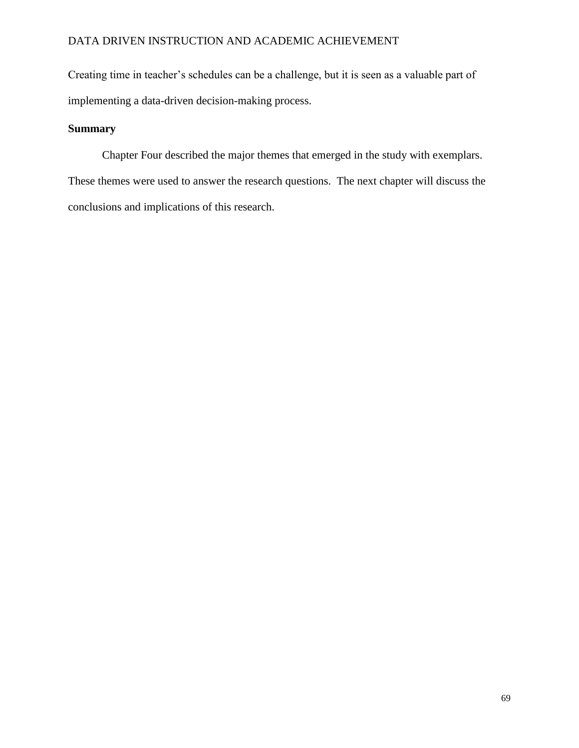Creating time in teacher's schedules can be a challenge, but it is seen as a valuable part of implementing a data-driven decision-making process.

# **Summary**

Chapter Four described the major themes that emerged in the study with exemplars. These themes were used to answer the research questions. The next chapter will discuss the conclusions and implications of this research.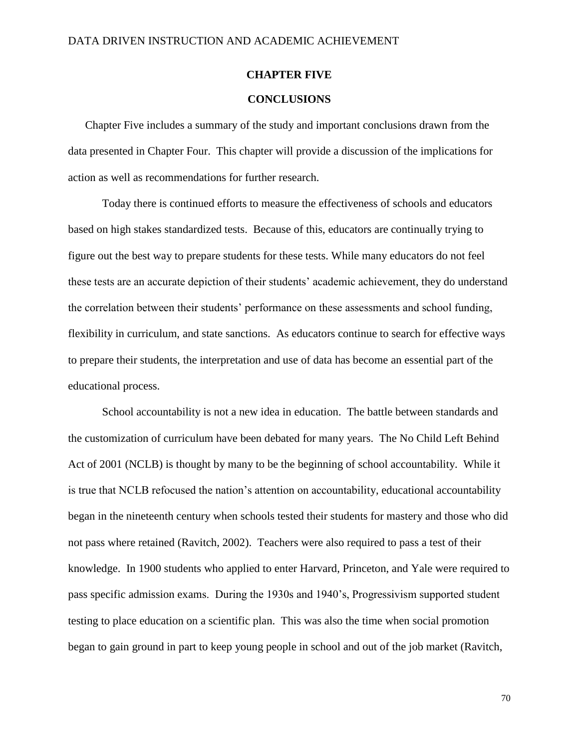# **CHAPTER FIVE**

# **CONCLUSIONS**

Chapter Five includes a summary of the study and important conclusions drawn from the data presented in Chapter Four. This chapter will provide a discussion of the implications for action as well as recommendations for further research.

Today there is continued efforts to measure the effectiveness of schools and educators based on high stakes standardized tests. Because of this, educators are continually trying to figure out the best way to prepare students for these tests. While many educators do not feel these tests are an accurate depiction of their students' academic achievement, they do understand the correlation between their students' performance on these assessments and school funding, flexibility in curriculum, and state sanctions. As educators continue to search for effective ways to prepare their students, the interpretation and use of data has become an essential part of the educational process.

School accountability is not a new idea in education. The battle between standards and the customization of curriculum have been debated for many years. The No Child Left Behind Act of 2001 (NCLB) is thought by many to be the beginning of school accountability. While it is true that NCLB refocused the nation's attention on accountability, educational accountability began in the nineteenth century when schools tested their students for mastery and those who did not pass where retained (Ravitch, 2002). Teachers were also required to pass a test of their knowledge. In 1900 students who applied to enter Harvard, Princeton, and Yale were required to pass specific admission exams. During the 1930s and 1940's, Progressivism supported student testing to place education on a scientific plan. This was also the time when social promotion began to gain ground in part to keep young people in school and out of the job market (Ravitch,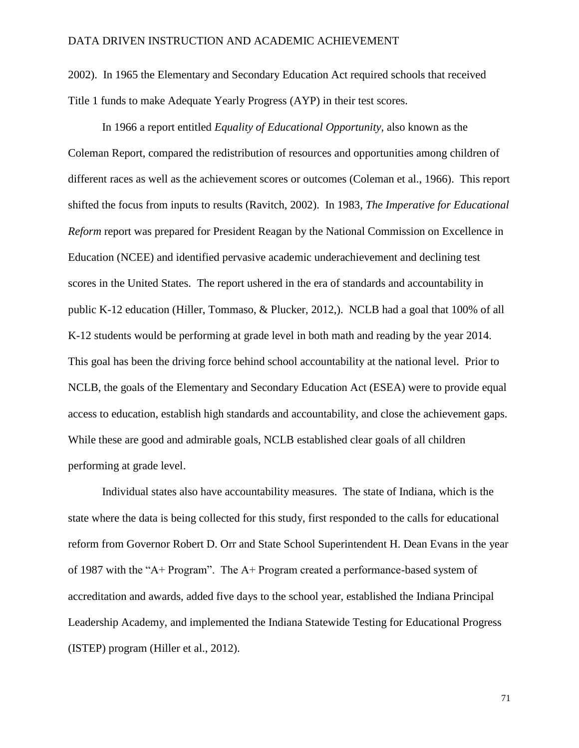2002). In 1965 the Elementary and Secondary Education Act required schools that received Title 1 funds to make Adequate Yearly Progress (AYP) in their test scores.

In 1966 a report entitled *Equality of Educational Opportunity,* also known as the Coleman Report, compared the redistribution of resources and opportunities among children of different races as well as the achievement scores or outcomes (Coleman et al., 1966). This report shifted the focus from inputs to results (Ravitch, 2002). In 1983, *The Imperative for Educational Reform* report was prepared for President Reagan by the National Commission on Excellence in Education (NCEE) and identified pervasive academic underachievement and declining test scores in the United States. The report ushered in the era of standards and accountability in public K-12 education (Hiller, Tommaso, & Plucker, 2012,). NCLB had a goal that 100% of all K-12 students would be performing at grade level in both math and reading by the year 2014. This goal has been the driving force behind school accountability at the national level. Prior to NCLB, the goals of the Elementary and Secondary Education Act (ESEA) were to provide equal access to education, establish high standards and accountability, and close the achievement gaps. While these are good and admirable goals, NCLB established clear goals of all children performing at grade level.

Individual states also have accountability measures. The state of Indiana, which is the state where the data is being collected for this study, first responded to the calls for educational reform from Governor Robert D. Orr and State School Superintendent H. Dean Evans in the year of 1987 with the "A+ Program". The A+ Program created a performance-based system of accreditation and awards, added five days to the school year, established the Indiana Principal Leadership Academy, and implemented the Indiana Statewide Testing for Educational Progress (ISTEP) program (Hiller et al., 2012).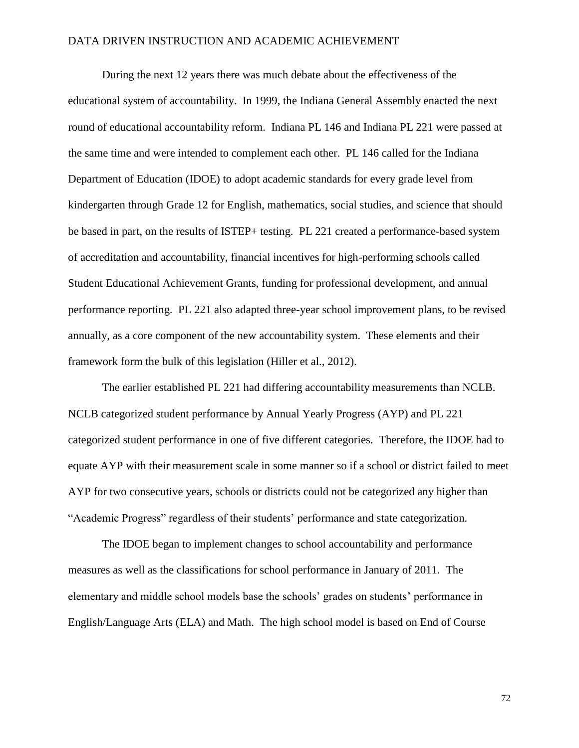During the next 12 years there was much debate about the effectiveness of the educational system of accountability. In 1999, the Indiana General Assembly enacted the next round of educational accountability reform. Indiana PL 146 and Indiana PL 221 were passed at the same time and were intended to complement each other. PL 146 called for the Indiana Department of Education (IDOE) to adopt academic standards for every grade level from kindergarten through Grade 12 for English, mathematics, social studies, and science that should be based in part, on the results of ISTEP+ testing. PL 221 created a performance-based system of accreditation and accountability, financial incentives for high-performing schools called Student Educational Achievement Grants, funding for professional development, and annual performance reporting. PL 221 also adapted three-year school improvement plans, to be revised annually, as a core component of the new accountability system. These elements and their framework form the bulk of this legislation (Hiller et al., 2012).

The earlier established PL 221 had differing accountability measurements than NCLB. NCLB categorized student performance by Annual Yearly Progress (AYP) and PL 221 categorized student performance in one of five different categories. Therefore, the IDOE had to equate AYP with their measurement scale in some manner so if a school or district failed to meet AYP for two consecutive years, schools or districts could not be categorized any higher than "Academic Progress" regardless of their students' performance and state categorization.

The IDOE began to implement changes to school accountability and performance measures as well as the classifications for school performance in January of 2011. The elementary and middle school models base the schools' grades on students' performance in English/Language Arts (ELA) and Math. The high school model is based on End of Course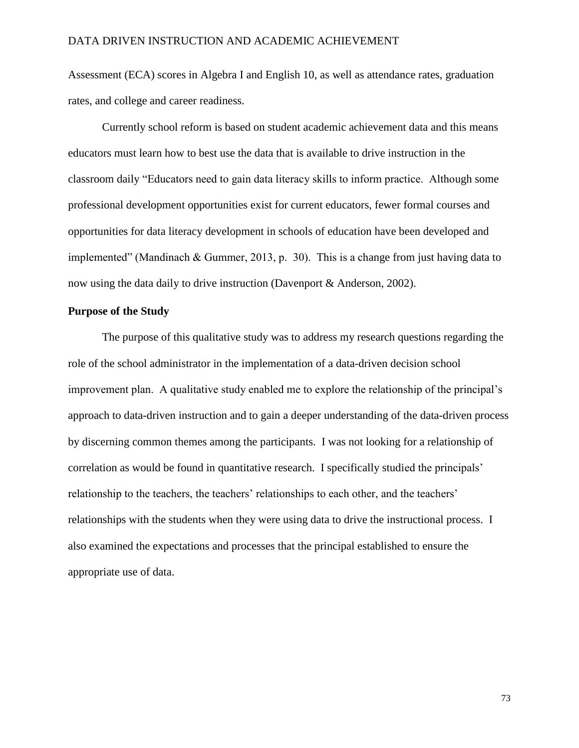Assessment (ECA) scores in Algebra I and English 10, as well as attendance rates, graduation rates, and college and career readiness.

Currently school reform is based on student academic achievement data and this means educators must learn how to best use the data that is available to drive instruction in the classroom daily "Educators need to gain data literacy skills to inform practice. Although some professional development opportunities exist for current educators, fewer formal courses and opportunities for data literacy development in schools of education have been developed and implemented" (Mandinach & Gummer, 2013, p. 30). This is a change from just having data to now using the data daily to drive instruction (Davenport & Anderson, 2002).

### **Purpose of the Study**

The purpose of this qualitative study was to address my research questions regarding the role of the school administrator in the implementation of a data-driven decision school improvement plan. A qualitative study enabled me to explore the relationship of the principal's approach to data-driven instruction and to gain a deeper understanding of the data-driven process by discerning common themes among the participants. I was not looking for a relationship of correlation as would be found in quantitative research. I specifically studied the principals' relationship to the teachers, the teachers' relationships to each other, and the teachers' relationships with the students when they were using data to drive the instructional process. I also examined the expectations and processes that the principal established to ensure the appropriate use of data.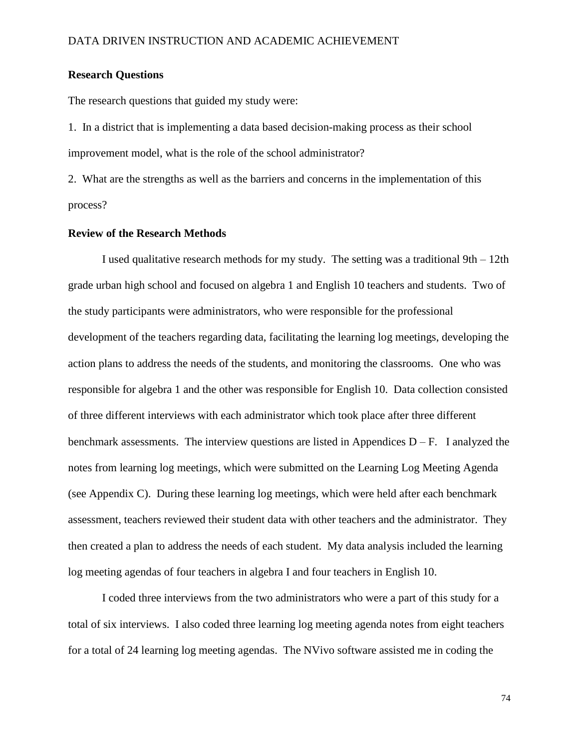#### **Research Questions**

The research questions that guided my study were:

1. In a district that is implementing a data based decision-making process as their school improvement model, what is the role of the school administrator?

2. What are the strengths as well as the barriers and concerns in the implementation of this process?

#### **Review of the Research Methods**

I used qualitative research methods for my study. The setting was a traditional  $9th - 12th$ grade urban high school and focused on algebra 1 and English 10 teachers and students. Two of the study participants were administrators, who were responsible for the professional development of the teachers regarding data, facilitating the learning log meetings, developing the action plans to address the needs of the students, and monitoring the classrooms. One who was responsible for algebra 1 and the other was responsible for English 10. Data collection consisted of three different interviews with each administrator which took place after three different benchmark assessments. The interview questions are listed in Appendices  $D - F$ . I analyzed the notes from learning log meetings, which were submitted on the Learning Log Meeting Agenda (see Appendix C). During these learning log meetings, which were held after each benchmark assessment, teachers reviewed their student data with other teachers and the administrator. They then created a plan to address the needs of each student. My data analysis included the learning log meeting agendas of four teachers in algebra I and four teachers in English 10.

I coded three interviews from the two administrators who were a part of this study for a total of six interviews. I also coded three learning log meeting agenda notes from eight teachers for a total of 24 learning log meeting agendas. The NVivo software assisted me in coding the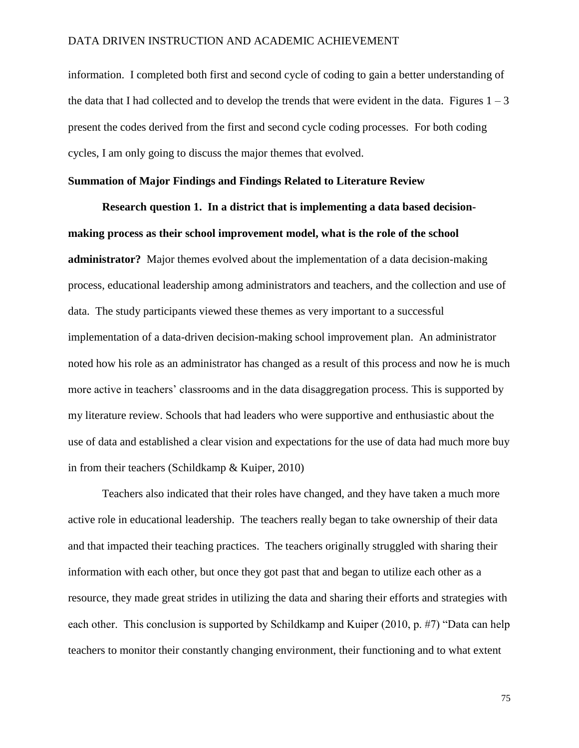information. I completed both first and second cycle of coding to gain a better understanding of the data that I had collected and to develop the trends that were evident in the data. Figures  $1 - 3$ present the codes derived from the first and second cycle coding processes. For both coding cycles, I am only going to discuss the major themes that evolved.

#### **Summation of Major Findings and Findings Related to Literature Review**

**Research question 1. In a district that is implementing a data based decisionmaking process as their school improvement model, what is the role of the school administrator?** Major themes evolved about the implementation of a data decision-making process, educational leadership among administrators and teachers, and the collection and use of data. The study participants viewed these themes as very important to a successful implementation of a data-driven decision-making school improvement plan. An administrator noted how his role as an administrator has changed as a result of this process and now he is much more active in teachers' classrooms and in the data disaggregation process. This is supported by my literature review. Schools that had leaders who were supportive and enthusiastic about the use of data and established a clear vision and expectations for the use of data had much more buy in from their teachers (Schildkamp & Kuiper, 2010)

Teachers also indicated that their roles have changed, and they have taken a much more active role in educational leadership. The teachers really began to take ownership of their data and that impacted their teaching practices. The teachers originally struggled with sharing their information with each other, but once they got past that and began to utilize each other as a resource, they made great strides in utilizing the data and sharing their efforts and strategies with each other. This conclusion is supported by Schildkamp and Kuiper (2010, p. #7) "Data can help teachers to monitor their constantly changing environment, their functioning and to what extent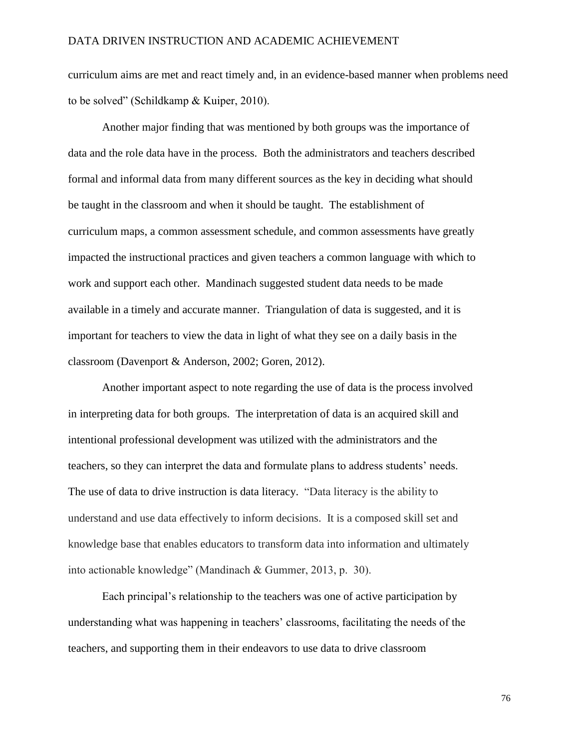curriculum aims are met and react timely and, in an evidence-based manner when problems need to be solved" (Schildkamp & Kuiper, 2010).

Another major finding that was mentioned by both groups was the importance of data and the role data have in the process. Both the administrators and teachers described formal and informal data from many different sources as the key in deciding what should be taught in the classroom and when it should be taught. The establishment of curriculum maps, a common assessment schedule, and common assessments have greatly impacted the instructional practices and given teachers a common language with which to work and support each other. Mandinach suggested student data needs to be made available in a timely and accurate manner. Triangulation of data is suggested, and it is important for teachers to view the data in light of what they see on a daily basis in the classroom (Davenport & Anderson, 2002; Goren, 2012).

Another important aspect to note regarding the use of data is the process involved in interpreting data for both groups. The interpretation of data is an acquired skill and intentional professional development was utilized with the administrators and the teachers, so they can interpret the data and formulate plans to address students' needs. The use of data to drive instruction is data literacy. "Data literacy is the ability to understand and use data effectively to inform decisions. It is a composed skill set and knowledge base that enables educators to transform data into information and ultimately into actionable knowledge" (Mandinach & Gummer, 2013, p. 30).

Each principal's relationship to the teachers was one of active participation by understanding what was happening in teachers' classrooms, facilitating the needs of the teachers, and supporting them in their endeavors to use data to drive classroom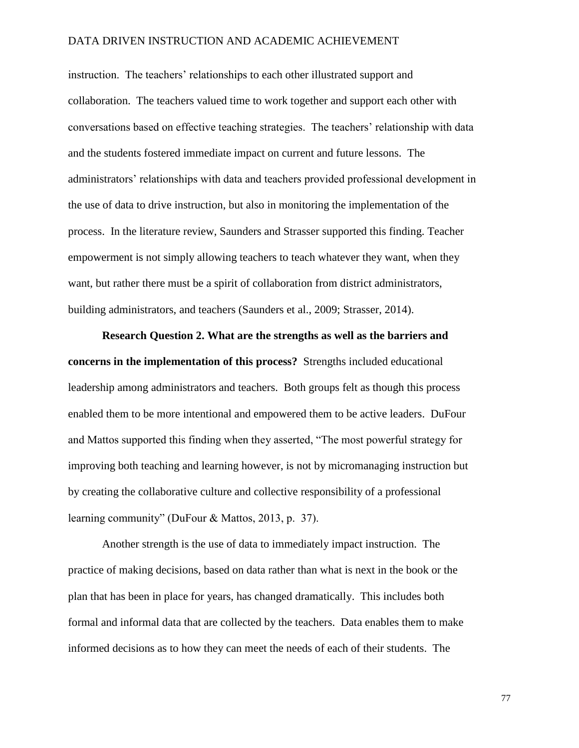instruction. The teachers' relationships to each other illustrated support and collaboration. The teachers valued time to work together and support each other with conversations based on effective teaching strategies. The teachers' relationship with data and the students fostered immediate impact on current and future lessons. The administrators' relationships with data and teachers provided professional development in the use of data to drive instruction, but also in monitoring the implementation of the process. In the literature review, Saunders and Strasser supported this finding. Teacher empowerment is not simply allowing teachers to teach whatever they want, when they want, but rather there must be a spirit of collaboration from district administrators, building administrators, and teachers (Saunders et al., 2009; Strasser, 2014).

**Research Question 2. What are the strengths as well as the barriers and concerns in the implementation of this process?** Strengths included educational leadership among administrators and teachers. Both groups felt as though this process enabled them to be more intentional and empowered them to be active leaders. DuFour and Mattos supported this finding when they asserted, "The most powerful strategy for improving both teaching and learning however, is not by micromanaging instruction but by creating the collaborative culture and collective responsibility of a professional learning community" (DuFour & Mattos, 2013, p. 37).

Another strength is the use of data to immediately impact instruction. The practice of making decisions, based on data rather than what is next in the book or the plan that has been in place for years, has changed dramatically. This includes both formal and informal data that are collected by the teachers. Data enables them to make informed decisions as to how they can meet the needs of each of their students. The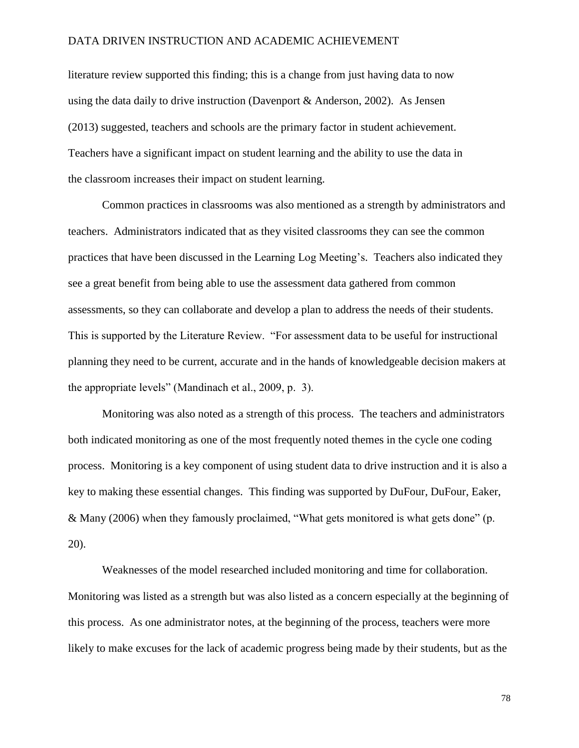literature review supported this finding; this is a change from just having data to now using the data daily to drive instruction (Davenport & Anderson, 2002). As Jensen (2013) suggested, teachers and schools are the primary factor in student achievement. Teachers have a significant impact on student learning and the ability to use the data in the classroom increases their impact on student learning.

Common practices in classrooms was also mentioned as a strength by administrators and teachers. Administrators indicated that as they visited classrooms they can see the common practices that have been discussed in the Learning Log Meeting's. Teachers also indicated they see a great benefit from being able to use the assessment data gathered from common assessments, so they can collaborate and develop a plan to address the needs of their students. This is supported by the Literature Review. "For assessment data to be useful for instructional planning they need to be current, accurate and in the hands of knowledgeable decision makers at the appropriate levels" (Mandinach et al., 2009, p. 3).

Monitoring was also noted as a strength of this process. The teachers and administrators both indicated monitoring as one of the most frequently noted themes in the cycle one coding process. Monitoring is a key component of using student data to drive instruction and it is also a key to making these essential changes. This finding was supported by DuFour, DuFour, Eaker, & Many (2006) when they famously proclaimed, "What gets monitored is what gets done" (p. 20).

Weaknesses of the model researched included monitoring and time for collaboration. Monitoring was listed as a strength but was also listed as a concern especially at the beginning of this process. As one administrator notes, at the beginning of the process, teachers were more likely to make excuses for the lack of academic progress being made by their students, but as the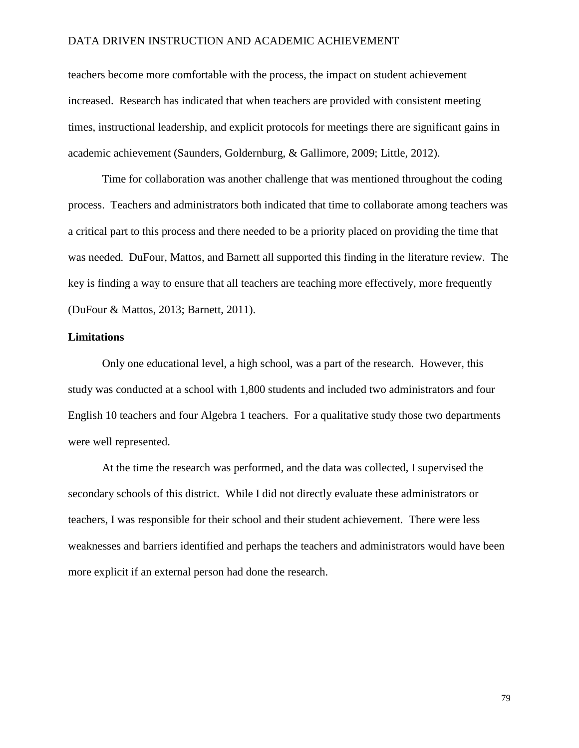teachers become more comfortable with the process, the impact on student achievement increased. Research has indicated that when teachers are provided with consistent meeting times, instructional leadership, and explicit protocols for meetings there are significant gains in academic achievement (Saunders, Goldernburg, & Gallimore, 2009; Little, 2012).

Time for collaboration was another challenge that was mentioned throughout the coding process. Teachers and administrators both indicated that time to collaborate among teachers was a critical part to this process and there needed to be a priority placed on providing the time that was needed. DuFour, Mattos, and Barnett all supported this finding in the literature review. The key is finding a way to ensure that all teachers are teaching more effectively, more frequently (DuFour & Mattos, 2013; Barnett, 2011).

### **Limitations**

Only one educational level, a high school, was a part of the research. However, this study was conducted at a school with 1,800 students and included two administrators and four English 10 teachers and four Algebra 1 teachers. For a qualitative study those two departments were well represented.

At the time the research was performed, and the data was collected, I supervised the secondary schools of this district. While I did not directly evaluate these administrators or teachers, I was responsible for their school and their student achievement. There were less weaknesses and barriers identified and perhaps the teachers and administrators would have been more explicit if an external person had done the research.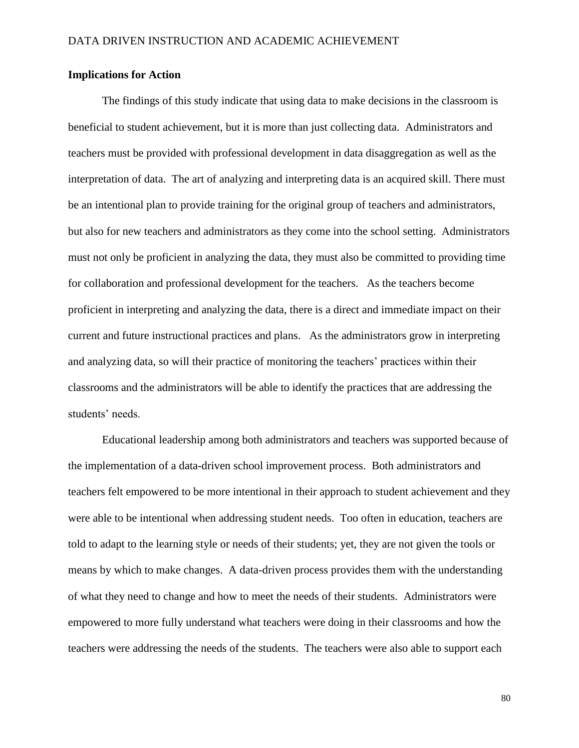#### **Implications for Action**

The findings of this study indicate that using data to make decisions in the classroom is beneficial to student achievement, but it is more than just collecting data. Administrators and teachers must be provided with professional development in data disaggregation as well as the interpretation of data. The art of analyzing and interpreting data is an acquired skill. There must be an intentional plan to provide training for the original group of teachers and administrators, but also for new teachers and administrators as they come into the school setting. Administrators must not only be proficient in analyzing the data, they must also be committed to providing time for collaboration and professional development for the teachers. As the teachers become proficient in interpreting and analyzing the data, there is a direct and immediate impact on their current and future instructional practices and plans. As the administrators grow in interpreting and analyzing data, so will their practice of monitoring the teachers' practices within their classrooms and the administrators will be able to identify the practices that are addressing the students' needs.

Educational leadership among both administrators and teachers was supported because of the implementation of a data-driven school improvement process. Both administrators and teachers felt empowered to be more intentional in their approach to student achievement and they were able to be intentional when addressing student needs. Too often in education, teachers are told to adapt to the learning style or needs of their students; yet, they are not given the tools or means by which to make changes. A data-driven process provides them with the understanding of what they need to change and how to meet the needs of their students. Administrators were empowered to more fully understand what teachers were doing in their classrooms and how the teachers were addressing the needs of the students. The teachers were also able to support each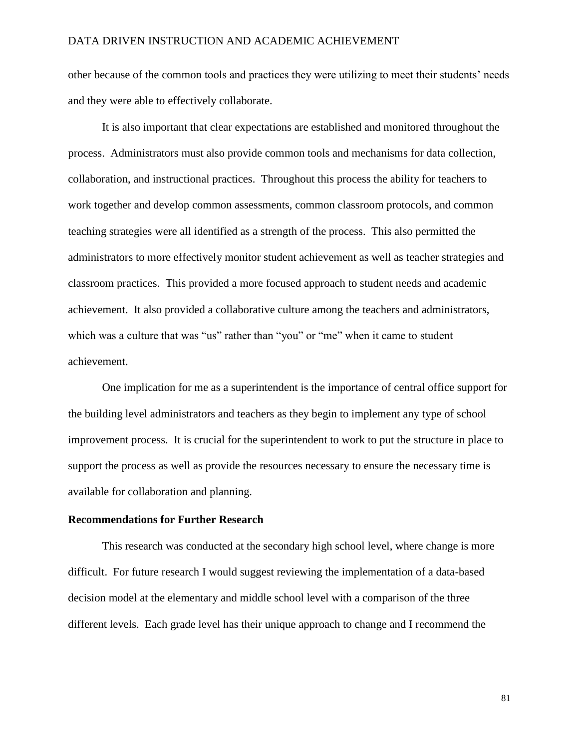other because of the common tools and practices they were utilizing to meet their students' needs and they were able to effectively collaborate.

It is also important that clear expectations are established and monitored throughout the process. Administrators must also provide common tools and mechanisms for data collection, collaboration, and instructional practices. Throughout this process the ability for teachers to work together and develop common assessments, common classroom protocols, and common teaching strategies were all identified as a strength of the process. This also permitted the administrators to more effectively monitor student achievement as well as teacher strategies and classroom practices. This provided a more focused approach to student needs and academic achievement. It also provided a collaborative culture among the teachers and administrators, which was a culture that was "us" rather than "you" or "me" when it came to student achievement.

One implication for me as a superintendent is the importance of central office support for the building level administrators and teachers as they begin to implement any type of school improvement process. It is crucial for the superintendent to work to put the structure in place to support the process as well as provide the resources necessary to ensure the necessary time is available for collaboration and planning.

### **Recommendations for Further Research**

This research was conducted at the secondary high school level, where change is more difficult. For future research I would suggest reviewing the implementation of a data-based decision model at the elementary and middle school level with a comparison of the three different levels. Each grade level has their unique approach to change and I recommend the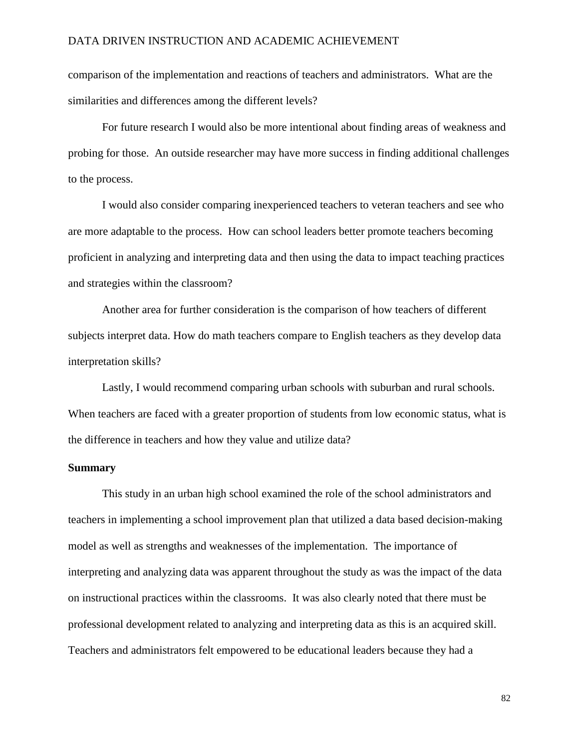comparison of the implementation and reactions of teachers and administrators. What are the similarities and differences among the different levels?

For future research I would also be more intentional about finding areas of weakness and probing for those. An outside researcher may have more success in finding additional challenges to the process.

I would also consider comparing inexperienced teachers to veteran teachers and see who are more adaptable to the process. How can school leaders better promote teachers becoming proficient in analyzing and interpreting data and then using the data to impact teaching practices and strategies within the classroom?

Another area for further consideration is the comparison of how teachers of different subjects interpret data. How do math teachers compare to English teachers as they develop data interpretation skills?

Lastly, I would recommend comparing urban schools with suburban and rural schools. When teachers are faced with a greater proportion of students from low economic status, what is the difference in teachers and how they value and utilize data?

#### **Summary**

This study in an urban high school examined the role of the school administrators and teachers in implementing a school improvement plan that utilized a data based decision-making model as well as strengths and weaknesses of the implementation. The importance of interpreting and analyzing data was apparent throughout the study as was the impact of the data on instructional practices within the classrooms. It was also clearly noted that there must be professional development related to analyzing and interpreting data as this is an acquired skill. Teachers and administrators felt empowered to be educational leaders because they had a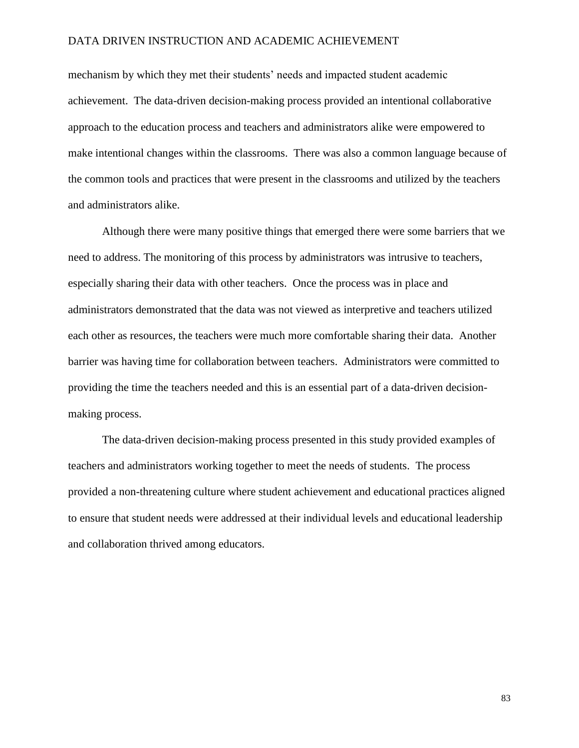mechanism by which they met their students' needs and impacted student academic achievement. The data-driven decision-making process provided an intentional collaborative approach to the education process and teachers and administrators alike were empowered to make intentional changes within the classrooms. There was also a common language because of the common tools and practices that were present in the classrooms and utilized by the teachers and administrators alike.

Although there were many positive things that emerged there were some barriers that we need to address. The monitoring of this process by administrators was intrusive to teachers, especially sharing their data with other teachers. Once the process was in place and administrators demonstrated that the data was not viewed as interpretive and teachers utilized each other as resources, the teachers were much more comfortable sharing their data. Another barrier was having time for collaboration between teachers. Administrators were committed to providing the time the teachers needed and this is an essential part of a data-driven decisionmaking process.

The data-driven decision-making process presented in this study provided examples of teachers and administrators working together to meet the needs of students. The process provided a non-threatening culture where student achievement and educational practices aligned to ensure that student needs were addressed at their individual levels and educational leadership and collaboration thrived among educators.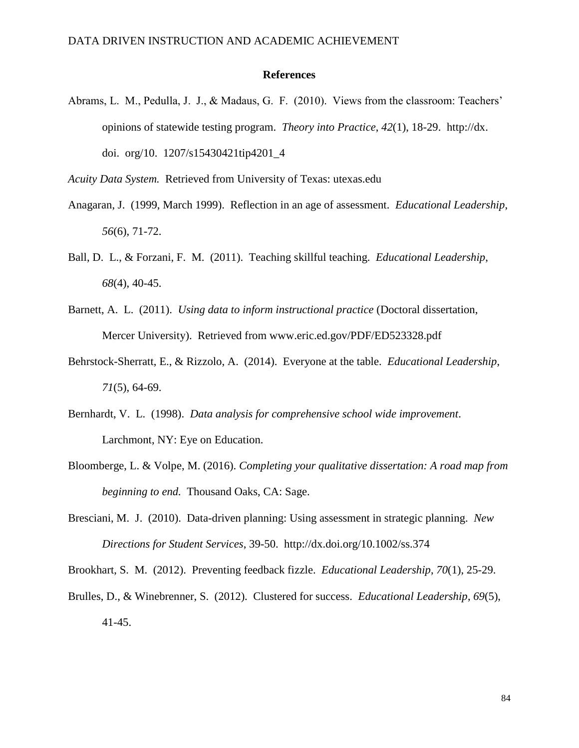#### **References**

Abrams, L. M., Pedulla, J. J., & Madaus, G. F. (2010). Views from the classroom: Teachers' opinions of statewide testing program. *Theory into Practice*, *42*(1), 18-29. http://dx. doi. org/10. 1207/s15430421tip4201\_4

*Acuity Data System.* Retrieved from University of Texas: utexas.edu

- Anagaran, J. (1999, March 1999). Reflection in an age of assessment. *Educational Leadership*, *56*(6), 71-72.
- Ball, D. L., & Forzani, F. M. (2011). Teaching skillful teaching. *Educational Leadership*, *68*(4), 40-45.
- Barnett, A. L. (2011). *Using data to inform instructional practice* (Doctoral dissertation, Mercer University). Retrieved from www.eric.ed.gov/PDF/ED523328.pdf
- Behrstock-Sherratt, E., & Rizzolo, A. (2014). Everyone at the table. *Educational Leadership*, *71*(5), 64-69.
- Bernhardt, V. L. (1998). *Data analysis for comprehensive school wide improvement*. Larchmont, NY: Eye on Education.
- Bloomberge, L. & Volpe, M. (2016). *Completing your qualitative dissertation: A road map from beginning to end.* Thousand Oaks, CA: Sage.
- Bresciani, M. J. (2010). Data-driven planning: Using assessment in strategic planning. *New Directions for Student Services*, 39-50. http://dx.doi.org/10.1002/ss.374

Brookhart, S. M. (2012). Preventing feedback fizzle. *Educational Leadership*, *70*(1), 25-29.

Brulles, D., & Winebrenner, S. (2012). Clustered for success. *Educational Leadership*, *69*(5), 41-45.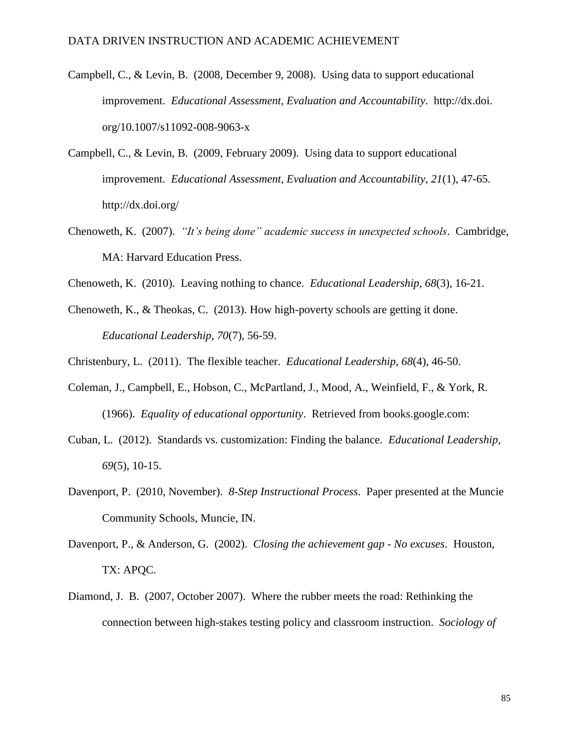- Campbell, C., & Levin, B. (2008, December 9, 2008). Using data to support educational improvement. *Educational Assessment, Evaluation and Accountability*. http://dx.doi. org/10.1007/s11092-008-9063-x
- Campbell, C., & Levin, B. (2009, February 2009). Using data to support educational improvement. *Educational Assessment, Evaluation and Accountability*, *21*(1), 47-65. http://dx.doi.org/
- Chenoweth, K. (2007). *"It's being done" academic success in unexpected schools*. Cambridge, MA: Harvard Education Press.
- Chenoweth, K. (2010). Leaving nothing to chance. *Educational Leadership*, *68*(3), 16-21.
- Chenoweth, K., & Theokas, C. (2013). How high-poverty schools are getting it done. *Educational Leadership*, *70*(7), 56-59.
- Christenbury, L. (2011). The flexible teacher. *Educational Leadership*, *68*(4), 46-50.
- Coleman, J., Campbell, E., Hobson, C., McPartland, J., Mood, A., Weinfield, F., & York, R. (1966). *Equality of educational opportunity*. Retrieved from books.google.com:
- Cuban, L. (2012). Standards vs. customization: Finding the balance. *Educational Leadership*, *69*(5), 10-15.
- Davenport, P. (2010, November). *8-Step Instructional Process*. Paper presented at the Muncie Community Schools, Muncie, IN.
- Davenport, P., & Anderson, G. (2002). *Closing the achievement gap - No excuses*. Houston, TX: APQC.
- Diamond, J. B. (2007, October 2007). Where the rubber meets the road: Rethinking the connection between high-stakes testing policy and classroom instruction. *Sociology of*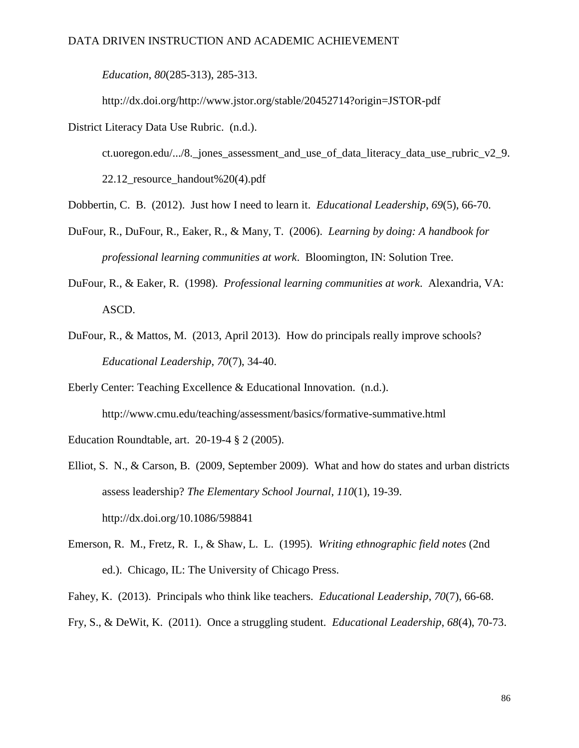*Education*, *80*(285-313), 285-313.

http://dx.doi.org/http://www.jstor.org/stable/20452714?origin=JSTOR-pdf

District Literacy Data Use Rubric. (n.d.).

ct.uoregon.edu/.../8.\_jones\_assessment\_and\_use\_of\_data\_literacy\_data\_use\_rubric\_v2\_9.

22.12 resource handout %  $20(4)$ .pdf

- Dobbertin, C. B. (2012). Just how I need to learn it. *Educational Leadership*, *69*(5), 66-70.
- DuFour, R., DuFour, R., Eaker, R., & Many, T. (2006). *Learning by doing: A handbook for professional learning communities at work*. Bloomington, IN: Solution Tree.
- DuFour, R., & Eaker, R. (1998). *Professional learning communities at work*. Alexandria, VA: ASCD.
- DuFour, R., & Mattos, M. (2013, April 2013). How do principals really improve schools? *Educational Leadership*, *70*(7), 34-40.
- Eberly Center: Teaching Excellence & Educational Innovation. (n.d.). http://www.cmu.edu/teaching/assessment/basics/formative-summative.html

Education Roundtable, art. 20-19-4 § 2 (2005).

- Elliot, S. N., & Carson, B. (2009, September 2009). What and how do states and urban districts assess leadership? *The Elementary School Journal*, *110*(1), 19-39. http://dx.doi.org/10.1086/598841
- Emerson, R. M., Fretz, R. I., & Shaw, L. L. (1995). *Writing ethnographic field notes* (2nd ed.). Chicago, IL: The University of Chicago Press.

Fahey, K. (2013). Principals who think like teachers. *Educational Leadership*, *70*(7), 66-68. Fry, S., & DeWit, K. (2011). Once a struggling student. *Educational Leadership*, *68*(4), 70-73.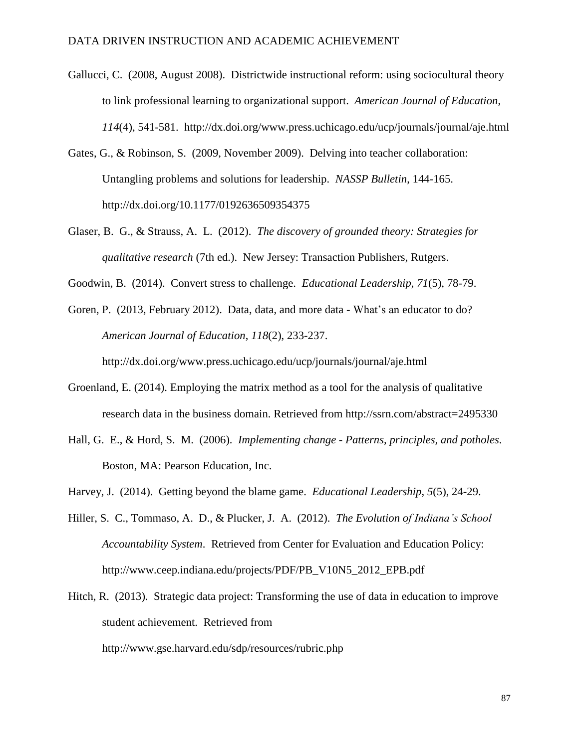- Gallucci, C. (2008, August 2008). Districtwide instructional reform: using sociocultural theory to link professional learning to organizational support. *American Journal of Education*, *114*(4), 541-581. http://dx.doi.org/www.press.uchicago.edu/ucp/journals/journal/aje.html
- Gates, G., & Robinson, S. (2009, November 2009). Delving into teacher collaboration: Untangling problems and solutions for leadership. *NASSP Bulletin*, 144-165. http://dx.doi.org/10.1177/0192636509354375
- Glaser, B. G., & Strauss, A. L. (2012). *The discovery of grounded theory: Strategies for qualitative research* (7th ed.). New Jersey: Transaction Publishers, Rutgers.
- Goodwin, B. (2014). Convert stress to challenge. *Educational Leadership*, *71*(5), 78-79.
- Goren, P. (2013, February 2012). Data, data, and more data What's an educator to do? *American Journal of Education*, *118*(2), 233-237.

http://dx.doi.org/www.press.uchicago.edu/ucp/journals/journal/aje.html

- Groenland, E. (2014). Employing the matrix method as a tool for the analysis of qualitative research data in the business domain. Retrieved from http://ssrn.com/abstract=2495330
- Hall, G. E., & Hord, S. M. (2006). *Implementing change - Patterns, principles, and potholes*. Boston, MA: Pearson Education, Inc.
- Harvey, J. (2014). Getting beyond the blame game. *Educational Leadership*, *5*(5), 24-29.
- Hiller, S. C., Tommaso, A. D., & Plucker, J. A. (2012). *The Evolution of Indiana's School Accountability System*. Retrieved from Center for Evaluation and Education Policy: http://www.ceep.indiana.edu/projects/PDF/PB\_V10N5\_2012\_EPB.pdf
- Hitch, R. (2013). Strategic data project: Transforming the use of data in education to improve student achievement. Retrieved from

http://www.gse.harvard.edu/sdp/resources/rubric.php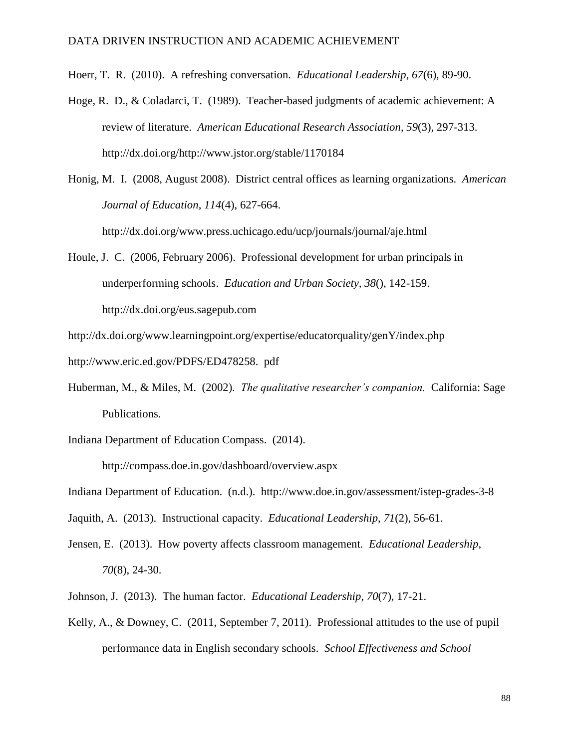Hoerr, T. R. (2010). A refreshing conversation. *Educational Leadership*, *67*(6), 89-90.

Hoge, R. D., & Coladarci, T. (1989). Teacher-based judgments of academic achievement: A review of literature. *American Educational Research Association*, *59*(3), 297-313. http://dx.doi.org/http://www.jstor.org/stable/1170184

Honig, M. I. (2008, August 2008). District central offices as learning organizations. *American Journal of Education*, *114*(4), 627-664. http://dx.doi.org/www.press.uchicago.edu/ucp/journals/journal/aje.html

Houle, J. C. (2006, February 2006). Professional development for urban principals in underperforming schools. *Education and Urban Society, 38*(), 142-159. http://dx.doi.org/eus.sagepub.com

http://dx.doi.org/www.learningpoint.org/expertise/educatorquality/genY/index.php http://www.eric.ed.gov/PDFS/ED478258. pdf

- Huberman, M., & Miles, M. (2002). *The qualitative researcher's companion.* California: Sage Publications.
- Indiana Department of Education Compass. (2014).

http://compass.doe.in.gov/dashboard/overview.aspx

Indiana Department of Education. (n.d.). http://www.doe.in.gov/assessment/istep-grades-3-8

Jaquith, A. (2013). Instructional capacity. *Educational Leadership*, *71*(2), 56-61.

- Jensen, E. (2013). How poverty affects classroom management. *Educational Leadership*, *70*(8), 24-30.
- Johnson, J. (2013). The human factor. *Educational Leadership*, *70*(7), 17-21.
- Kelly, A., & Downey, C. (2011, September 7, 2011). Professional attitudes to the use of pupil performance data in English secondary schools. *School Effectiveness and School*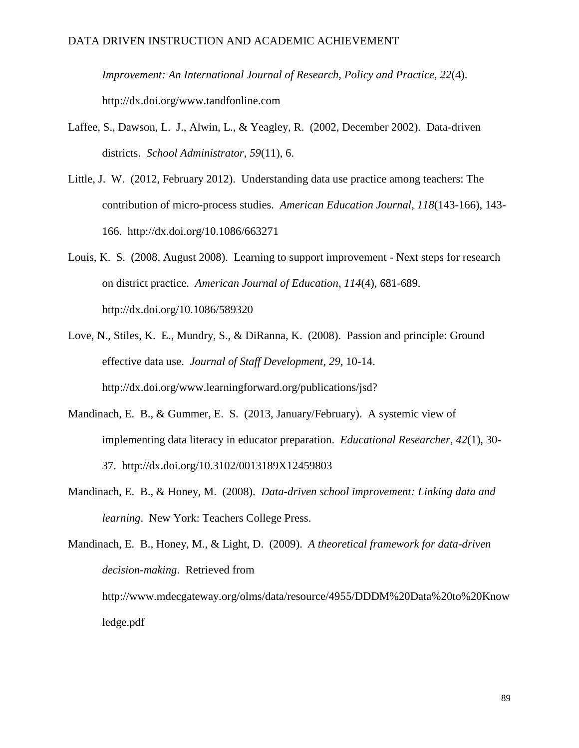*Improvement: An International Journal of Research, Policy and Practice*, *22*(4). http://dx.doi.org/www.tandfonline.com

- Laffee, S., Dawson, L. J., Alwin, L., & Yeagley, R. (2002, December 2002). Data-driven districts. *School Administrator*, *59*(11), 6.
- Little, J. W. (2012, February 2012). Understanding data use practice among teachers: The contribution of micro-process studies. *American Education Journal*, *118*(143-166), 143- 166. http://dx.doi.org/10.1086/663271
- Louis, K. S. (2008, August 2008). Learning to support improvement Next steps for research on district practice. *American Journal of Education*, *114*(4), 681-689. http://dx.doi.org/10.1086/589320
- Love, N., Stiles, K. E., Mundry, S., & DiRanna, K. (2008). Passion and principle: Ground effective data use. *Journal of Staff Development*, *29*, 10-14. http://dx.doi.org/www.learningforward.org/publications/jsd?
- Mandinach, E. B., & Gummer, E. S. (2013, January/February). A systemic view of implementing data literacy in educator preparation. *Educational Researcher*, *42*(1), 30- 37. http://dx.doi.org/10.3102/0013189X12459803
- Mandinach, E. B., & Honey, M. (2008). *Data-driven school improvement: Linking data and learning*. New York: Teachers College Press.

Mandinach, E. B., Honey, M., & Light, D. (2009). *A theoretical framework for data-driven decision-making*. Retrieved from http://www.mdecgateway.org/olms/data/resource/4955/DDDM%20Data%20to%20Know ledge.pdf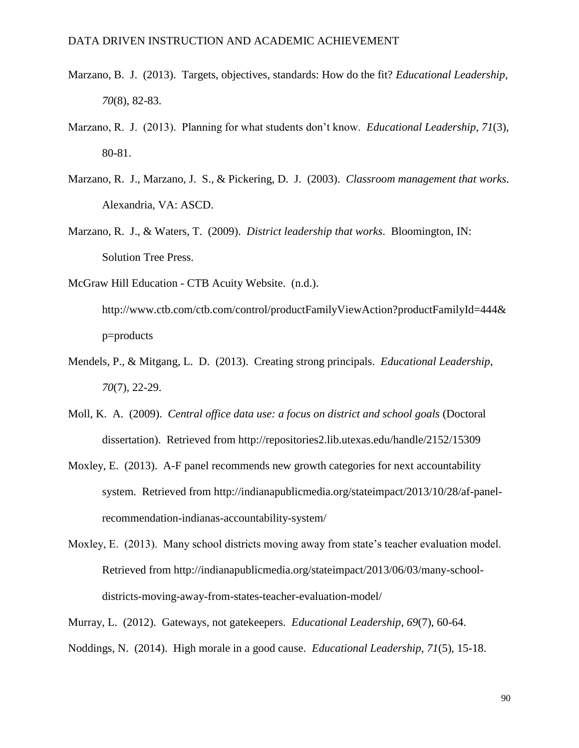- Marzano, B. J. (2013). Targets, objectives, standards: How do the fit? *Educational Leadership*, *70*(8), 82-83.
- Marzano, R. J. (2013). Planning for what students don't know. *Educational Leadership*, *71*(3), 80-81.
- Marzano, R. J., Marzano, J. S., & Pickering, D. J. (2003). *Classroom management that works*. Alexandria, VA: ASCD.
- Marzano, R. J., & Waters, T. (2009). *District leadership that works*. Bloomington, IN: Solution Tree Press.

McGraw Hill Education - CTB Acuity Website. (n.d.).

http://www.ctb.com/ctb.com/control/productFamilyViewAction?productFamilyId=444& p=products

- Mendels, P., & Mitgang, L. D. (2013). Creating strong principals. *Educational Leadership*, *70*(7), 22-29.
- Moll, K. A. (2009). *Central office data use: a focus on district and school goals* (Doctoral dissertation). Retrieved from http://repositories2.lib.utexas.edu/handle/2152/15309
- Moxley, E. (2013). A-F panel recommends new growth categories for next accountability system. Retrieved from http://indianapublicmedia.org/stateimpact/2013/10/28/af-panelrecommendation-indianas-accountability-system/
- Moxley, E. (2013). Many school districts moving away from state's teacher evaluation model. Retrieved from http://indianapublicmedia.org/stateimpact/2013/06/03/many-schooldistricts-moving-away-from-states-teacher-evaluation-model/

Murray, L. (2012). Gateways, not gatekeepers. *Educational Leadership*, *69*(7), 60-64.

Noddings, N. (2014). High morale in a good cause. *Educational Leadership*, *71*(5), 15-18.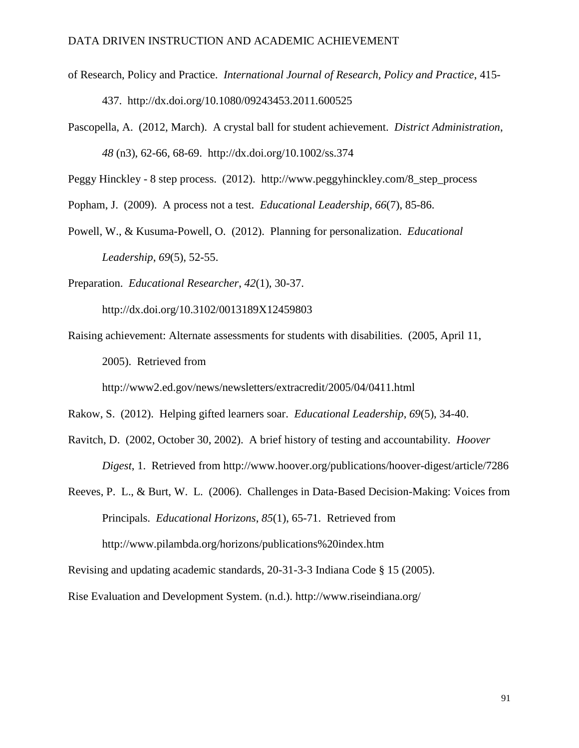- of Research, Policy and Practice. *International Journal of Research, Policy and Practice*, 415- 437. http://dx.doi.org/10.1080/09243453.2011.600525
- Pascopella, A. (2012, March). A crystal ball for student achievement. *District Administration*, *48* (n3), 62-66, 68-69. http://dx.doi.org/10.1002/ss.374

Peggy Hinckley - 8 step process. (2012). http://www.peggyhinckley.com/8\_step\_process

Popham, J. (2009). A process not a test. *Educational Leadership*, *66*(7), 85-86.

Powell, W., & Kusuma-Powell, O. (2012). Planning for personalization. *Educational Leadership*, *69*(5), 52-55.

Preparation. *Educational Researcher*, *42*(1), 30-37.

http://dx.doi.org/10.3102/0013189X12459803

Raising achievement: Alternate assessments for students with disabilities. (2005, April 11, 2005). Retrieved from

http://www2.ed.gov/news/newsletters/extracredit/2005/04/0411.html

Rakow, S. (2012). Helping gifted learners soar. *Educational Leadership*, *69*(5), 34-40.

Ravitch, D. (2002, October 30, 2002). A brief history of testing and accountability. *Hoover Digest*, 1. Retrieved from http://www.hoover.org/publications/hoover-digest/article/7286

Reeves, P. L., & Burt, W. L. (2006). Challenges in Data-Based Decision-Making: Voices from Principals. *Educational Horizons*, *85*(1), 65-71. Retrieved from http://www.pilambda.org/horizons/publications%20index.htm

Revising and updating academic standards, 20-31-3-3 Indiana Code § 15 (2005).

Rise Evaluation and Development System. (n.d.). http://www.riseindiana.org/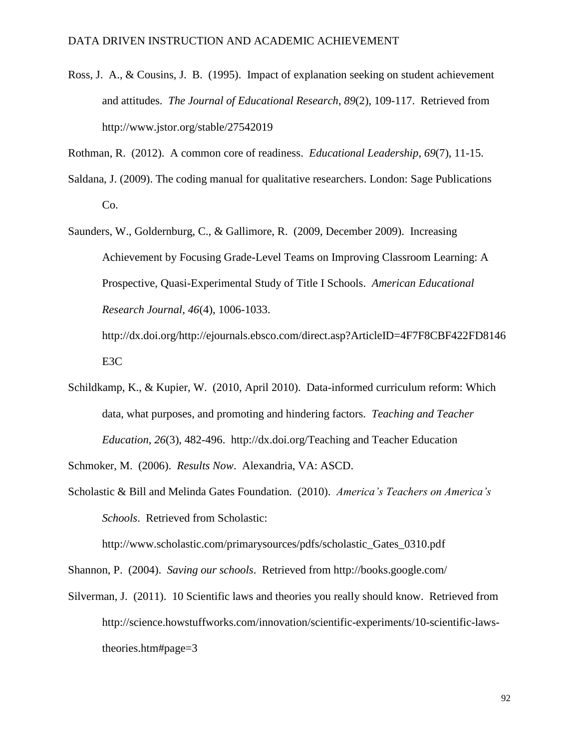Ross, J. A., & Cousins, J. B. (1995). Impact of explanation seeking on student achievement and attitudes. *The Journal of Educational Research*, *89*(2), 109-117. Retrieved from http://www.jstor.org/stable/27542019

Rothman, R. (2012). A common core of readiness. *Educational Leadership*, *69*(7), 11-15.

- Saldana, J. (2009). The coding manual for qualitative researchers. London: Sage Publications Co.
- Saunders, W., Goldernburg, C., & Gallimore, R. (2009, December 2009). Increasing Achievement by Focusing Grade-Level Teams on Improving Classroom Learning: A Prospective, Quasi-Experimental Study of Title I Schools. *American Educational Research Journal*, *46*(4), 1006-1033.

http://dx.doi.org/http://ejournals.ebsco.com/direct.asp?ArticleID=4F7F8CBF422FD8146 E3C

Schildkamp, K., & Kupier, W. (2010, April 2010). Data-informed curriculum reform: Which data, what purposes, and promoting and hindering factors. *Teaching and Teacher Education*, *26*(3), 482-496. http://dx.doi.org/Teaching and Teacher Education

Schmoker, M. (2006). *Results Now*. Alexandria, VA: ASCD.

Scholastic & Bill and Melinda Gates Foundation. (2010). *America's Teachers on America's Schools*. Retrieved from Scholastic:

http://www.scholastic.com/primarysources/pdfs/scholastic\_Gates\_0310.pdf

Shannon, P. (2004). *Saving our schools*. Retrieved from http://books.google.com/

Silverman, J. (2011). 10 Scientific laws and theories you really should know. Retrieved from http://science.howstuffworks.com/innovation/scientific-experiments/10-scientific-lawstheories.htm#page=3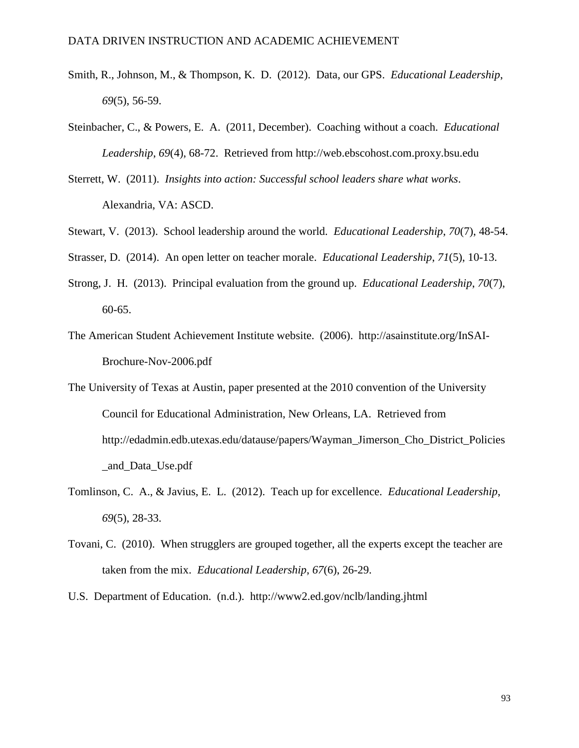- Smith, R., Johnson, M., & Thompson, K. D. (2012). Data, our GPS. *Educational Leadership*, *69*(5), 56-59.
- Steinbacher, C., & Powers, E. A. (2011, December). Coaching without a coach. *Educational Leadership*, *69*(4), 68-72. Retrieved from http://web.ebscohost.com.proxy.bsu.edu
- Sterrett, W. (2011). *Insights into action: Successful school leaders share what works*. Alexandria, VA: ASCD.
- Stewart, V. (2013). School leadership around the world. *Educational Leadership*, *70*(7), 48-54.
- Strasser, D. (2014). An open letter on teacher morale. *Educational Leadership*, *71*(5), 10-13.
- Strong, J. H. (2013). Principal evaluation from the ground up. *Educational Leadership*, *70*(7), 60-65.
- The American Student Achievement Institute website. (2006). http://asainstitute.org/InSAI-Brochure-Nov-2006.pdf
- The University of Texas at Austin, paper presented at the 2010 convention of the University Council for Educational Administration, New Orleans, LA. Retrieved from http://edadmin.edb.utexas.edu/datause/papers/Wayman\_Jimerson\_Cho\_District\_Policies \_and\_Data\_Use.pdf
- Tomlinson, C. A., & Javius, E. L. (2012). Teach up for excellence. *Educational Leadership*, *69*(5), 28-33.
- Tovani, C. (2010). When strugglers are grouped together, all the experts except the teacher are taken from the mix. *Educational Leadership*, *67*(6), 26-29.
- U.S. Department of Education. (n.d.). http://www2.ed.gov/nclb/landing.jhtml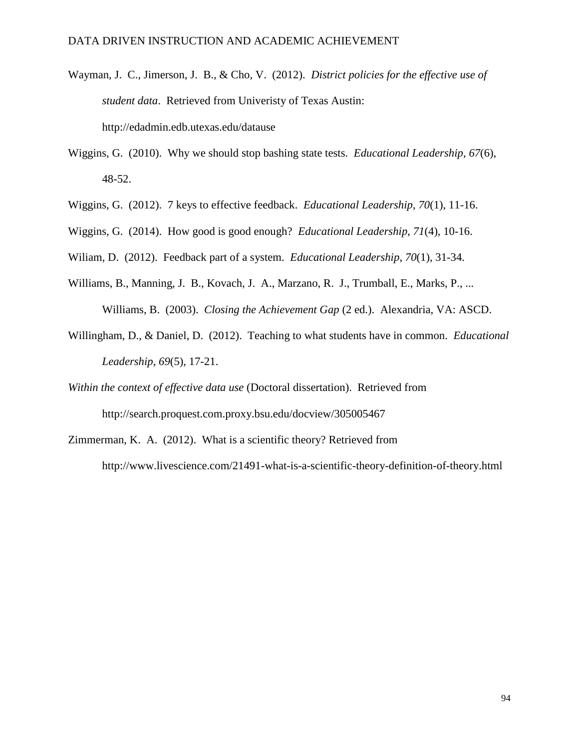- Wayman, J. C., Jimerson, J. B., & Cho, V. (2012). *District policies for the effective use of student data*. Retrieved from Univeristy of Texas Austin: http://edadmin.edb.utexas.edu/datause
- Wiggins, G. (2010). Why we should stop bashing state tests. *Educational Leadership*, *67*(6), 48-52.
- Wiggins, G. (2012). 7 keys to effective feedback. *Educational Leadership*, *70*(1), 11-16.
- Wiggins, G. (2014). How good is good enough? *Educational Leadership*, *71*(4), 10-16.
- Wiliam, D. (2012). Feedback part of a system. *Educational Leadership*, *70*(1), 31-34.
- Williams, B., Manning, J. B., Kovach, J. A., Marzano, R. J., Trumball, E., Marks, P., ... Williams, B. (2003). *Closing the Achievement Gap* (2 ed.). Alexandria, VA: ASCD.
- Willingham, D., & Daniel, D. (2012). Teaching to what students have in common. *Educational Leadership*, *69*(5), 17-21.
- *Within the context of effective data use* (Doctoral dissertation). Retrieved from http://search.proquest.com.proxy.bsu.edu/docview/305005467
- Zimmerman, K. A. (2012). What is a scientific theory? Retrieved from http://www.livescience.com/21491-what-is-a-scientific-theory-definition-of-theory.html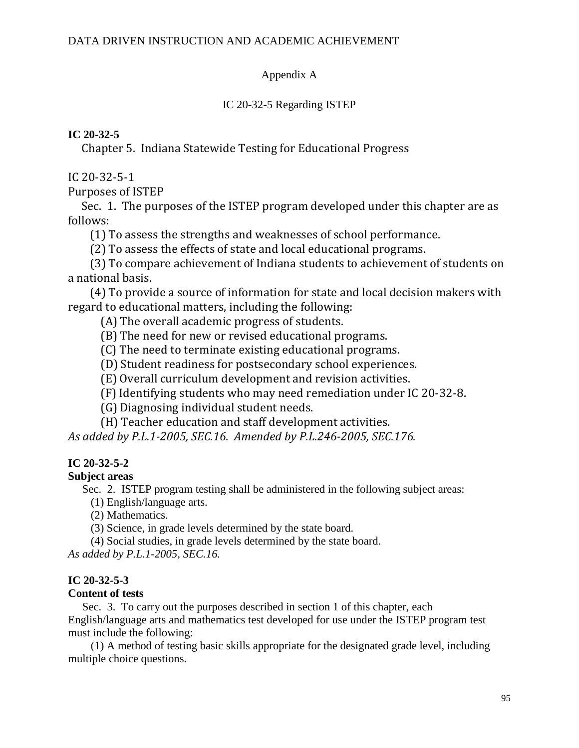## Appendix A

## IC 20-32-5 Regarding ISTEP

## **IC 20-32-5**

Chapter 5. Indiana Statewide Testing for Educational Progress

## IC 20-32-5-1

Purposes of ISTEP

 Sec. 1. The purposes of the ISTEP program developed under this chapter are as follows:

(1) To assess the strengths and weaknesses of school performance.

(2) To assess the effects of state and local educational programs.

 (3) To compare achievement of Indiana students to achievement of students on a national basis.

 (4) To provide a source of information for state and local decision makers with regard to educational matters, including the following:

(A) The overall academic progress of students.

(B) The need for new or revised educational programs.

(C) The need to terminate existing educational programs.

(D) Student readiness for postsecondary school experiences.

(E) Overall curriculum development and revision activities.

(F) Identifying students who may need remediation under IC 20-32-8.

(G) Diagnosing individual student needs.

(H) Teacher education and staff development activities.

*As added by P.L.1-2005, SEC.16. Amended by P.L.246-2005, SEC.176.*

# **IC 20-32-5-2**

# **Subject areas**

Sec. 2. ISTEP program testing shall be administered in the following subject areas:

(1) English/language arts.

(2) Mathematics.

(3) Science, in grade levels determined by the state board.

(4) Social studies, in grade levels determined by the state board.

*As added by P.L.1-2005, SEC.16.*

# **IC 20-32-5-3**

## **Content of tests**

Sec. 3. To carry out the purposes described in section 1 of this chapter, each English/language arts and mathematics test developed for use under the ISTEP program test must include the following:

 (1) A method of testing basic skills appropriate for the designated grade level, including multiple choice questions.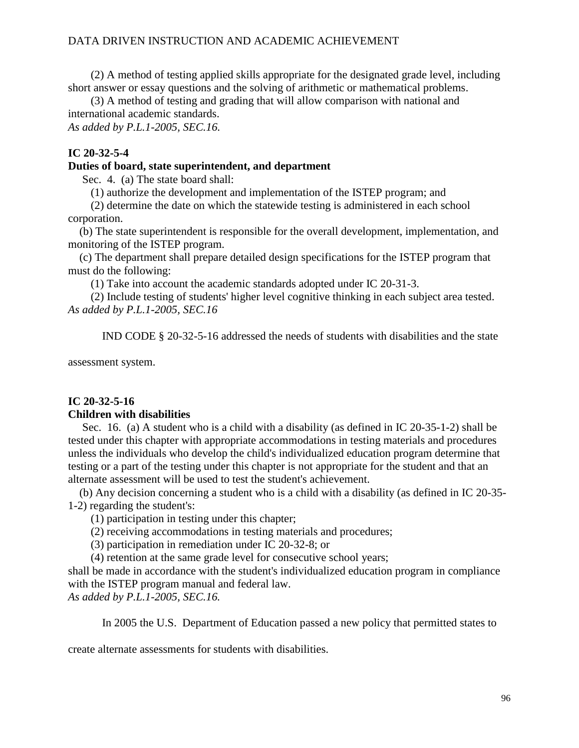(2) A method of testing applied skills appropriate for the designated grade level, including short answer or essay questions and the solving of arithmetic or mathematical problems.

 (3) A method of testing and grading that will allow comparison with national and international academic standards.

*As added by P.L.1-2005, SEC.16.* 

## **IC 20-32-5-4**

### **Duties of board, state superintendent, and department**

Sec. 4. (a) The state board shall:

(1) authorize the development and implementation of the ISTEP program; and

 (2) determine the date on which the statewide testing is administered in each school corporation.

 (b) The state superintendent is responsible for the overall development, implementation, and monitoring of the ISTEP program.

 (c) The department shall prepare detailed design specifications for the ISTEP program that must do the following:

(1) Take into account the academic standards adopted under IC 20-31-3.

 (2) Include testing of students' higher level cognitive thinking in each subject area tested. *As added by P.L.1-2005, SEC.16*

IND CODE § 20-32-5-16 addressed the needs of students with disabilities and the state

assessment system.

### **IC 20-32-5-16**

#### **Children with disabilities**

Sec. 16. (a) A student who is a child with a disability (as defined in IC 20-35-1-2) shall be tested under this chapter with appropriate accommodations in testing materials and procedures unless the individuals who develop the child's individualized education program determine that testing or a part of the testing under this chapter is not appropriate for the student and that an alternate assessment will be used to test the student's achievement.

 (b) Any decision concerning a student who is a child with a disability (as defined in IC 20-35- 1-2) regarding the student's:

(1) participation in testing under this chapter;

(2) receiving accommodations in testing materials and procedures;

(3) participation in remediation under IC 20-32-8; or

(4) retention at the same grade level for consecutive school years;

shall be made in accordance with the student's individualized education program in compliance with the ISTEP program manual and federal law.

*As added by P.L.1-2005, SEC.16.*

In 2005 the U.S. Department of Education passed a new policy that permitted states to

create alternate assessments for students with disabilities.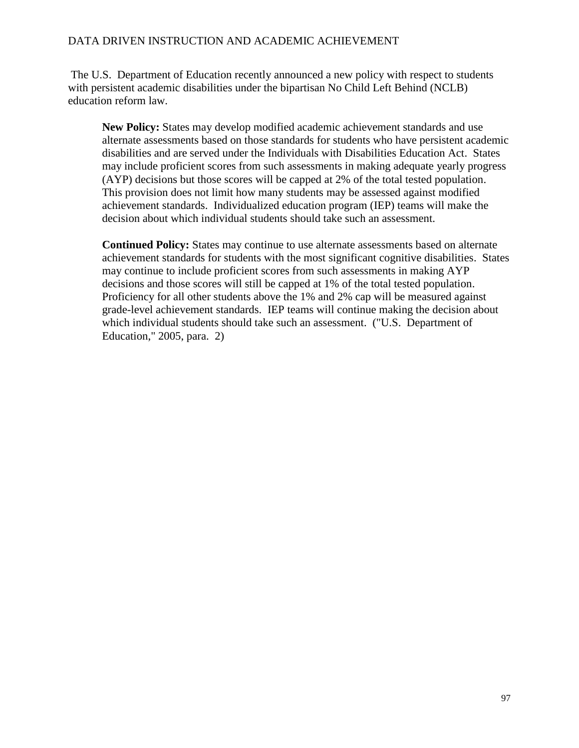The U.S. Department of Education recently announced a new policy with respect to students with persistent academic disabilities under the bipartisan No Child Left Behind (NCLB) education reform law.

**New Policy:** States may develop modified academic achievement standards and use alternate assessments based on those standards for students who have persistent academic disabilities and are served under the Individuals with Disabilities Education Act. States may include proficient scores from such assessments in making adequate yearly progress (AYP) decisions but those scores will be capped at 2% of the total tested population. This provision does not limit how many students may be assessed against modified achievement standards. Individualized education program (IEP) teams will make the decision about which individual students should take such an assessment.

**Continued Policy:** States may continue to use alternate assessments based on alternate achievement standards for students with the most significant cognitive disabilities. States may continue to include proficient scores from such assessments in making AYP decisions and those scores will still be capped at 1% of the total tested population. Proficiency for all other students above the 1% and 2% cap will be measured against grade-level achievement standards. IEP teams will continue making the decision about which individual students should take such an assessment. ("U.S. Department of Education," 2005, para. 2)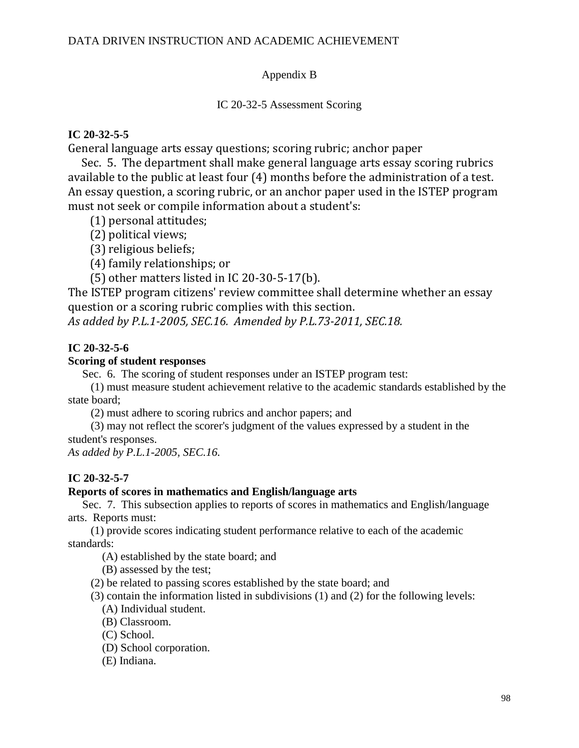## Appendix B

#### IC 20-32-5 Assessment Scoring

## **IC 20-32-5-5**

General language arts essay questions; scoring rubric; anchor paper

 Sec. 5. The department shall make general language arts essay scoring rubrics available to the public at least four (4) months before the administration of a test. An essay question, a scoring rubric, or an anchor paper used in the ISTEP program must not seek or compile information about a student's:

(1) personal attitudes;

(2) political views;

(3) religious beliefs;

(4) family relationships; or

(5) other matters listed in IC 20-30-5-17(b).

The ISTEP program citizens' review committee shall determine whether an essay question or a scoring rubric complies with this section.

*As added by P.L.1-2005, SEC.16. Amended by P.L.73-2011, SEC.18.*

### **IC 20-32-5-6**

### **Scoring of student responses**

Sec. 6. The scoring of student responses under an ISTEP program test:

 (1) must measure student achievement relative to the academic standards established by the state board;

(2) must adhere to scoring rubrics and anchor papers; and

 (3) may not reflect the scorer's judgment of the values expressed by a student in the student's responses.

*As added by P.L.1-2005, SEC.16.*

### **IC 20-32-5-7**

### **Reports of scores in mathematics and English/language arts**

Sec. 7. This subsection applies to reports of scores in mathematics and English/language arts. Reports must:

 (1) provide scores indicating student performance relative to each of the academic standards:

(A) established by the state board; and

(B) assessed by the test;

(2) be related to passing scores established by the state board; and

(3) contain the information listed in subdivisions (1) and (2) for the following levels:

(A) Individual student.

(B) Classroom.

(C) School.

(D) School corporation.

(E) Indiana.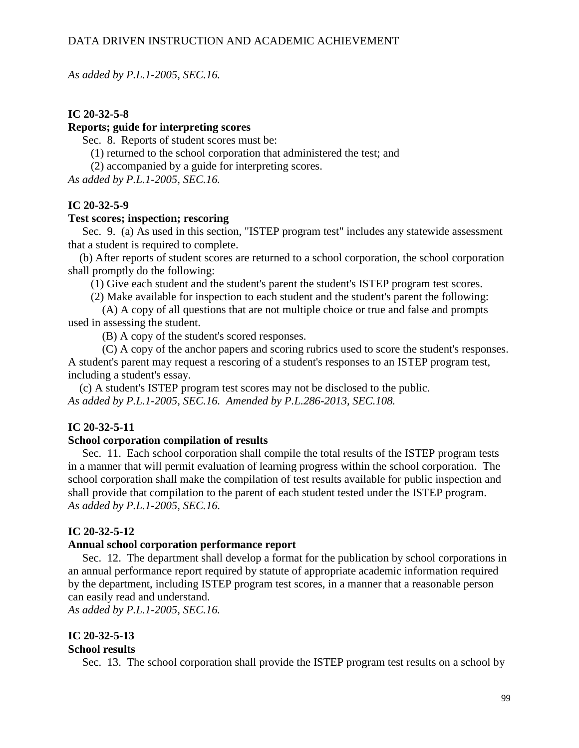*As added by P.L.1-2005, SEC.16.*

### **IC 20-32-5-8**

#### **Reports; guide for interpreting scores**

Sec. 8. Reports of student scores must be:

(1) returned to the school corporation that administered the test; and

(2) accompanied by a guide for interpreting scores.

*As added by P.L.1-2005, SEC.16.*

### **IC 20-32-5-9**

#### **Test scores; inspection; rescoring**

Sec. 9. (a) As used in this section, "ISTEP program test" includes any statewide assessment that a student is required to complete.

 (b) After reports of student scores are returned to a school corporation, the school corporation shall promptly do the following:

(1) Give each student and the student's parent the student's ISTEP program test scores.

(2) Make available for inspection to each student and the student's parent the following:

 (A) A copy of all questions that are not multiple choice or true and false and prompts used in assessing the student.

(B) A copy of the student's scored responses.

 (C) A copy of the anchor papers and scoring rubrics used to score the student's responses. A student's parent may request a rescoring of a student's responses to an ISTEP program test, including a student's essay.

 (c) A student's ISTEP program test scores may not be disclosed to the public. *As added by P.L.1-2005, SEC.16. Amended by P.L.286-2013, SEC.108.*

### **IC 20-32-5-11**

### **School corporation compilation of results**

Sec. 11. Each school corporation shall compile the total results of the ISTEP program tests in a manner that will permit evaluation of learning progress within the school corporation. The school corporation shall make the compilation of test results available for public inspection and shall provide that compilation to the parent of each student tested under the ISTEP program. *As added by P.L.1-2005, SEC.16.*

### **IC 20-32-5-12**

#### **Annual school corporation performance report**

Sec. 12. The department shall develop a format for the publication by school corporations in an annual performance report required by statute of appropriate academic information required by the department, including ISTEP program test scores, in a manner that a reasonable person can easily read and understand.

*As added by P.L.1-2005, SEC.16.*

### **IC 20-32-5-13**

### **School results**

Sec. 13. The school corporation shall provide the ISTEP program test results on a school by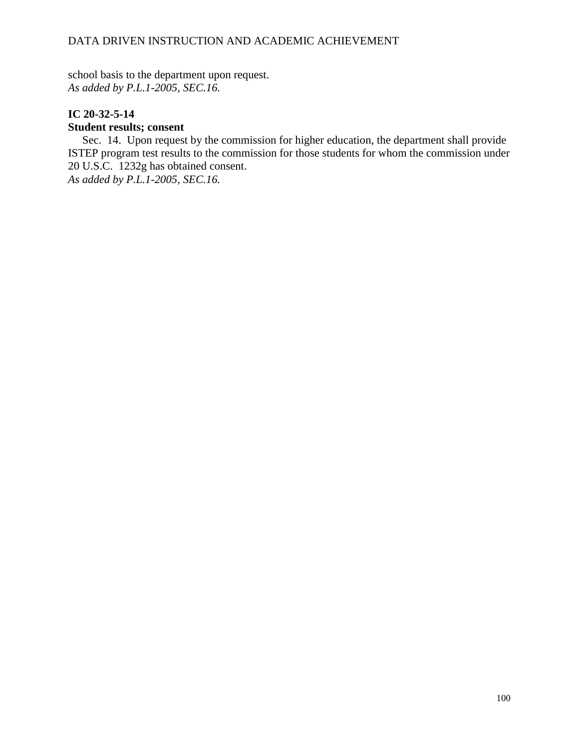school basis to the department upon request. *As added by P.L.1-2005, SEC.16.*

## **IC 20-32-5-14**

### **Student results; consent**

Sec. 14. Upon request by the commission for higher education, the department shall provide ISTEP program test results to the commission for those students for whom the commission under 20 U.S.C. 1232g has obtained consent. *As added by P.L.1-2005, SEC.16.*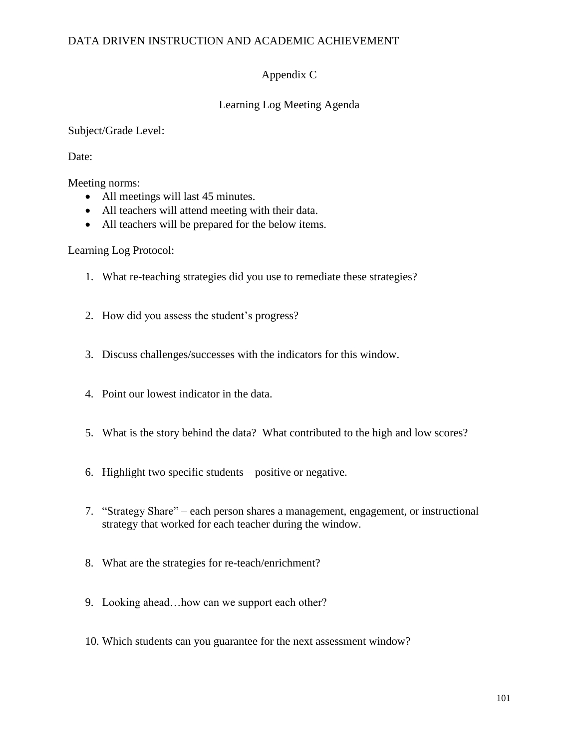## Appendix C

## Learning Log Meeting Agenda

Subject/Grade Level:

Date:

Meeting norms:

- All meetings will last 45 minutes.
- All teachers will attend meeting with their data.
- All teachers will be prepared for the below items.

Learning Log Protocol:

- 1. What re-teaching strategies did you use to remediate these strategies?
- 2. How did you assess the student's progress?
- 3. Discuss challenges/successes with the indicators for this window.
- 4. Point our lowest indicator in the data.
- 5. What is the story behind the data? What contributed to the high and low scores?
- 6. Highlight two specific students positive or negative.
- 7. "Strategy Share" each person shares a management, engagement, or instructional strategy that worked for each teacher during the window.
- 8. What are the strategies for re-teach/enrichment?
- 9. Looking ahead…how can we support each other?
- 10. Which students can you guarantee for the next assessment window?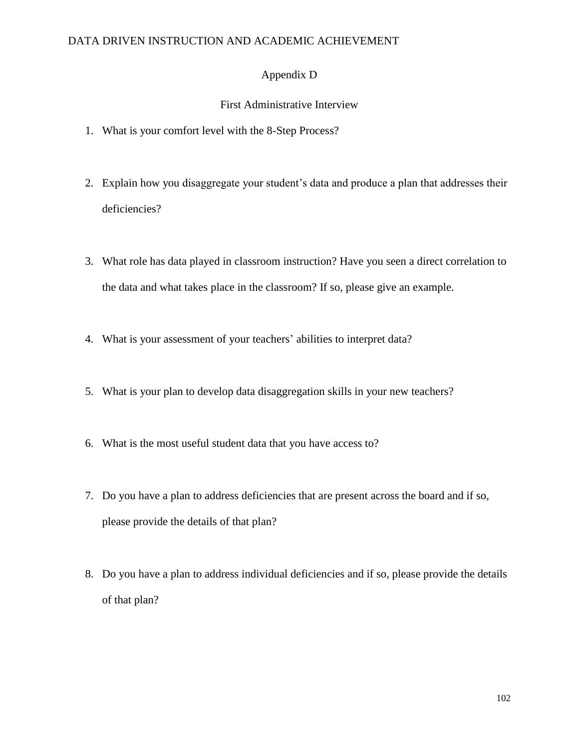### Appendix D

### First Administrative Interview

- 1. What is your comfort level with the 8-Step Process?
- 2. Explain how you disaggregate your student's data and produce a plan that addresses their deficiencies?
- 3. What role has data played in classroom instruction? Have you seen a direct correlation to the data and what takes place in the classroom? If so, please give an example.
- 4. What is your assessment of your teachers' abilities to interpret data?
- 5. What is your plan to develop data disaggregation skills in your new teachers?
- 6. What is the most useful student data that you have access to?
- 7. Do you have a plan to address deficiencies that are present across the board and if so, please provide the details of that plan?
- 8. Do you have a plan to address individual deficiencies and if so, please provide the details of that plan?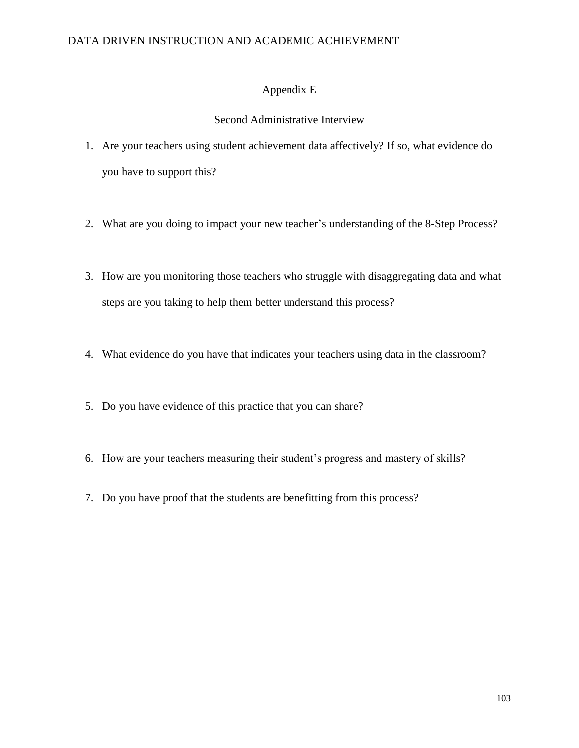### Appendix E

## Second Administrative Interview

- 1. Are your teachers using student achievement data affectively? If so, what evidence do you have to support this?
- 2. What are you doing to impact your new teacher's understanding of the 8-Step Process?
- 3. How are you monitoring those teachers who struggle with disaggregating data and what steps are you taking to help them better understand this process?
- 4. What evidence do you have that indicates your teachers using data in the classroom?
- 5. Do you have evidence of this practice that you can share?
- 6. How are your teachers measuring their student's progress and mastery of skills?
- 7. Do you have proof that the students are benefitting from this process?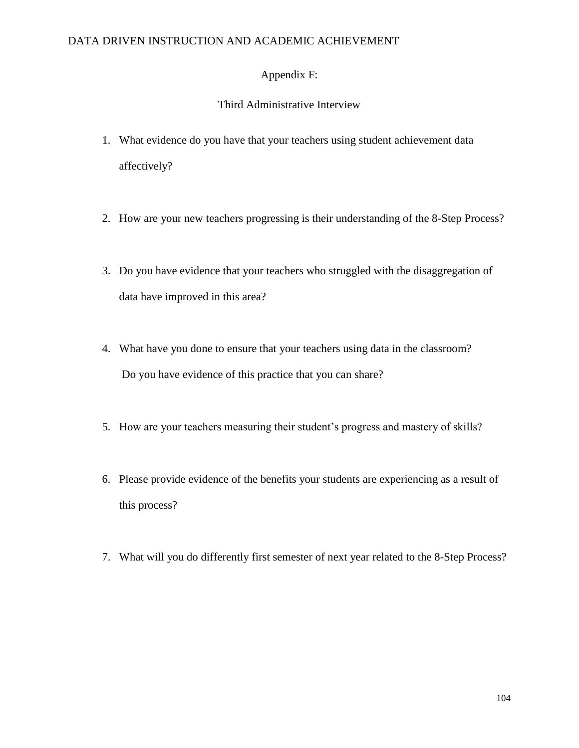## Appendix F:

## Third Administrative Interview

- 1. What evidence do you have that your teachers using student achievement data affectively?
- 2. How are your new teachers progressing is their understanding of the 8-Step Process?
- 3. Do you have evidence that your teachers who struggled with the disaggregation of data have improved in this area?
- 4. What have you done to ensure that your teachers using data in the classroom? Do you have evidence of this practice that you can share?
- 5. How are your teachers measuring their student's progress and mastery of skills?
- 6. Please provide evidence of the benefits your students are experiencing as a result of this process?
- 7. What will you do differently first semester of next year related to the 8-Step Process?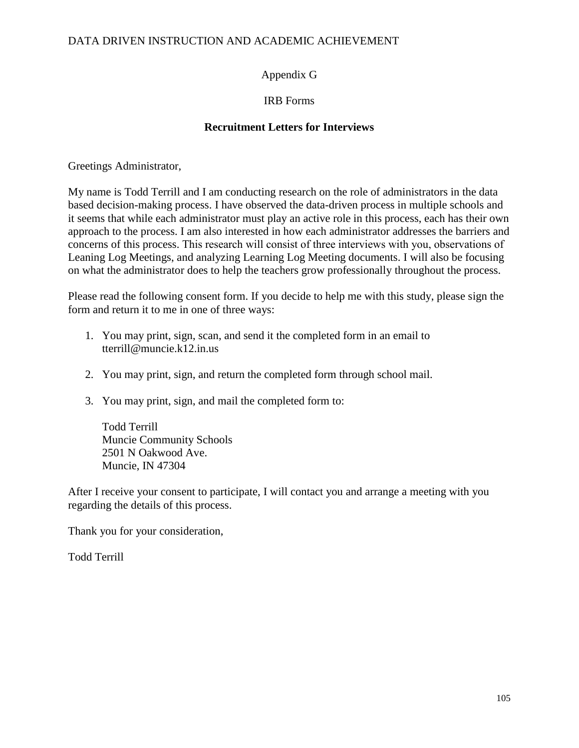## Appendix G

## IRB Forms

## **Recruitment Letters for Interviews**

Greetings Administrator,

My name is Todd Terrill and I am conducting research on the role of administrators in the data based decision-making process. I have observed the data-driven process in multiple schools and it seems that while each administrator must play an active role in this process, each has their own approach to the process. I am also interested in how each administrator addresses the barriers and concerns of this process. This research will consist of three interviews with you, observations of Leaning Log Meetings, and analyzing Learning Log Meeting documents. I will also be focusing on what the administrator does to help the teachers grow professionally throughout the process.

Please read the following consent form. If you decide to help me with this study, please sign the form and return it to me in one of three ways:

- 1. You may print, sign, scan, and send it the completed form in an email to tterrill@muncie.k12.in.us
- 2. You may print, sign, and return the completed form through school mail.
- 3. You may print, sign, and mail the completed form to:

Todd Terrill Muncie Community Schools 2501 N Oakwood Ave. Muncie, IN 47304

After I receive your consent to participate, I will contact you and arrange a meeting with you regarding the details of this process.

Thank you for your consideration,

Todd Terrill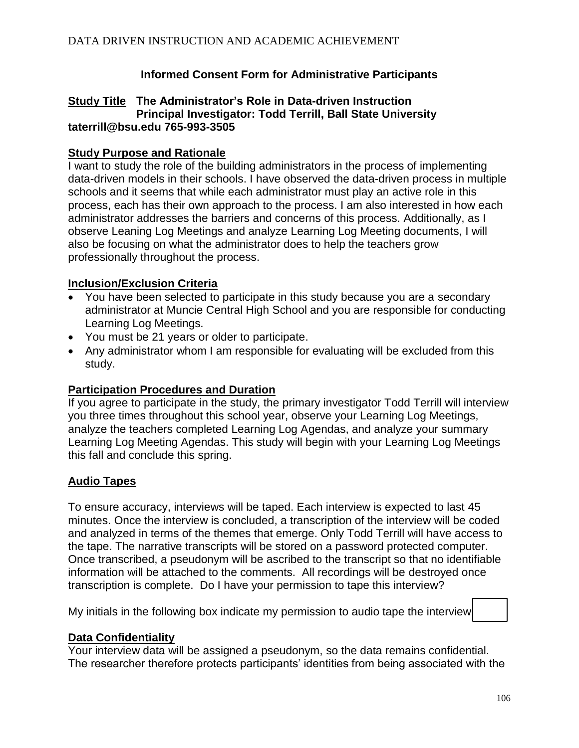# **Informed Consent Form for Administrative Participants**

## **Study Title The Administrator's Role in Data-driven Instruction Principal Investigator: Todd Terrill, Ball State University taterrill@bsu.edu 765-993-3505**

## **Study Purpose and Rationale**

I want to study the role of the building administrators in the process of implementing data-driven models in their schools. I have observed the data-driven process in multiple schools and it seems that while each administrator must play an active role in this process, each has their own approach to the process. I am also interested in how each administrator addresses the barriers and concerns of this process. Additionally, as I observe Leaning Log Meetings and analyze Learning Log Meeting documents, I will also be focusing on what the administrator does to help the teachers grow professionally throughout the process.

# **Inclusion/Exclusion Criteria**

- You have been selected to participate in this study because you are a secondary administrator at Muncie Central High School and you are responsible for conducting Learning Log Meetings.
- You must be 21 years or older to participate.
- Any administrator whom I am responsible for evaluating will be excluded from this study.

# **Participation Procedures and Duration**

If you agree to participate in the study, the primary investigator Todd Terrill will interview you three times throughout this school year, observe your Learning Log Meetings, analyze the teachers completed Learning Log Agendas, and analyze your summary Learning Log Meeting Agendas. This study will begin with your Learning Log Meetings this fall and conclude this spring.

# **Audio Tapes**

To ensure accuracy, interviews will be taped. Each interview is expected to last 45 minutes. Once the interview is concluded, a transcription of the interview will be coded and analyzed in terms of the themes that emerge. Only Todd Terrill will have access to the tape. The narrative transcripts will be stored on a password protected computer. Once transcribed, a pseudonym will be ascribed to the transcript so that no identifiable information will be attached to the comments. All recordings will be destroyed once transcription is complete. Do I have your permission to tape this interview?

My initials in the following box indicate my permission to audio tape the interview:

# **Data Confidentiality**

Your interview data will be assigned a pseudonym, so the data remains confidential. The researcher therefore protects participants' identities from being associated with the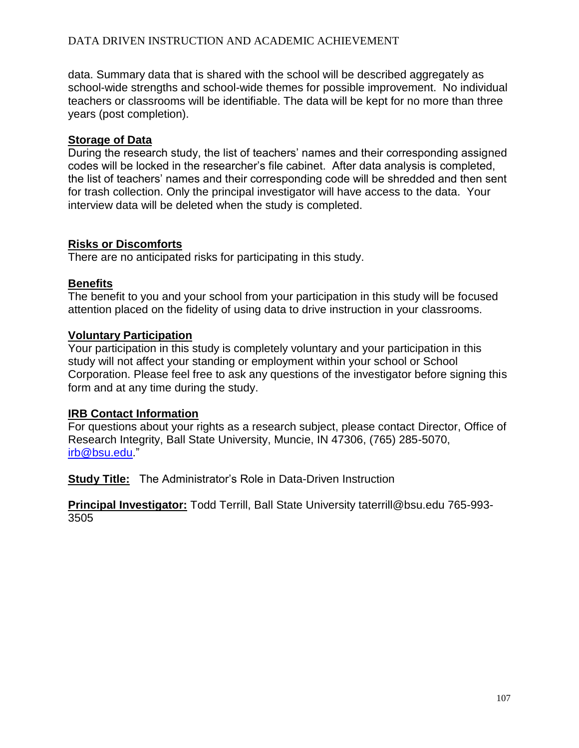data. Summary data that is shared with the school will be described aggregately as school-wide strengths and school-wide themes for possible improvement. No individual teachers or classrooms will be identifiable. The data will be kept for no more than three years (post completion).

## **Storage of Data**

During the research study, the list of teachers' names and their corresponding assigned codes will be locked in the researcher's file cabinet. After data analysis is completed, the list of teachers' names and their corresponding code will be shredded and then sent for trash collection. Only the principal investigator will have access to the data. Your interview data will be deleted when the study is completed.

## **Risks or Discomforts**

There are no anticipated risks for participating in this study.

## **Benefits**

The benefit to you and your school from your participation in this study will be focused attention placed on the fidelity of using data to drive instruction in your classrooms.

## **Voluntary Participation**

Your participation in this study is completely voluntary and your participation in this study will not affect your standing or employment within your school or School Corporation. Please feel free to ask any questions of the investigator before signing this form and at any time during the study.

## **IRB Contact Information**

For questions about your rights as a research subject, please contact Director, Office of Research Integrity, Ball State University, Muncie, IN 47306, (765) 285-5070, [irb@bsu.edu.](mailto:irb@bsu.edu)"

**Study Title:** The Administrator's Role in Data-Driven Instruction

**Principal Investigator:** Todd Terrill, Ball State University taterrill@bsu.edu 765-993- 3505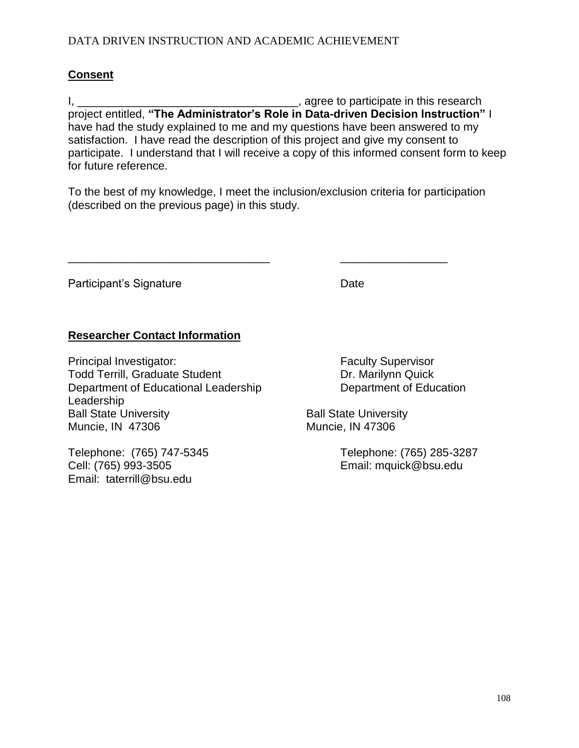# **Consent**

I, \_\_\_\_\_\_\_\_\_\_\_\_\_\_\_\_\_\_\_\_\_\_\_\_\_\_\_\_\_\_\_\_\_\_\_, agree to participate in this research project entitled, **"The Administrator's Role in Data-driven Decision Instruction"** I have had the study explained to me and my questions have been answered to my satisfaction. I have read the description of this project and give my consent to participate. I understand that I will receive a copy of this informed consent form to keep for future reference.

To the best of my knowledge, I meet the inclusion/exclusion criteria for participation (described on the previous page) in this study.

\_\_\_\_\_\_\_\_\_\_\_\_\_\_\_\_\_\_\_\_\_\_\_\_\_\_\_\_\_\_\_\_ \_\_\_\_\_\_\_\_\_\_\_\_\_\_\_\_\_

Participant's Signature Date

# **Researcher Contact Information**

Principal Investigator: Faculty Supervisor Todd Terrill, Graduate Student **Dr. Marilynn Quick** Department of Educational Leadership Department of Education Leadership Ball State University **Ball State University** Muncie, IN 47306 Muncie, IN 47306

Telephone: (765) 747-5345 Telephone: (765) 285-3287 Cell: (765) 993-3505 Email: mquick@bsu.edu Email: taterrill@bsu.edu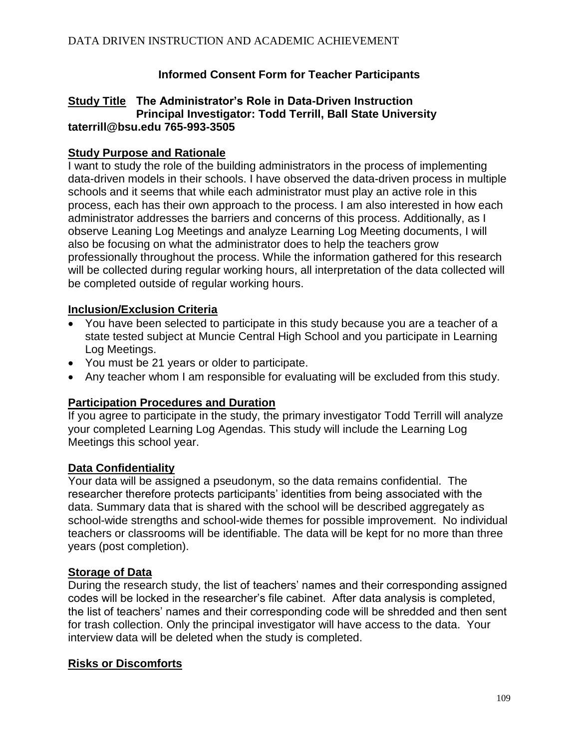# **Informed Consent Form for Teacher Participants**

#### **Study Title The Administrator's Role in Data-Driven Instruction Principal Investigator: Todd Terrill, Ball State University taterrill@bsu.edu 765-993-3505**

## **Study Purpose and Rationale**

I want to study the role of the building administrators in the process of implementing data-driven models in their schools. I have observed the data-driven process in multiple schools and it seems that while each administrator must play an active role in this process, each has their own approach to the process. I am also interested in how each administrator addresses the barriers and concerns of this process. Additionally, as I observe Leaning Log Meetings and analyze Learning Log Meeting documents, I will also be focusing on what the administrator does to help the teachers grow professionally throughout the process. While the information gathered for this research will be collected during regular working hours, all interpretation of the data collected will be completed outside of regular working hours.

## **Inclusion/Exclusion Criteria**

- You have been selected to participate in this study because you are a teacher of a state tested subject at Muncie Central High School and you participate in Learning Log Meetings.
- You must be 21 years or older to participate.
- Any teacher whom I am responsible for evaluating will be excluded from this study.

#### **Participation Procedures and Duration**

If you agree to participate in the study, the primary investigator Todd Terrill will analyze your completed Learning Log Agendas. This study will include the Learning Log Meetings this school year.

#### **Data Confidentiality**

Your data will be assigned a pseudonym, so the data remains confidential. The researcher therefore protects participants' identities from being associated with the data. Summary data that is shared with the school will be described aggregately as school-wide strengths and school-wide themes for possible improvement. No individual teachers or classrooms will be identifiable. The data will be kept for no more than three years (post completion).

#### **Storage of Data**

During the research study, the list of teachers' names and their corresponding assigned codes will be locked in the researcher's file cabinet. After data analysis is completed, the list of teachers' names and their corresponding code will be shredded and then sent for trash collection. Only the principal investigator will have access to the data. Your interview data will be deleted when the study is completed.

#### **Risks or Discomforts**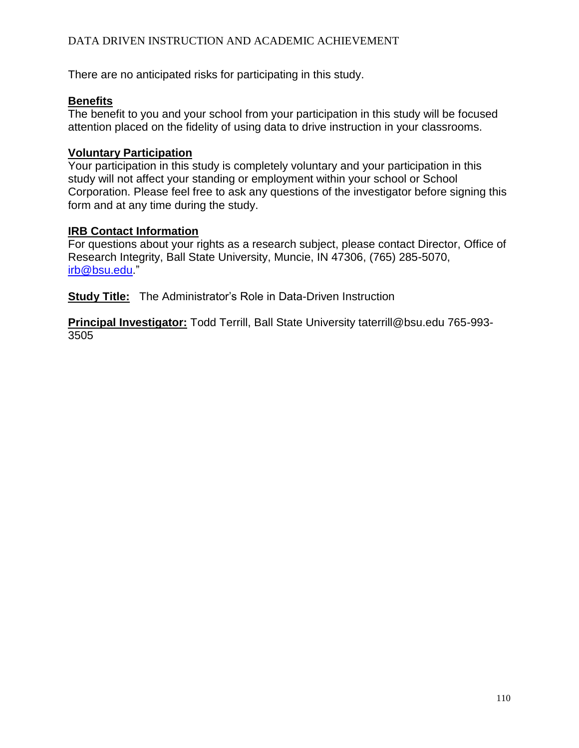There are no anticipated risks for participating in this study.

## **Benefits**

The benefit to you and your school from your participation in this study will be focused attention placed on the fidelity of using data to drive instruction in your classrooms.

## **Voluntary Participation**

Your participation in this study is completely voluntary and your participation in this study will not affect your standing or employment within your school or School Corporation. Please feel free to ask any questions of the investigator before signing this form and at any time during the study.

## **IRB Contact Information**

For questions about your rights as a research subject, please contact Director, Office of Research Integrity, Ball State University, Muncie, IN 47306, (765) 285-5070, [irb@bsu.edu.](mailto:irb@bsu.edu)"

**Study Title:** The Administrator's Role in Data-Driven Instruction

**Principal Investigator:** Todd Terrill, Ball State University taterrill@bsu.edu 765-993- 3505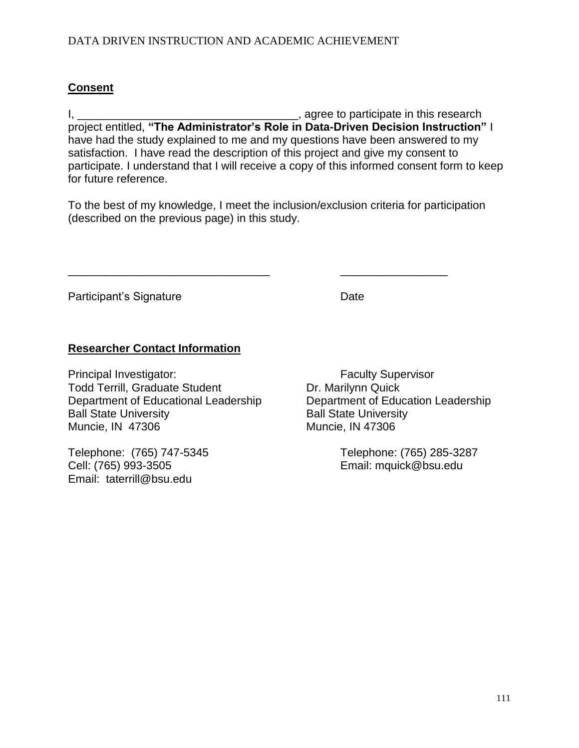# **Consent**

I, \_\_\_\_\_\_\_\_\_\_\_\_\_\_\_\_\_\_\_\_\_\_\_\_\_\_\_\_\_\_\_\_\_\_\_, agree to participate in this research project entitled, **"The Administrator's Role in Data-Driven Decision Instruction"** I have had the study explained to me and my questions have been answered to my satisfaction. I have read the description of this project and give my consent to participate. I understand that I will receive a copy of this informed consent form to keep for future reference.

To the best of my knowledge, I meet the inclusion/exclusion criteria for participation (described on the previous page) in this study.

\_\_\_\_\_\_\_\_\_\_\_\_\_\_\_\_\_\_\_\_\_\_\_\_\_\_\_\_\_\_\_\_ \_\_\_\_\_\_\_\_\_\_\_\_\_\_\_\_\_

Participant's Signature Date

## **Researcher Contact Information**

Principal Investigator: Faculty Supervisor Todd Terrill, Graduate Student Dr. Marilynn Quick Department of Educational Leadership Department of Education Leadership Ball State University **Ball State University** Muncie, IN 47306 Muncie, IN 47306

Telephone: (765) 747-5345 Telephone: (765) 285-3287 Cell: (765) 993-3505 Email: mquick@bsu.edu Email: taterrill@bsu.edu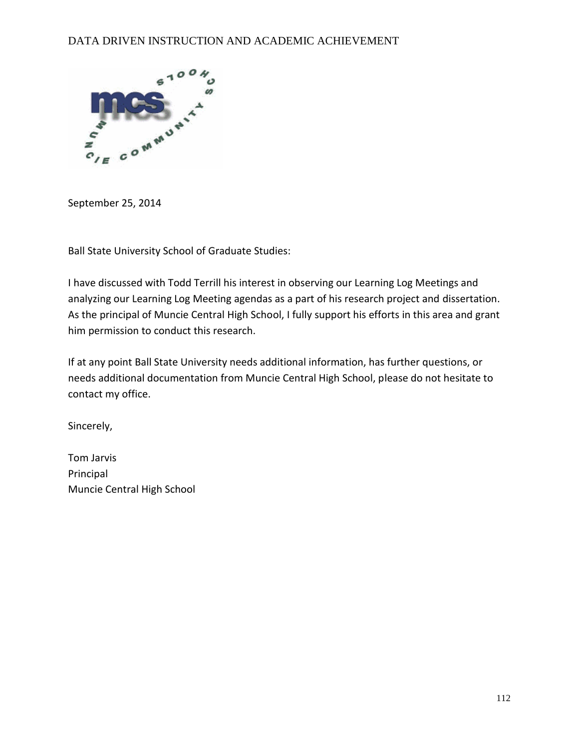

September 25, 2014

Ball State University School of Graduate Studies:

I have discussed with Todd Terrill his interest in observing our Learning Log Meetings and analyzing our Learning Log Meeting agendas as a part of his research project and dissertation. As the principal of Muncie Central High School, I fully support his efforts in this area and grant him permission to conduct this research.

If at any point Ball State University needs additional information, has further questions, or needs additional documentation from Muncie Central High School, please do not hesitate to contact my office.

Sincerely,

Tom Jarvis Principal Muncie Central High School